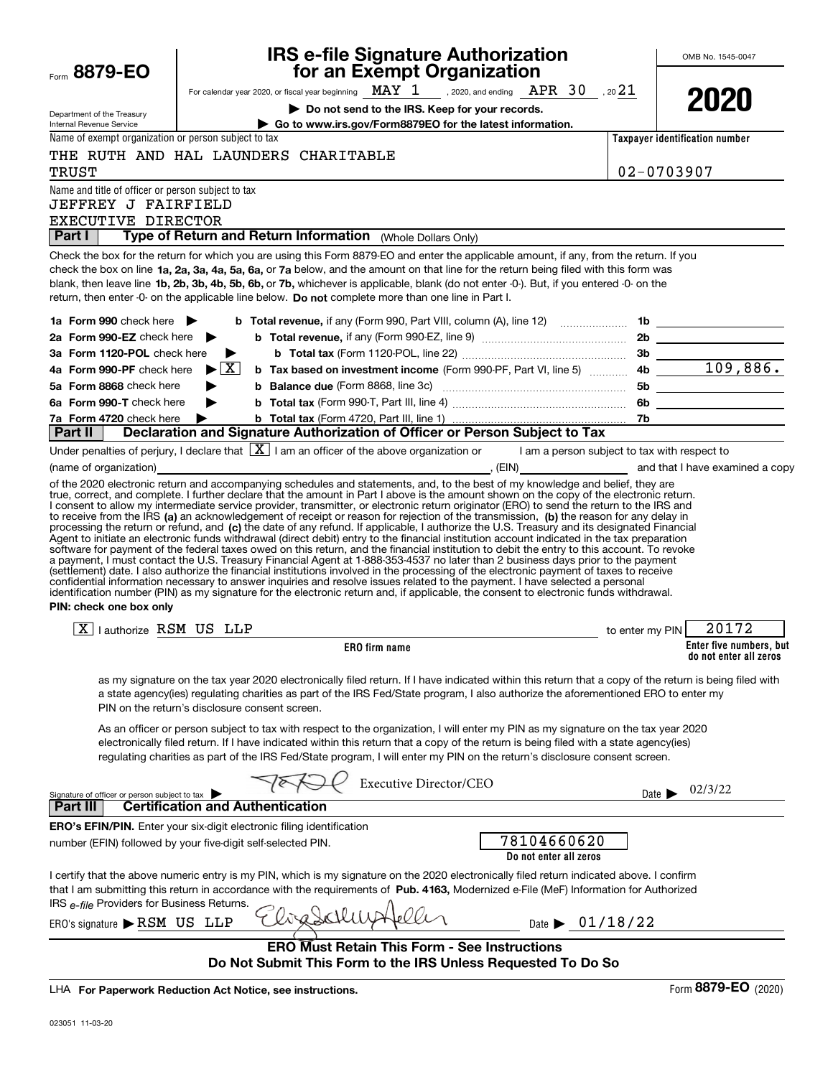| Form 8879-EO                                                                                                                                 |                                      |                                         | <b>IRS e-file Signature Authorization<br/>for an Exempt Organization</b>                           |                                                                                                                                                                                                                                                                                                                                                                                                                                                                                                                                                                                                                                                                                                                                                                                                                                                   |                            | OMB No. 1545-0047                                 |
|----------------------------------------------------------------------------------------------------------------------------------------------|--------------------------------------|-----------------------------------------|----------------------------------------------------------------------------------------------------|---------------------------------------------------------------------------------------------------------------------------------------------------------------------------------------------------------------------------------------------------------------------------------------------------------------------------------------------------------------------------------------------------------------------------------------------------------------------------------------------------------------------------------------------------------------------------------------------------------------------------------------------------------------------------------------------------------------------------------------------------------------------------------------------------------------------------------------------------|----------------------------|---------------------------------------------------|
|                                                                                                                                              |                                      |                                         |                                                                                                    | For calendar year 2020, or fiscal year beginning MAY $1$ , 2020, and ending APR 30, 20 $21$                                                                                                                                                                                                                                                                                                                                                                                                                                                                                                                                                                                                                                                                                                                                                       |                            |                                                   |
| Department of the Treasury                                                                                                                   |                                      |                                         | Do not send to the IRS. Keep for your records.                                                     |                                                                                                                                                                                                                                                                                                                                                                                                                                                                                                                                                                                                                                                                                                                                                                                                                                                   |                            | 2020                                              |
| Internal Revenue Service                                                                                                                     |                                      |                                         | Go to www.irs.gov/Form8879EO for the latest information.                                           |                                                                                                                                                                                                                                                                                                                                                                                                                                                                                                                                                                                                                                                                                                                                                                                                                                                   |                            |                                                   |
| Name of exempt organization or person subject to tax                                                                                         |                                      |                                         |                                                                                                    |                                                                                                                                                                                                                                                                                                                                                                                                                                                                                                                                                                                                                                                                                                                                                                                                                                                   |                            | Taxpayer identification number                    |
| THE RUTH AND HAL LAUNDERS CHARITABLE<br><b>TRUST</b>                                                                                         |                                      |                                         |                                                                                                    |                                                                                                                                                                                                                                                                                                                                                                                                                                                                                                                                                                                                                                                                                                                                                                                                                                                   |                            | $02 - 0703907$                                    |
| Name and title of officer or person subject to tax<br>JEFFREY J FAIRFIELD<br>EXECUTIVE DIRECTOR                                              |                                      |                                         |                                                                                                    |                                                                                                                                                                                                                                                                                                                                                                                                                                                                                                                                                                                                                                                                                                                                                                                                                                                   |                            |                                                   |
| <b>Part I</b>                                                                                                                                |                                      |                                         | Type of Return and Return Information (Whole Dollars Only)                                         |                                                                                                                                                                                                                                                                                                                                                                                                                                                                                                                                                                                                                                                                                                                                                                                                                                                   |                            |                                                   |
|                                                                                                                                              |                                      |                                         | return, then enter -0- on the applicable line below. Do not complete more than one line in Part I. | Check the box for the return for which you are using this Form 8879-EO and enter the applicable amount, if any, from the return. If you<br>check the box on line 1a, 2a, 3a, 4a, 5a, 6a, or 7a below, and the amount on that line for the return being filed with this form was<br>blank, then leave line 1b, 2b, 3b, 4b, 5b, 6b, or 7b, whichever is applicable, blank (do not enter -0-). But, if you entered -0- on the                                                                                                                                                                                                                                                                                                                                                                                                                        |                            |                                                   |
| 1a Form 990 check here                                                                                                                       |                                      |                                         |                                                                                                    |                                                                                                                                                                                                                                                                                                                                                                                                                                                                                                                                                                                                                                                                                                                                                                                                                                                   |                            |                                                   |
| 2a Form 990-EZ check here                                                                                                                    | ▶                                    |                                         |                                                                                                    |                                                                                                                                                                                                                                                                                                                                                                                                                                                                                                                                                                                                                                                                                                                                                                                                                                                   |                            |                                                   |
| 3a Form 1120-POL check here                                                                                                                  | $\blacktriangleright$                |                                         |                                                                                                    |                                                                                                                                                                                                                                                                                                                                                                                                                                                                                                                                                                                                                                                                                                                                                                                                                                                   |                            |                                                   |
| 4a Form 990-PF check here                                                                                                                    | $\blacktriangleright$ $\overline{X}$ |                                         |                                                                                                    |                                                                                                                                                                                                                                                                                                                                                                                                                                                                                                                                                                                                                                                                                                                                                                                                                                                   |                            |                                                   |
| 5a Form 8868 check here                                                                                                                      |                                      |                                         |                                                                                                    |                                                                                                                                                                                                                                                                                                                                                                                                                                                                                                                                                                                                                                                                                                                                                                                                                                                   |                            |                                                   |
| 6a Form 990-T check here                                                                                                                     |                                      |                                         |                                                                                                    |                                                                                                                                                                                                                                                                                                                                                                                                                                                                                                                                                                                                                                                                                                                                                                                                                                                   |                            |                                                   |
| 7a Form 4720 check here<br>Part II                                                                                                           |                                      |                                         |                                                                                                    | Declaration and Signature Authorization of Officer or Person Subject to Tax                                                                                                                                                                                                                                                                                                                                                                                                                                                                                                                                                                                                                                                                                                                                                                       |                            |                                                   |
|                                                                                                                                              |                                      |                                         |                                                                                                    | Under penalties of perjury, I declare that $\boxed{\mathbf{X}}$ I am an officer of the above organization or I am a person subject to tax with respect to                                                                                                                                                                                                                                                                                                                                                                                                                                                                                                                                                                                                                                                                                         |                            |                                                   |
| (name of organization)                                                                                                                       |                                      |                                         |                                                                                                    | (EIN) The and that I have examined a copy                                                                                                                                                                                                                                                                                                                                                                                                                                                                                                                                                                                                                                                                                                                                                                                                         |                            |                                                   |
| PIN: check one box only                                                                                                                      |                                      |                                         |                                                                                                    | Agent to initiate an electronic funds withdrawal (direct debit) entry to the financial institution account indicated in the tax preparation<br>software for payment of the federal taxes owed on this return, and the financial institution to debit the entry to this account. To revoke<br>a payment, I must contact the U.S. Treasury Financial Agent at 1-888-353-4537 no later than 2 business days prior to the payment<br>(settlement) date. I also authorize the financial institutions involved in the processing of the electronic payment of taxes to receive<br>confidential information necessary to answer inquiries and resolve issues related to the payment. I have selected a personal<br>identification number (PIN) as my signature for the electronic return and, if applicable, the consent to electronic funds withdrawal. |                            |                                                   |
| $ X $   authorize RSM US LLP                                                                                                                 |                                      |                                         |                                                                                                    | to enter my PIN                                                                                                                                                                                                                                                                                                                                                                                                                                                                                                                                                                                                                                                                                                                                                                                                                                   |                            | 20172                                             |
|                                                                                                                                              |                                      |                                         | ERO firm name                                                                                      |                                                                                                                                                                                                                                                                                                                                                                                                                                                                                                                                                                                                                                                                                                                                                                                                                                                   |                            | Enter five numbers, but<br>do not enter all zeros |
| PIN on the return's disclosure consent screen.                                                                                               |                                      |                                         |                                                                                                    | as my signature on the tax year 2020 electronically filed return. If I have indicated within this return that a copy of the return is being filed with<br>a state agency(ies) regulating charities as part of the IRS Fed/State program, I also authorize the aforementioned ERO to enter my                                                                                                                                                                                                                                                                                                                                                                                                                                                                                                                                                      |                            |                                                   |
|                                                                                                                                              |                                      |                                         |                                                                                                    | As an officer or person subject to tax with respect to the organization, I will enter my PIN as my signature on the tax year 2020<br>electronically filed return. If I have indicated within this return that a copy of the return is being filed with a state agency(ies)<br>regulating charities as part of the IRS Fed/State program, I will enter my PIN on the return's disclosure consent screen.                                                                                                                                                                                                                                                                                                                                                                                                                                           |                            |                                                   |
| Signature of officer or person subject to tax                                                                                                |                                      |                                         | Executive Director/CEO                                                                             |                                                                                                                                                                                                                                                                                                                                                                                                                                                                                                                                                                                                                                                                                                                                                                                                                                                   | Date $\blacktriangleright$ | 02/3/22                                           |
| <b>Part III</b>                                                                                                                              |                                      | <b>Certification and Authentication</b> |                                                                                                    |                                                                                                                                                                                                                                                                                                                                                                                                                                                                                                                                                                                                                                                                                                                                                                                                                                                   |                            |                                                   |
| <b>ERO's EFIN/PIN.</b> Enter your six-digit electronic filing identification<br>number (EFIN) followed by your five-digit self-selected PIN. |                                      |                                         |                                                                                                    | 78104660620<br>Do not enter all zeros                                                                                                                                                                                                                                                                                                                                                                                                                                                                                                                                                                                                                                                                                                                                                                                                             |                            |                                                   |
| IRS e-file Providers for Business Returns.                                                                                                   |                                      |                                         |                                                                                                    | I certify that the above numeric entry is my PIN, which is my signature on the 2020 electronically filed return indicated above. I confirm<br>that I am submitting this return in accordance with the requirements of Pub. 4163, Modernized e-File (MeF) Information for Authorized                                                                                                                                                                                                                                                                                                                                                                                                                                                                                                                                                               |                            |                                                   |
| ERO's signature $\triangleright$ RSM US LLP                                                                                                  |                                      |                                         |                                                                                                    | Date $\triangleright$ 01/18/22                                                                                                                                                                                                                                                                                                                                                                                                                                                                                                                                                                                                                                                                                                                                                                                                                    |                            |                                                   |
|                                                                                                                                              |                                      |                                         | <b>ERO Must Retain This Form - See Instructions</b>                                                | Do Not Submit This Form to the IRS Unless Requested To Do So                                                                                                                                                                                                                                                                                                                                                                                                                                                                                                                                                                                                                                                                                                                                                                                      |                            |                                                   |
| <b>LUA For Donorwork Boduction Act Notice, and instruction</b>                                                                               |                                      |                                         |                                                                                                    |                                                                                                                                                                                                                                                                                                                                                                                                                                                                                                                                                                                                                                                                                                                                                                                                                                                   |                            | $E_{\text{OCD}}$ 8879-FO (2020)                   |

LHA For Paperwork Reduction Act Notice, see instructions.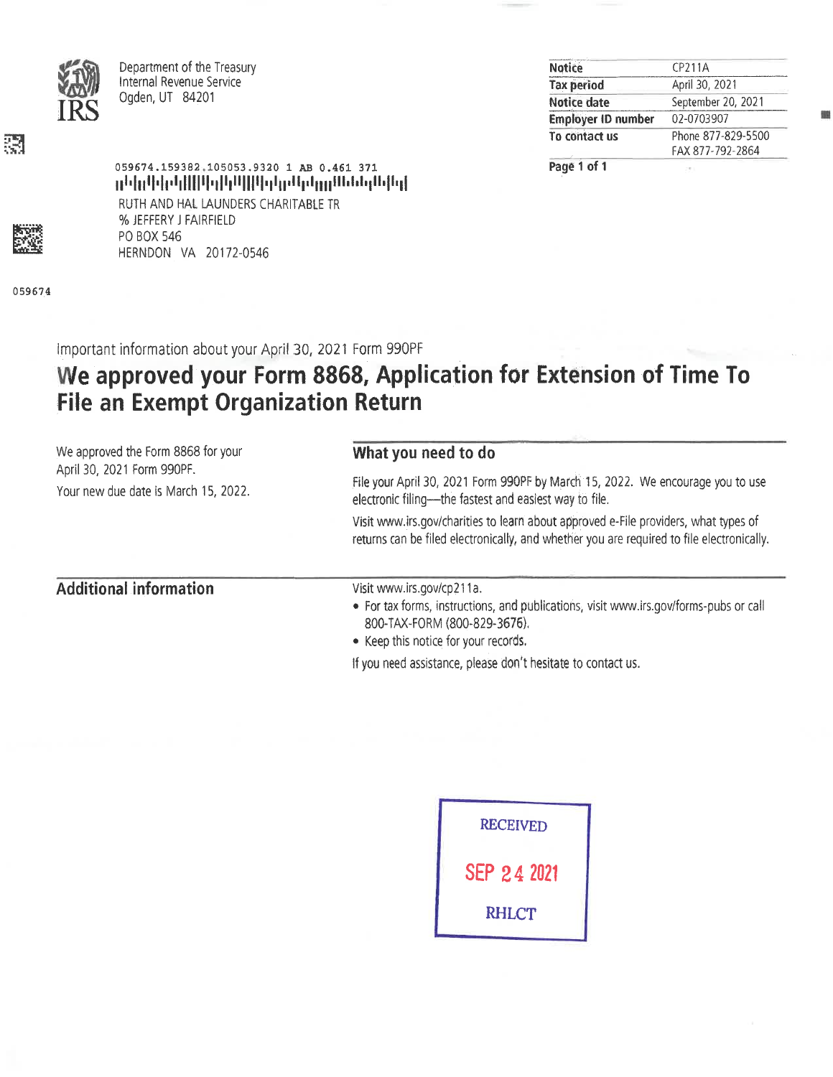

Department of the Treasury Internal Revenue Service Ogden, UT 84201

% JEFFERY J FAIRFIELD

HERNDON VA 20172-0546

PO BOX 546

| CP211A             |
|--------------------|
| April 30, 2021     |
| September 20, 2021 |
| 02-0703907         |
| Phone 877-829-5500 |
| FAX 877-792-2864   |
|                    |

Page 1 of 1

彁

059674

Important information about your April 30, 2021 Form 990PF

059674.159382.105053.9320 1 AB 0.461 371

RUTH AND HAL LAUNDERS CHARITABLE TR

րենքեն կին կիների կինքի կել է ներկային հայել

# We approved your Form 8868, Application for Extension of Time To **File an Exempt Organization Return**

| We approved the Form 8868 for your                                 | What you need to do                                                                                                                                                                        |  |  |  |  |
|--------------------------------------------------------------------|--------------------------------------------------------------------------------------------------------------------------------------------------------------------------------------------|--|--|--|--|
| April 30, 2021 Form 990PF.<br>Your new due date is March 15, 2022. | File your April 30, 2021 Form 990PF by March 15, 2022. We encourage you to use<br>electronic filing-the fastest and easiest way to file.                                                   |  |  |  |  |
|                                                                    | Visit www.irs.gov/charities to learn about approved e-File providers, what types of<br>returns can be filed electronically, and whether you are required to file electronically.           |  |  |  |  |
| <b>Additional information</b>                                      | Visit www.irs.gov/cp211a.<br>• For tax forms, instructions, and publications, visit www.irs.gov/forms-pubs or call<br>800-TAX-FORM (800-829-3676).<br>• Keep this notice for your records. |  |  |  |  |
|                                                                    | If you need assistance, please don't hesitate to contact us.                                                                                                                               |  |  |  |  |

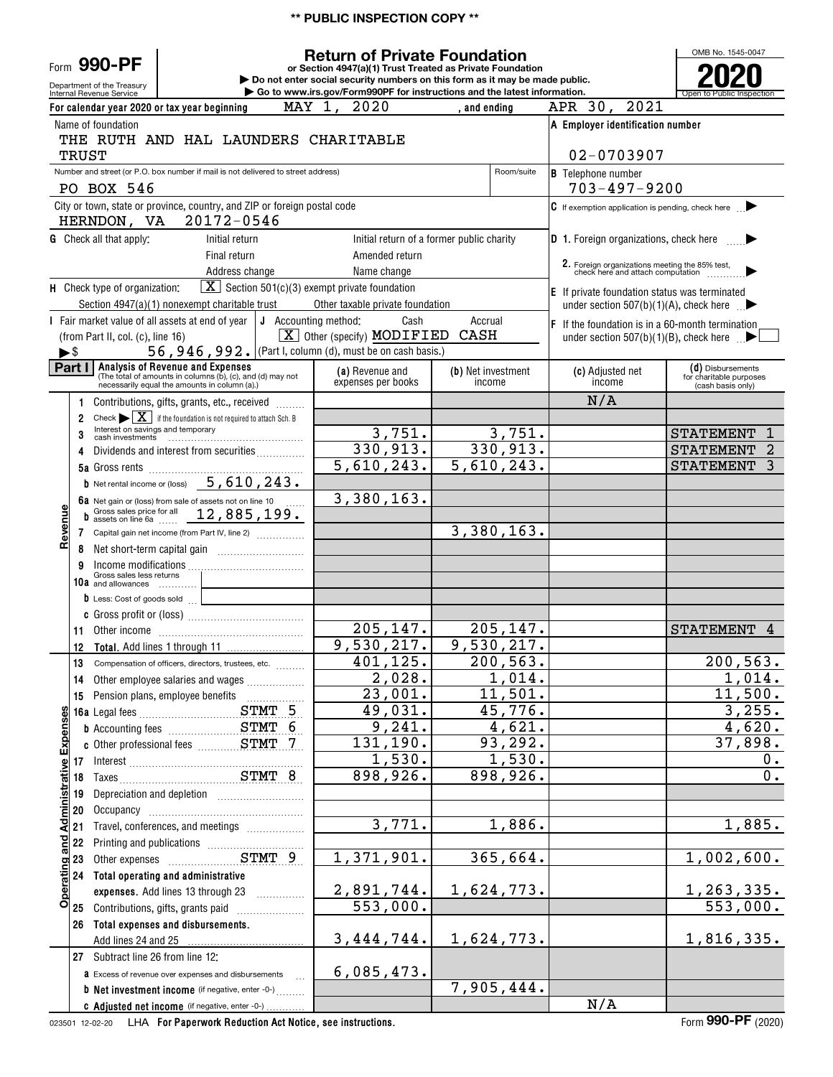### **\*\* PUBLIC INSPECTION COPY \*\***

Department of the Treasury Form **990-PF**

#### **or Section 4947(a)(1) Trust Treated as Private Foundation Return of Private Foundation**

**| Do not enter social security numbers on this form as it may be made public. | Go to www.irs.gov/Form990PF for instructions and the latest information.**

OMB No. 1545-0047 Internal Revenue Service **Number 19th Construction Constructions and the latest information.** The Service of Public Inspection **2020**

|                          |       | For calendar year 2020 or tax year beginning                                                                                                    | MAY 1, 2020                                                      | , and ending                              | APR 30, 2021                                                                      |                                                                   |
|--------------------------|-------|-------------------------------------------------------------------------------------------------------------------------------------------------|------------------------------------------------------------------|-------------------------------------------|-----------------------------------------------------------------------------------|-------------------------------------------------------------------|
|                          |       | Name of foundation                                                                                                                              |                                                                  |                                           | A Employer identification number                                                  |                                                                   |
|                          |       | THE RUTH AND HAL LAUNDERS CHARITABLE                                                                                                            |                                                                  |                                           |                                                                                   |                                                                   |
|                          | TRUST |                                                                                                                                                 |                                                                  |                                           | 02-0703907                                                                        |                                                                   |
|                          |       | Number and street (or P.O. box number if mail is not delivered to street address)                                                               |                                                                  | Room/suite                                | <b>B</b> Telephone number                                                         |                                                                   |
|                          |       | PO BOX 546                                                                                                                                      |                                                                  |                                           | $703 - 497 - 9200$                                                                |                                                                   |
|                          |       | City or town, state or province, country, and ZIP or foreign postal code<br>20172-0546<br>HERNDON, VA                                           |                                                                  |                                           | $\mathbf C$ If exemption application is pending, check here $\blacktriangleright$ |                                                                   |
|                          |       | <b>G</b> Check all that apply:<br>Initial return                                                                                                |                                                                  | Initial return of a former public charity | D 1. Foreign organizations, check here $\blacktriangleright$                      |                                                                   |
|                          |       | Final return                                                                                                                                    | Amended return                                                   |                                           |                                                                                   |                                                                   |
|                          |       | Address change                                                                                                                                  | Name change                                                      |                                           |                                                                                   |                                                                   |
|                          |       | H Check type of organization:                                                                                                                   | $\boxed{\mathbf{X}}$ Section 501(c)(3) exempt private foundation |                                           | <b>E</b> If private foundation status was terminated                              |                                                                   |
|                          |       | Section 4947(a)(1) nonexempt charitable trust                                                                                                   | Other taxable private foundation                                 |                                           | under section 507(b)(1)(A), check here $\Box$                                     |                                                                   |
|                          |       | I Fair market value of all assets at end of year                                                                                                | J Accounting method:<br>Cash                                     | Accrual                                   | $\mathsf F$ If the foundation is in a 60-month termination                        |                                                                   |
|                          |       | (from Part II, col. (c), line 16)                                                                                                               | $\boxed{\mathbf{X}}$ Other (specify) <b>MODIFIED</b>             | CASH                                      | under section 507(b)(1)(B), check here $\mathbb{R}$                               |                                                                   |
| $\blacktriangleright$ \$ |       | 56, 946, 992. (Part I, column (d), must be on cash basis.)                                                                                      |                                                                  |                                           |                                                                                   |                                                                   |
| Part I                   |       | Analysis of Revenue and Expenses<br>(The total of amounts in columns (b), (c), and (d) may not<br>necessarily equal the amounts in column (a).) | (a) Revenue and<br>expenses per books                            | (b) Net investment<br>income              | (c) Adjusted net<br>income                                                        | (d) Disbursements<br>for charitable purposes<br>(cash basis only) |
|                          | -1    | Contributions, gifts, grants, etc., received                                                                                                    |                                                                  |                                           | N/A                                                                               |                                                                   |
|                          | 2     | Check $\blacktriangleright \boxed{\mathbf{X}}$ if the foundation is not required to attach Sch. B                                               |                                                                  |                                           |                                                                                   |                                                                   |
|                          | 3     | Interest on savings and temporary                                                                                                               | 3,751.                                                           | 3,751.                                    |                                                                                   | <b>STATEMENT</b><br>1                                             |
|                          | 4     | Dividends and interest from securities                                                                                                          | 330,913.                                                         | 330, 913.                                 |                                                                                   | <b>STATEMENT</b><br>2                                             |
|                          |       | <b>5a</b> Gross rents                                                                                                                           | 5,610,243.                                                       | 5,610,243.                                |                                                                                   | <b>STATEMENT</b><br>3                                             |
|                          |       | <b>b</b> Net rental income or (loss) $5,610,243$ .                                                                                              |                                                                  |                                           |                                                                                   |                                                                   |
|                          |       | 6a Net gain or (loss) from sale of assets not on line 10                                                                                        | 3,380,163.                                                       |                                           |                                                                                   |                                                                   |
|                          | b     | Gross sales price for all 12, 885, 199.                                                                                                         |                                                                  |                                           |                                                                                   |                                                                   |
| Revenue                  | 7     | Capital gain net income (from Part IV, line 2)                                                                                                  |                                                                  | 3,380,163.                                |                                                                                   |                                                                   |
|                          | 8     |                                                                                                                                                 |                                                                  |                                           |                                                                                   |                                                                   |
|                          | 9     | Income modifications<br>Gross sales less returns                                                                                                |                                                                  |                                           |                                                                                   |                                                                   |
|                          | 10a   | and allowances                                                                                                                                  |                                                                  |                                           |                                                                                   |                                                                   |
|                          |       | D Less: Cost of goods sold                                                                                                                      |                                                                  |                                           |                                                                                   |                                                                   |
|                          | 11    |                                                                                                                                                 | 205, 147.                                                        | 205, 147.                                 |                                                                                   | <b>STATEMENT</b><br>4                                             |
|                          | 12    |                                                                                                                                                 | 9,530,217.                                                       | 9,530,217.                                |                                                                                   |                                                                   |
|                          | 13    | Compensation of officers, directors, trustees, etc.                                                                                             | 401, 125.                                                        | 200, 563.                                 |                                                                                   | 200, 563.                                                         |
|                          | 14    | Other employee salaries and wages                                                                                                               | 2,028.                                                           | 1,014.                                    |                                                                                   | 1,014.                                                            |
|                          |       | 15 Pension plans, employee benefits                                                                                                             | 23,001.                                                          | 11,501.                                   |                                                                                   | 11,500.                                                           |
| ωı                       |       | STMT 5                                                                                                                                          | 49,031.                                                          | 45,776.                                   |                                                                                   | 3,255.                                                            |
|                          |       |                                                                                                                                                 | 9,241.                                                           | 4,621.                                    |                                                                                   | 4,620.                                                            |
| Expense                  |       |                                                                                                                                                 | 131, 190.                                                        | 93,292.                                   |                                                                                   | 37,898.                                                           |
|                          |       | 17 Interest<br>18 Taxes STMT 8                                                                                                                  | 1,530.                                                           | 1,530.                                    |                                                                                   | 0.                                                                |
|                          |       |                                                                                                                                                 | 898,926.                                                         | 898,926.                                  |                                                                                   | $0$ .                                                             |
|                          | 19    |                                                                                                                                                 |                                                                  |                                           |                                                                                   |                                                                   |
| <b>Administrative</b>    | 20    |                                                                                                                                                 |                                                                  |                                           |                                                                                   |                                                                   |
|                          | 21    | Travel, conferences, and meetings                                                                                                               | 3,771.                                                           | 1,886.                                    |                                                                                   | 1,885.                                                            |
| Operating and            | 22    |                                                                                                                                                 | 1,371,901.                                                       | 365,664.                                  |                                                                                   | 1,002,600.                                                        |
|                          | 23    | Other expenses STMT 9                                                                                                                           |                                                                  |                                           |                                                                                   |                                                                   |
|                          |       | 24 Total operating and administrative<br>expenses. Add lines 13 through 23 [                                                                    | 2,891,744.                                                       | 1,624,773.                                |                                                                                   | 1,263,335.                                                        |
|                          |       | 25 Contributions, gifts, grants paid                                                                                                            | $\overline{553}$ , 000.                                          |                                           |                                                                                   | 553,000.                                                          |
|                          |       | 26 Total expenses and disbursements.                                                                                                            |                                                                  |                                           |                                                                                   |                                                                   |
|                          |       | Add lines 24 and 25                                                                                                                             | 3, 444, 744.                                                     | 1,624,773.                                |                                                                                   | 1,816,335.                                                        |
|                          |       | 27 Subtract line 26 from line 12:                                                                                                               |                                                                  |                                           |                                                                                   |                                                                   |
|                          |       | <b>a</b> Excess of revenue over expenses and disbursements                                                                                      | 6,085,473.                                                       |                                           |                                                                                   |                                                                   |
|                          |       | <b>b</b> Net investment income (if negative, enter -0-)                                                                                         |                                                                  | 7,905,444.                                |                                                                                   |                                                                   |
|                          |       | C Adjusted net income (if negative, enter -0-)                                                                                                  |                                                                  |                                           | N/A                                                                               |                                                                   |

023501 12-02-20 **For Paperwork Reduction Act Notice, see instructions.** LHA Form (2020)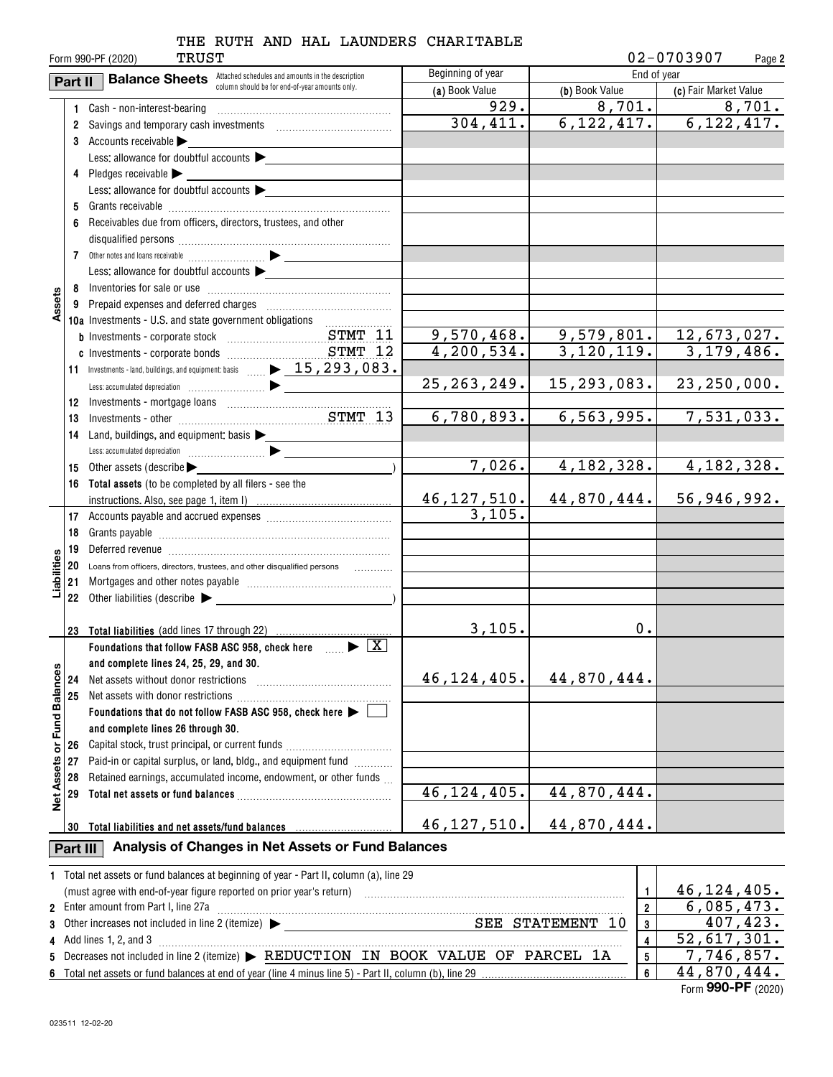|                   |                                                                                                         | TRUST<br>Form 990-PF (2020)                                                                                                                                   |                              |                | 02-0703907<br>Page 2          |
|-------------------|---------------------------------------------------------------------------------------------------------|---------------------------------------------------------------------------------------------------------------------------------------------------------------|------------------------------|----------------|-------------------------------|
|                   | Beginning of year<br><b>Balance Sheets</b> Attached schedules and amounts in the description<br>Part II |                                                                                                                                                               |                              | End of year    |                               |
|                   |                                                                                                         | column should be for end-of-year amounts only.                                                                                                                | (a) Book Value               | (b) Book Value | (c) Fair Market Value         |
|                   | 1                                                                                                       | Cash - non-interest-bearing                                                                                                                                   | 929.                         | 8,701.         | 8,701.                        |
|                   |                                                                                                         | 2 Savings and temporary cash investments [111][11] Savings and temporary cash investments                                                                     | 304,411.                     |                | $6, 122, 417.$ $6, 122, 417.$ |
|                   |                                                                                                         | 3 Accounts receivable $\blacktriangleright$                                                                                                                   |                              |                |                               |
|                   |                                                                                                         | Less: allowance for doubtful accounts                                                                                                                         |                              |                |                               |
|                   |                                                                                                         | 4 Pledges receivable $\blacktriangleright$                                                                                                                    |                              |                |                               |
|                   |                                                                                                         | Less: allowance for doubtful accounts                                                                                                                         |                              |                |                               |
|                   | 5                                                                                                       |                                                                                                                                                               |                              |                |                               |
|                   | 6                                                                                                       | Receivables due from officers, directors, trustees, and other                                                                                                 |                              |                |                               |
|                   |                                                                                                         |                                                                                                                                                               |                              |                |                               |
|                   |                                                                                                         |                                                                                                                                                               |                              |                |                               |
|                   |                                                                                                         | Less: allowance for doubtful accounts $\blacktriangleright$                                                                                                   |                              |                |                               |
|                   |                                                                                                         |                                                                                                                                                               |                              |                |                               |
| Assets            |                                                                                                         |                                                                                                                                                               |                              |                |                               |
|                   |                                                                                                         | 10a Investments - U.S. and state government obligations                                                                                                       |                              |                |                               |
|                   |                                                                                                         |                                                                                                                                                               | 9,570,468.                   | 9,579,801.     | 12,673,027.                   |
|                   |                                                                                                         |                                                                                                                                                               | 4,200,534.                   | 3,120,119.     | 3,179,486.                    |
|                   |                                                                                                         | 11 Investments - land, buildings, and equipment: basis $\underline{\hspace{1cm}} \quad \underline{\hspace{1cm}} \quad 15,293,083$ .                           |                              |                |                               |
|                   |                                                                                                         |                                                                                                                                                               | 25, 263, 249.                | 15, 293, 083.  | 23, 250, 000.                 |
|                   |                                                                                                         |                                                                                                                                                               |                              |                |                               |
|                   | 13                                                                                                      |                                                                                                                                                               | 6,780,893.                   | 6, 563, 995.   | 7,531,033.                    |
|                   | 14                                                                                                      | Land, buildings, and equipment: basis >                                                                                                                       |                              |                |                               |
|                   |                                                                                                         |                                                                                                                                                               |                              |                |                               |
|                   | 15                                                                                                      | Other assets (describe                                                                                                                                        | 7,026.                       | 4, 182, 328.   | 4, 182, 328.                  |
|                   |                                                                                                         | 16 Total assets (to be completed by all filers - see the                                                                                                      |                              |                |                               |
|                   |                                                                                                         |                                                                                                                                                               | $\frac{46,127,510}{3,105}$ . | 44,870,444.    | 56,946,992.                   |
|                   |                                                                                                         |                                                                                                                                                               |                              |                |                               |
|                   | 18                                                                                                      |                                                                                                                                                               |                              |                |                               |
|                   | 19                                                                                                      |                                                                                                                                                               |                              |                |                               |
| Liabilities       | 20                                                                                                      | Loans from officers, directors, trustees, and other disqualified persons                                                                                      |                              |                |                               |
|                   |                                                                                                         |                                                                                                                                                               |                              |                |                               |
|                   |                                                                                                         | 22 Other liabilities (describe $\blacktriangleright$                                                                                                          |                              |                |                               |
|                   |                                                                                                         |                                                                                                                                                               |                              |                |                               |
|                   |                                                                                                         | 23 Total liabilities (add lines 17 through 22)                                                                                                                | 3,105.                       | 0.             |                               |
|                   |                                                                                                         | $\blacktriangleright$ $\boxed{\text{X}}$<br>Foundations that follow FASB ASC 958, check here                                                                  |                              |                |                               |
|                   |                                                                                                         | and complete lines 24, 25, 29, and 30.                                                                                                                        |                              |                |                               |
|                   | 24                                                                                                      | Net assets without donor restrictions                                                                                                                         | 46, 124, 405.                | 44,870,444.    |                               |
| or Fund Balances  | 25                                                                                                      | Net assets with donor restrictions                                                                                                                            |                              |                |                               |
|                   |                                                                                                         | Foundations that do not follow FASB ASC 958, check here $\blacktriangleright \Box$                                                                            |                              |                |                               |
|                   |                                                                                                         | and complete lines 26 through 30.                                                                                                                             |                              |                |                               |
|                   | 26                                                                                                      | Capital stock, trust principal, or current funds                                                                                                              |                              |                |                               |
| <b>Net Assets</b> | 27                                                                                                      | Paid-in or capital surplus, or land, bldg., and equipment fund                                                                                                |                              |                |                               |
|                   | 28                                                                                                      | Retained earnings, accumulated income, endowment, or other funds                                                                                              |                              |                |                               |
|                   | 29                                                                                                      |                                                                                                                                                               | 46, 124, 405.                | 44,870,444.    |                               |
|                   |                                                                                                         |                                                                                                                                                               |                              |                |                               |
|                   | 30                                                                                                      | Total liabilities and net assets/fund balances                                                                                                                | 46, 127, 510.                | 44,870,444.    |                               |
|                   | Part III                                                                                                | Analysis of Changes in Net Assets or Fund Balances                                                                                                            |                              |                |                               |
|                   |                                                                                                         | 1 Total net assets or fund balances at beginning of year - Part II, column (a), line 29                                                                       |                              |                |                               |
|                   |                                                                                                         | (must agree with end-of-year figure reported on prior year's return) with an accommutation and agree with end-of-year figure reported on prior year's return) |                              | 1              | 46, 124, 405.                 |
|                   |                                                                                                         | 2 Enter amount from Part I, line 27a                                                                                                                          |                              | $\overline{2}$ | 6,085,473.                    |
| 3                 |                                                                                                         |                                                                                                                                                               | 3                            | 407,423.       |                               |
| 4                 |                                                                                                         | Add lines 1, 2, and 3                                                                                                                                         |                              | 4              | 52,617,301.                   |
| 5                 |                                                                                                         | Decreases not included in line 2 (itemize) > REDUCTION IN BOOK VALUE OF PARCEL 1A                                                                             |                              | 5              | 7,746,857.                    |
|                   |                                                                                                         |                                                                                                                                                               |                              | 6              | 44,870,444.                   |

| Total net assets or fund balances at beginning of year - Part II, column (a), line 29        |                                   |
|----------------------------------------------------------------------------------------------|-----------------------------------|
| (must agree with end-of-year figure reported on prior year's return)                         | 46, 124, 405.                     |
| 2 Enter amount from Part I, line 27a                                                         | 6,085,473.                        |
| SEE STATEMENT 10<br>3 Other increases not included in line 2 (itemize) $\blacktriangleright$ | 407, 423.                         |
| 4 Add lines 1, 2, and 3                                                                      | 52,617,301.                       |
| 5 Decreases not included in line 2 (itemize) > REDUCTION IN BOOK VALUE OF PARCEL 1A          | 7,746,857.                        |
|                                                                                              | 44,870,444.                       |
|                                                                                              | $F_{\text{max}}$ 000 DE $(0.000)$ |

Form (2020) **990-PF**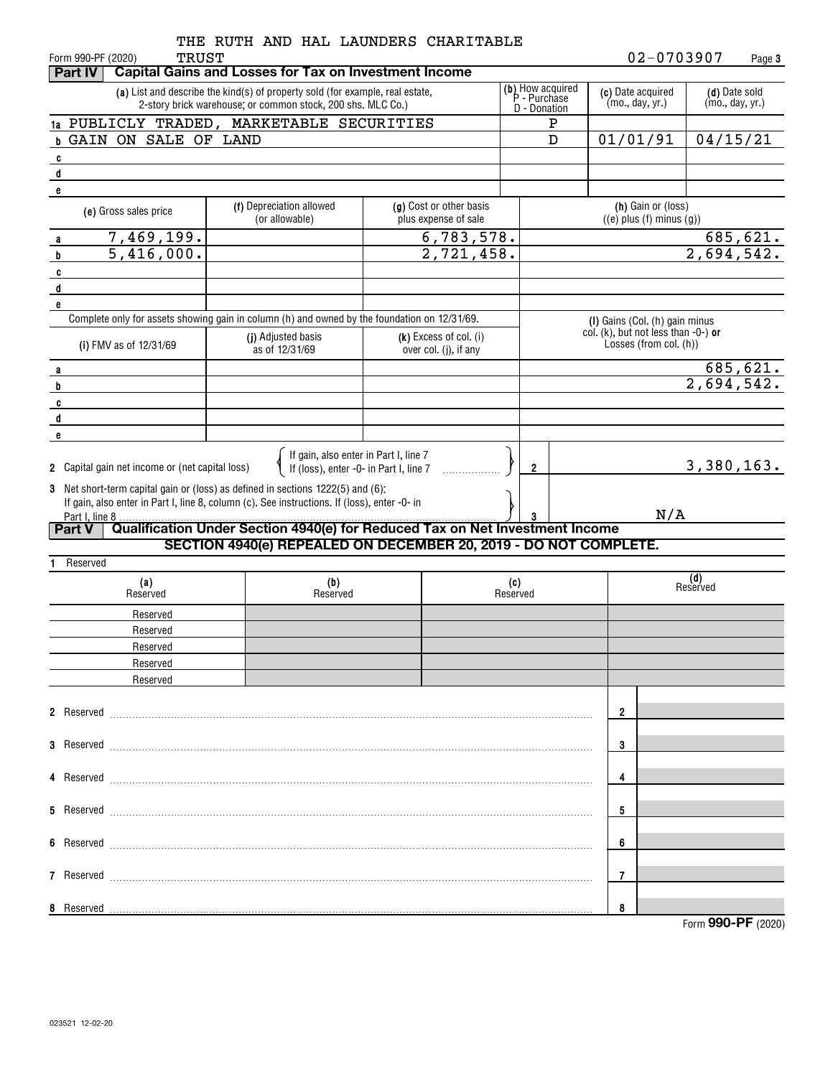| <b>TRUST</b><br>Form 990-PF (2020)                                                                                                                                              | THE RUTH AND HAL LAUNDERS CHARITABLE                                                                                                         |                                                 |                                                  |   |                                                                       |     | 02-0703907                       | Page 3   |
|---------------------------------------------------------------------------------------------------------------------------------------------------------------------------------|----------------------------------------------------------------------------------------------------------------------------------------------|-------------------------------------------------|--------------------------------------------------|---|-----------------------------------------------------------------------|-----|----------------------------------|----------|
| <b>Part IV</b>                                                                                                                                                                  | <b>Capital Gains and Losses for Tax on Investment Income</b>                                                                                 |                                                 |                                                  |   |                                                                       |     |                                  |          |
|                                                                                                                                                                                 | (a) List and describe the kind(s) of property sold (for example, real estate,<br>2-story brick warehouse; or common stock, 200 shs. MLC Co.) |                                                 | (b) How acquired<br>P - Purchase<br>D - Donation |   | (c) Date acquired<br>(mo., day, yr.)                                  |     | (d) Date sold<br>(mo., day, yr.) |          |
| 1a PUBLICLY TRADED, MARKETABLE SECURITIES                                                                                                                                       |                                                                                                                                              |                                                 |                                                  | Ρ |                                                                       |     |                                  |          |
| <b>b GAIN ON SALE OF LAND</b>                                                                                                                                                   |                                                                                                                                              |                                                 |                                                  | D | 01/01/91                                                              |     | 04/15/21                         |          |
| C                                                                                                                                                                               |                                                                                                                                              |                                                 |                                                  |   |                                                                       |     |                                  |          |
| d                                                                                                                                                                               |                                                                                                                                              |                                                 |                                                  |   |                                                                       |     |                                  |          |
| e<br>(e) Gross sales price                                                                                                                                                      | (f) Depreciation allowed<br>(or allowable)                                                                                                   | (g) Cost or other basis<br>plus expense of sale |                                                  |   | (h) Gain or (loss)<br>$((e)$ plus $(f)$ minus $(g))$                  |     |                                  |          |
| 7,469,199.<br>a                                                                                                                                                                 |                                                                                                                                              | 6,783,578.                                      |                                                  |   |                                                                       |     |                                  |          |
| 5,416,000.<br>b                                                                                                                                                                 |                                                                                                                                              | 2,721,458.                                      |                                                  |   |                                                                       |     | $\frac{685,621}{2,694,542}$      |          |
| c                                                                                                                                                                               |                                                                                                                                              |                                                 |                                                  |   |                                                                       |     |                                  |          |
| d                                                                                                                                                                               |                                                                                                                                              |                                                 |                                                  |   |                                                                       |     |                                  |          |
| e<br>Complete only for assets showing gain in column (h) and owned by the foundation on 12/31/69.                                                                               |                                                                                                                                              |                                                 |                                                  |   |                                                                       |     |                                  |          |
|                                                                                                                                                                                 | (i) Adjusted basis                                                                                                                           |                                                 |                                                  |   | (I) Gains (Col. (h) gain minus<br>col. (k), but not less than -0-) or |     |                                  |          |
| (i) FMV as of 12/31/69                                                                                                                                                          | as of 12/31/69                                                                                                                               | (k) Excess of col. (i)<br>over col. (j), if any |                                                  |   | Losses (from col. (h))                                                |     |                                  |          |
| a                                                                                                                                                                               |                                                                                                                                              |                                                 |                                                  |   |                                                                       |     |                                  | 685,621. |
| b                                                                                                                                                                               |                                                                                                                                              |                                                 |                                                  |   |                                                                       |     | 2,694,542.                       |          |
| C                                                                                                                                                                               |                                                                                                                                              |                                                 |                                                  |   |                                                                       |     |                                  |          |
| d                                                                                                                                                                               |                                                                                                                                              |                                                 |                                                  |   |                                                                       |     |                                  |          |
| e                                                                                                                                                                               |                                                                                                                                              |                                                 |                                                  |   |                                                                       |     |                                  |          |
|                                                                                                                                                                                 | If gain, also enter in Part I, line 7<br>If (loss), enter -0- in Part I, line 7                                                              |                                                 |                                                  |   |                                                                       |     | 3,380,163.                       |          |
| 2 Capital gain net income or (net capital loss)                                                                                                                                 |                                                                                                                                              |                                                 | 2                                                |   |                                                                       |     |                                  |          |
| 3 Net short-term capital gain or (loss) as defined in sections 1222(5) and (6):<br>If gain, also enter in Part I, line 8, column (c). See instructions. If (loss), enter -0- in |                                                                                                                                              |                                                 |                                                  |   |                                                                       |     |                                  |          |
| Part I, line 8                                                                                                                                                                  |                                                                                                                                              |                                                 |                                                  |   |                                                                       | N/A |                                  |          |
| <b>Part V</b>                                                                                                                                                                   | Qualification Under Section 4940(e) for Reduced Tax on Net Investment Income                                                                 |                                                 |                                                  |   |                                                                       |     |                                  |          |
|                                                                                                                                                                                 | SECTION 4940(e) REPEALED ON DECEMBER 20, 2019 - DO NOT COMPLETE.                                                                             |                                                 |                                                  |   |                                                                       |     |                                  |          |
| Reserved                                                                                                                                                                        |                                                                                                                                              |                                                 |                                                  |   |                                                                       |     | (d)                              |          |
| (a)<br>Reserved                                                                                                                                                                 | (b)<br>Reserved                                                                                                                              |                                                 | (c)<br>Reserved                                  |   |                                                                       |     | Reserved                         |          |
| Reserved                                                                                                                                                                        |                                                                                                                                              |                                                 |                                                  |   |                                                                       |     |                                  |          |
| Reserved                                                                                                                                                                        |                                                                                                                                              |                                                 |                                                  |   |                                                                       |     |                                  |          |
| Reserved                                                                                                                                                                        |                                                                                                                                              |                                                 |                                                  |   |                                                                       |     |                                  |          |
| Reserved                                                                                                                                                                        |                                                                                                                                              |                                                 |                                                  |   |                                                                       |     |                                  |          |
| Reserved                                                                                                                                                                        |                                                                                                                                              |                                                 |                                                  |   |                                                                       |     |                                  |          |
|                                                                                                                                                                                 |                                                                                                                                              |                                                 |                                                  |   |                                                                       |     |                                  |          |
|                                                                                                                                                                                 |                                                                                                                                              |                                                 |                                                  |   | 2                                                                     |     |                                  |          |
|                                                                                                                                                                                 |                                                                                                                                              |                                                 |                                                  |   | 3                                                                     |     |                                  |          |
|                                                                                                                                                                                 |                                                                                                                                              |                                                 |                                                  |   |                                                                       |     |                                  |          |
|                                                                                                                                                                                 |                                                                                                                                              |                                                 |                                                  |   | 4                                                                     |     |                                  |          |
|                                                                                                                                                                                 |                                                                                                                                              |                                                 |                                                  |   | 5                                                                     |     |                                  |          |
|                                                                                                                                                                                 |                                                                                                                                              |                                                 |                                                  |   |                                                                       |     |                                  |          |
|                                                                                                                                                                                 |                                                                                                                                              |                                                 |                                                  |   | 6                                                                     |     |                                  |          |
|                                                                                                                                                                                 |                                                                                                                                              |                                                 |                                                  |   | 7                                                                     |     |                                  |          |
|                                                                                                                                                                                 |                                                                                                                                              |                                                 |                                                  |   | 8                                                                     |     |                                  |          |
|                                                                                                                                                                                 |                                                                                                                                              |                                                 |                                                  |   |                                                                       |     | Form 990-PF (2020)               |          |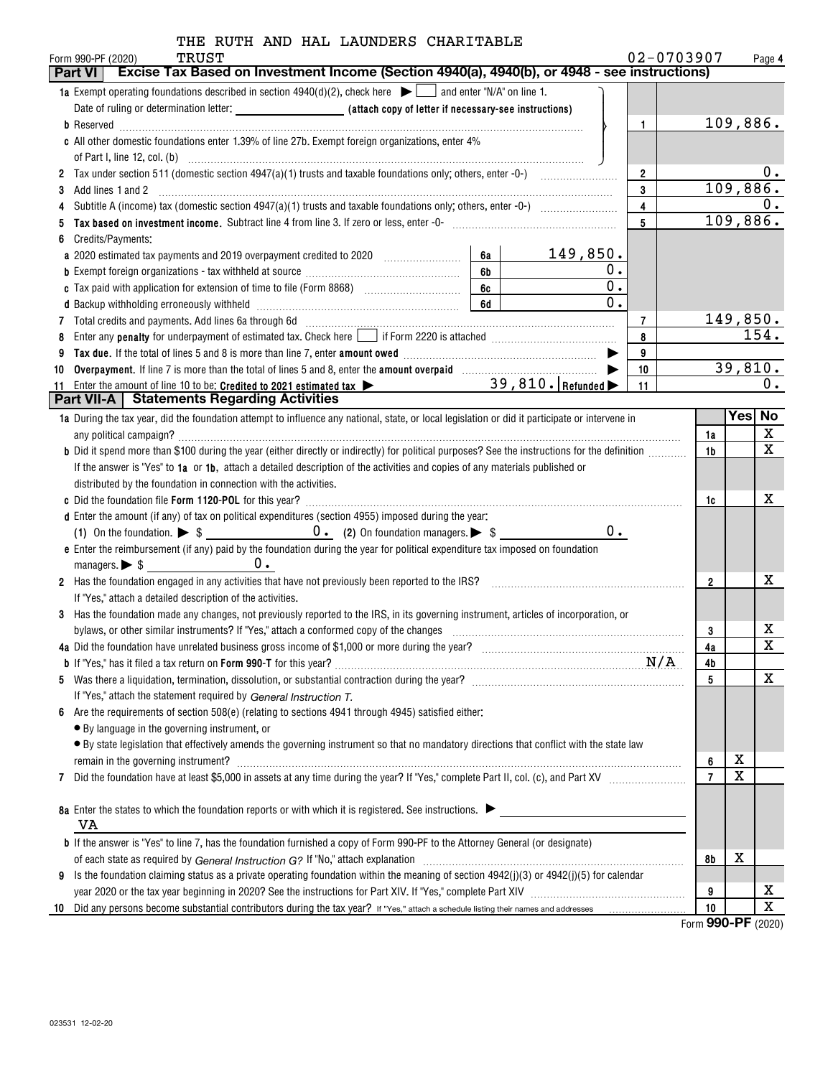| 02-0703907<br>Form 990-PF (2020)<br>Page 4<br>Excise Tax Based on Investment Income (Section 4940(a), 4940(b), or 4948 - see instructions)<br>Part VI<br><b>1a</b> Exempt operating foundations described in section $4940(d)(2)$ , check here $\Box$ and enter "N/A" on line 1.<br>109,886.<br>1<br>c All other domestic foundations enter 1.39% of line 27b. Exempt foreign organizations, enter 4%<br>υ.<br>$\overline{2}$<br>109,886.<br>$\mathbf{3}$<br>3<br>0.<br>$\overline{4}$<br>109,886.<br>$\overline{5}$<br>Credits/Payments:<br>6<br>149,850.<br>6a<br>a 2020 estimated tax payments and 2019 overpayment credited to 2020 [11, 12, 13, 13, 13, 13, 13, 13, 13, 13, 1<br>0.<br>6 <sub>b</sub><br>$\overline{0}$ .<br>6c<br>$\overline{0}$ .<br>d Backup withholding erroneously withheld manufactured and contain the control of the set of the set of the set of the set of the set of the set of the set of the set of the set of the set of the set of the set of the set<br>149,850.<br>7 Total credits and payments. Add lines 6a through 6d [11] [12] Total Conservation contracts and payments. Add lines 6a through 6d [11] [12] Total Conservation contracts and payments. Add lines 6a through 1<br>$\overline{7}$<br>154.<br>Enter any <b>penalty</b> for underpayment of estimated tax. Check here <b>1998</b> if Form 2220 is attached <i>manumumumumum</i><br>8<br>8<br>9<br>9<br>39,810.<br>Overpayment. If line 7 is more than the total of lines 5 and 8, enter the amount overpaid manuscription of the S<br>10<br>10<br>11 Enter the amount of line 10 to be: Credited to 2021 estimated tax > 39, 810. Refunded<br>0.<br>11<br><b>Part VII-A</b>   Statements Regarding Activities<br>Yes  No<br>1a During the tax year, did the foundation attempt to influence any national, state, or local legislation or did it participate or intervene in<br>X<br>1a<br>$\mathbf x$<br>b Did it spend more than \$100 during the year (either directly or indirectly) for political purposes? See the instructions for the definition<br>1b<br>If the answer is "Yes" to 1a or 1b, attach a detailed description of the activities and copies of any materials published or<br>distributed by the foundation in connection with the activities.<br>x<br>1c<br>d Enter the amount (if any) of tax on political expenditures (section 4955) imposed during the year:<br>$0$ .<br>e Enter the reimbursement (if any) paid by the foundation during the year for political expenditure tax imposed on foundation<br>$0$ .<br>x<br>2 Has the foundation engaged in any activities that have not previously been reported to the IRS?<br>$\overline{2}$<br>If "Yes," attach a detailed description of the activities.<br>3 Has the foundation made any changes, not previously reported to the IRS, in its governing instrument, articles of incorporation, or<br>х<br>3<br>$\mathbf x$<br>4a<br>4a Did the foundation have unrelated business gross income of \$1,000 or more during the year?<br>4b<br>х<br>5<br>5.<br>If "Yes," attach the statement required by General Instruction T.<br>Are the requirements of section 508(e) (relating to sections 4941 through 4945) satisfied either:<br>6.<br>• By language in the governing instrument, or<br>• By state legislation that effectively amends the governing instrument so that no mandatory directions that conflict with the state law<br>х<br>6<br>X<br>$\overline{7}$<br>7<br>8a Enter the states to which the foundation reports or with which it is registered. See instructions.<br>VA<br><b>b</b> If the answer is "Yes" to line 7, has the foundation furnished a copy of Form 990-PF to the Attorney General (or designate)<br>х<br>8b<br>Is the foundation claiming status as a private operating foundation within the meaning of section $4942(j)(3)$ or $4942(j)(5)$ for calendar<br>9<br>x<br>9<br>X<br>10<br>10 Did any persons become substantial contributors during the tax year? If "Yes," attach a schedule listing their names and addresses | TRUST | THE RUTH AND HAL LAUNDERS CHARITABLE |  |  |  |  |
|------------------------------------------------------------------------------------------------------------------------------------------------------------------------------------------------------------------------------------------------------------------------------------------------------------------------------------------------------------------------------------------------------------------------------------------------------------------------------------------------------------------------------------------------------------------------------------------------------------------------------------------------------------------------------------------------------------------------------------------------------------------------------------------------------------------------------------------------------------------------------------------------------------------------------------------------------------------------------------------------------------------------------------------------------------------------------------------------------------------------------------------------------------------------------------------------------------------------------------------------------------------------------------------------------------------------------------------------------------------------------------------------------------------------------------------------------------------------------------------------------------------------------------------------------------------------------------------------------------------------------------------------------------------------------------------------------------------------------------------------------------------------------------------------------------------------------------------------------------------------------------------------------------------------------------------------------------------------------------------------------------------------------------------------------------------------------------------------------------------------------------------------------------------------------------------------------------------------------------------------------------------------------------------------------------------------------------------------------------------------------------------------------------------------------------------------------------------------------------------------------------------------------------------------------------------------------------------------------------------------------------------------------------------------------------------------------------------------------------------------------------------------------------------------------------------------------------------------------------------------------------------------------------------------------------------------------------------------------------------------------------------------------------------------------------------------------------------------------------------------------------------------------------------------------------------------------------------------------------------------------------------------------------------------------------------------------------------------------------------------------------------------------------------------------------------------------------------------------------------------------------------------------------------------------------------------------------------------------------------------------------------------------------------------------------------------------------------------------------------------------------------------------------------------------------------------------------------------------------------------------------------------------------------------------------------------------------------------------------------------------------------------------------------------|-------|--------------------------------------|--|--|--|--|
|                                                                                                                                                                                                                                                                                                                                                                                                                                                                                                                                                                                                                                                                                                                                                                                                                                                                                                                                                                                                                                                                                                                                                                                                                                                                                                                                                                                                                                                                                                                                                                                                                                                                                                                                                                                                                                                                                                                                                                                                                                                                                                                                                                                                                                                                                                                                                                                                                                                                                                                                                                                                                                                                                                                                                                                                                                                                                                                                                                                                                                                                                                                                                                                                                                                                                                                                                                                                                                                                                                                                                                                                                                                                                                                                                                                                                                                                                                                                                                                                                                                |       |                                      |  |  |  |  |
|                                                                                                                                                                                                                                                                                                                                                                                                                                                                                                                                                                                                                                                                                                                                                                                                                                                                                                                                                                                                                                                                                                                                                                                                                                                                                                                                                                                                                                                                                                                                                                                                                                                                                                                                                                                                                                                                                                                                                                                                                                                                                                                                                                                                                                                                                                                                                                                                                                                                                                                                                                                                                                                                                                                                                                                                                                                                                                                                                                                                                                                                                                                                                                                                                                                                                                                                                                                                                                                                                                                                                                                                                                                                                                                                                                                                                                                                                                                                                                                                                                                |       |                                      |  |  |  |  |
|                                                                                                                                                                                                                                                                                                                                                                                                                                                                                                                                                                                                                                                                                                                                                                                                                                                                                                                                                                                                                                                                                                                                                                                                                                                                                                                                                                                                                                                                                                                                                                                                                                                                                                                                                                                                                                                                                                                                                                                                                                                                                                                                                                                                                                                                                                                                                                                                                                                                                                                                                                                                                                                                                                                                                                                                                                                                                                                                                                                                                                                                                                                                                                                                                                                                                                                                                                                                                                                                                                                                                                                                                                                                                                                                                                                                                                                                                                                                                                                                                                                |       |                                      |  |  |  |  |
|                                                                                                                                                                                                                                                                                                                                                                                                                                                                                                                                                                                                                                                                                                                                                                                                                                                                                                                                                                                                                                                                                                                                                                                                                                                                                                                                                                                                                                                                                                                                                                                                                                                                                                                                                                                                                                                                                                                                                                                                                                                                                                                                                                                                                                                                                                                                                                                                                                                                                                                                                                                                                                                                                                                                                                                                                                                                                                                                                                                                                                                                                                                                                                                                                                                                                                                                                                                                                                                                                                                                                                                                                                                                                                                                                                                                                                                                                                                                                                                                                                                |       |                                      |  |  |  |  |
|                                                                                                                                                                                                                                                                                                                                                                                                                                                                                                                                                                                                                                                                                                                                                                                                                                                                                                                                                                                                                                                                                                                                                                                                                                                                                                                                                                                                                                                                                                                                                                                                                                                                                                                                                                                                                                                                                                                                                                                                                                                                                                                                                                                                                                                                                                                                                                                                                                                                                                                                                                                                                                                                                                                                                                                                                                                                                                                                                                                                                                                                                                                                                                                                                                                                                                                                                                                                                                                                                                                                                                                                                                                                                                                                                                                                                                                                                                                                                                                                                                                |       |                                      |  |  |  |  |
|                                                                                                                                                                                                                                                                                                                                                                                                                                                                                                                                                                                                                                                                                                                                                                                                                                                                                                                                                                                                                                                                                                                                                                                                                                                                                                                                                                                                                                                                                                                                                                                                                                                                                                                                                                                                                                                                                                                                                                                                                                                                                                                                                                                                                                                                                                                                                                                                                                                                                                                                                                                                                                                                                                                                                                                                                                                                                                                                                                                                                                                                                                                                                                                                                                                                                                                                                                                                                                                                                                                                                                                                                                                                                                                                                                                                                                                                                                                                                                                                                                                |       |                                      |  |  |  |  |
|                                                                                                                                                                                                                                                                                                                                                                                                                                                                                                                                                                                                                                                                                                                                                                                                                                                                                                                                                                                                                                                                                                                                                                                                                                                                                                                                                                                                                                                                                                                                                                                                                                                                                                                                                                                                                                                                                                                                                                                                                                                                                                                                                                                                                                                                                                                                                                                                                                                                                                                                                                                                                                                                                                                                                                                                                                                                                                                                                                                                                                                                                                                                                                                                                                                                                                                                                                                                                                                                                                                                                                                                                                                                                                                                                                                                                                                                                                                                                                                                                                                |       |                                      |  |  |  |  |
|                                                                                                                                                                                                                                                                                                                                                                                                                                                                                                                                                                                                                                                                                                                                                                                                                                                                                                                                                                                                                                                                                                                                                                                                                                                                                                                                                                                                                                                                                                                                                                                                                                                                                                                                                                                                                                                                                                                                                                                                                                                                                                                                                                                                                                                                                                                                                                                                                                                                                                                                                                                                                                                                                                                                                                                                                                                                                                                                                                                                                                                                                                                                                                                                                                                                                                                                                                                                                                                                                                                                                                                                                                                                                                                                                                                                                                                                                                                                                                                                                                                |       |                                      |  |  |  |  |
|                                                                                                                                                                                                                                                                                                                                                                                                                                                                                                                                                                                                                                                                                                                                                                                                                                                                                                                                                                                                                                                                                                                                                                                                                                                                                                                                                                                                                                                                                                                                                                                                                                                                                                                                                                                                                                                                                                                                                                                                                                                                                                                                                                                                                                                                                                                                                                                                                                                                                                                                                                                                                                                                                                                                                                                                                                                                                                                                                                                                                                                                                                                                                                                                                                                                                                                                                                                                                                                                                                                                                                                                                                                                                                                                                                                                                                                                                                                                                                                                                                                |       |                                      |  |  |  |  |
|                                                                                                                                                                                                                                                                                                                                                                                                                                                                                                                                                                                                                                                                                                                                                                                                                                                                                                                                                                                                                                                                                                                                                                                                                                                                                                                                                                                                                                                                                                                                                                                                                                                                                                                                                                                                                                                                                                                                                                                                                                                                                                                                                                                                                                                                                                                                                                                                                                                                                                                                                                                                                                                                                                                                                                                                                                                                                                                                                                                                                                                                                                                                                                                                                                                                                                                                                                                                                                                                                                                                                                                                                                                                                                                                                                                                                                                                                                                                                                                                                                                |       |                                      |  |  |  |  |
|                                                                                                                                                                                                                                                                                                                                                                                                                                                                                                                                                                                                                                                                                                                                                                                                                                                                                                                                                                                                                                                                                                                                                                                                                                                                                                                                                                                                                                                                                                                                                                                                                                                                                                                                                                                                                                                                                                                                                                                                                                                                                                                                                                                                                                                                                                                                                                                                                                                                                                                                                                                                                                                                                                                                                                                                                                                                                                                                                                                                                                                                                                                                                                                                                                                                                                                                                                                                                                                                                                                                                                                                                                                                                                                                                                                                                                                                                                                                                                                                                                                |       |                                      |  |  |  |  |
|                                                                                                                                                                                                                                                                                                                                                                                                                                                                                                                                                                                                                                                                                                                                                                                                                                                                                                                                                                                                                                                                                                                                                                                                                                                                                                                                                                                                                                                                                                                                                                                                                                                                                                                                                                                                                                                                                                                                                                                                                                                                                                                                                                                                                                                                                                                                                                                                                                                                                                                                                                                                                                                                                                                                                                                                                                                                                                                                                                                                                                                                                                                                                                                                                                                                                                                                                                                                                                                                                                                                                                                                                                                                                                                                                                                                                                                                                                                                                                                                                                                |       |                                      |  |  |  |  |
|                                                                                                                                                                                                                                                                                                                                                                                                                                                                                                                                                                                                                                                                                                                                                                                                                                                                                                                                                                                                                                                                                                                                                                                                                                                                                                                                                                                                                                                                                                                                                                                                                                                                                                                                                                                                                                                                                                                                                                                                                                                                                                                                                                                                                                                                                                                                                                                                                                                                                                                                                                                                                                                                                                                                                                                                                                                                                                                                                                                                                                                                                                                                                                                                                                                                                                                                                                                                                                                                                                                                                                                                                                                                                                                                                                                                                                                                                                                                                                                                                                                |       |                                      |  |  |  |  |
|                                                                                                                                                                                                                                                                                                                                                                                                                                                                                                                                                                                                                                                                                                                                                                                                                                                                                                                                                                                                                                                                                                                                                                                                                                                                                                                                                                                                                                                                                                                                                                                                                                                                                                                                                                                                                                                                                                                                                                                                                                                                                                                                                                                                                                                                                                                                                                                                                                                                                                                                                                                                                                                                                                                                                                                                                                                                                                                                                                                                                                                                                                                                                                                                                                                                                                                                                                                                                                                                                                                                                                                                                                                                                                                                                                                                                                                                                                                                                                                                                                                |       |                                      |  |  |  |  |
|                                                                                                                                                                                                                                                                                                                                                                                                                                                                                                                                                                                                                                                                                                                                                                                                                                                                                                                                                                                                                                                                                                                                                                                                                                                                                                                                                                                                                                                                                                                                                                                                                                                                                                                                                                                                                                                                                                                                                                                                                                                                                                                                                                                                                                                                                                                                                                                                                                                                                                                                                                                                                                                                                                                                                                                                                                                                                                                                                                                                                                                                                                                                                                                                                                                                                                                                                                                                                                                                                                                                                                                                                                                                                                                                                                                                                                                                                                                                                                                                                                                |       |                                      |  |  |  |  |
|                                                                                                                                                                                                                                                                                                                                                                                                                                                                                                                                                                                                                                                                                                                                                                                                                                                                                                                                                                                                                                                                                                                                                                                                                                                                                                                                                                                                                                                                                                                                                                                                                                                                                                                                                                                                                                                                                                                                                                                                                                                                                                                                                                                                                                                                                                                                                                                                                                                                                                                                                                                                                                                                                                                                                                                                                                                                                                                                                                                                                                                                                                                                                                                                                                                                                                                                                                                                                                                                                                                                                                                                                                                                                                                                                                                                                                                                                                                                                                                                                                                |       |                                      |  |  |  |  |
|                                                                                                                                                                                                                                                                                                                                                                                                                                                                                                                                                                                                                                                                                                                                                                                                                                                                                                                                                                                                                                                                                                                                                                                                                                                                                                                                                                                                                                                                                                                                                                                                                                                                                                                                                                                                                                                                                                                                                                                                                                                                                                                                                                                                                                                                                                                                                                                                                                                                                                                                                                                                                                                                                                                                                                                                                                                                                                                                                                                                                                                                                                                                                                                                                                                                                                                                                                                                                                                                                                                                                                                                                                                                                                                                                                                                                                                                                                                                                                                                                                                |       |                                      |  |  |  |  |
|                                                                                                                                                                                                                                                                                                                                                                                                                                                                                                                                                                                                                                                                                                                                                                                                                                                                                                                                                                                                                                                                                                                                                                                                                                                                                                                                                                                                                                                                                                                                                                                                                                                                                                                                                                                                                                                                                                                                                                                                                                                                                                                                                                                                                                                                                                                                                                                                                                                                                                                                                                                                                                                                                                                                                                                                                                                                                                                                                                                                                                                                                                                                                                                                                                                                                                                                                                                                                                                                                                                                                                                                                                                                                                                                                                                                                                                                                                                                                                                                                                                |       |                                      |  |  |  |  |
|                                                                                                                                                                                                                                                                                                                                                                                                                                                                                                                                                                                                                                                                                                                                                                                                                                                                                                                                                                                                                                                                                                                                                                                                                                                                                                                                                                                                                                                                                                                                                                                                                                                                                                                                                                                                                                                                                                                                                                                                                                                                                                                                                                                                                                                                                                                                                                                                                                                                                                                                                                                                                                                                                                                                                                                                                                                                                                                                                                                                                                                                                                                                                                                                                                                                                                                                                                                                                                                                                                                                                                                                                                                                                                                                                                                                                                                                                                                                                                                                                                                |       |                                      |  |  |  |  |
|                                                                                                                                                                                                                                                                                                                                                                                                                                                                                                                                                                                                                                                                                                                                                                                                                                                                                                                                                                                                                                                                                                                                                                                                                                                                                                                                                                                                                                                                                                                                                                                                                                                                                                                                                                                                                                                                                                                                                                                                                                                                                                                                                                                                                                                                                                                                                                                                                                                                                                                                                                                                                                                                                                                                                                                                                                                                                                                                                                                                                                                                                                                                                                                                                                                                                                                                                                                                                                                                                                                                                                                                                                                                                                                                                                                                                                                                                                                                                                                                                                                |       |                                      |  |  |  |  |
|                                                                                                                                                                                                                                                                                                                                                                                                                                                                                                                                                                                                                                                                                                                                                                                                                                                                                                                                                                                                                                                                                                                                                                                                                                                                                                                                                                                                                                                                                                                                                                                                                                                                                                                                                                                                                                                                                                                                                                                                                                                                                                                                                                                                                                                                                                                                                                                                                                                                                                                                                                                                                                                                                                                                                                                                                                                                                                                                                                                                                                                                                                                                                                                                                                                                                                                                                                                                                                                                                                                                                                                                                                                                                                                                                                                                                                                                                                                                                                                                                                                |       |                                      |  |  |  |  |
|                                                                                                                                                                                                                                                                                                                                                                                                                                                                                                                                                                                                                                                                                                                                                                                                                                                                                                                                                                                                                                                                                                                                                                                                                                                                                                                                                                                                                                                                                                                                                                                                                                                                                                                                                                                                                                                                                                                                                                                                                                                                                                                                                                                                                                                                                                                                                                                                                                                                                                                                                                                                                                                                                                                                                                                                                                                                                                                                                                                                                                                                                                                                                                                                                                                                                                                                                                                                                                                                                                                                                                                                                                                                                                                                                                                                                                                                                                                                                                                                                                                |       |                                      |  |  |  |  |
|                                                                                                                                                                                                                                                                                                                                                                                                                                                                                                                                                                                                                                                                                                                                                                                                                                                                                                                                                                                                                                                                                                                                                                                                                                                                                                                                                                                                                                                                                                                                                                                                                                                                                                                                                                                                                                                                                                                                                                                                                                                                                                                                                                                                                                                                                                                                                                                                                                                                                                                                                                                                                                                                                                                                                                                                                                                                                                                                                                                                                                                                                                                                                                                                                                                                                                                                                                                                                                                                                                                                                                                                                                                                                                                                                                                                                                                                                                                                                                                                                                                |       |                                      |  |  |  |  |
|                                                                                                                                                                                                                                                                                                                                                                                                                                                                                                                                                                                                                                                                                                                                                                                                                                                                                                                                                                                                                                                                                                                                                                                                                                                                                                                                                                                                                                                                                                                                                                                                                                                                                                                                                                                                                                                                                                                                                                                                                                                                                                                                                                                                                                                                                                                                                                                                                                                                                                                                                                                                                                                                                                                                                                                                                                                                                                                                                                                                                                                                                                                                                                                                                                                                                                                                                                                                                                                                                                                                                                                                                                                                                                                                                                                                                                                                                                                                                                                                                                                |       |                                      |  |  |  |  |
|                                                                                                                                                                                                                                                                                                                                                                                                                                                                                                                                                                                                                                                                                                                                                                                                                                                                                                                                                                                                                                                                                                                                                                                                                                                                                                                                                                                                                                                                                                                                                                                                                                                                                                                                                                                                                                                                                                                                                                                                                                                                                                                                                                                                                                                                                                                                                                                                                                                                                                                                                                                                                                                                                                                                                                                                                                                                                                                                                                                                                                                                                                                                                                                                                                                                                                                                                                                                                                                                                                                                                                                                                                                                                                                                                                                                                                                                                                                                                                                                                                                |       |                                      |  |  |  |  |
|                                                                                                                                                                                                                                                                                                                                                                                                                                                                                                                                                                                                                                                                                                                                                                                                                                                                                                                                                                                                                                                                                                                                                                                                                                                                                                                                                                                                                                                                                                                                                                                                                                                                                                                                                                                                                                                                                                                                                                                                                                                                                                                                                                                                                                                                                                                                                                                                                                                                                                                                                                                                                                                                                                                                                                                                                                                                                                                                                                                                                                                                                                                                                                                                                                                                                                                                                                                                                                                                                                                                                                                                                                                                                                                                                                                                                                                                                                                                                                                                                                                |       |                                      |  |  |  |  |
|                                                                                                                                                                                                                                                                                                                                                                                                                                                                                                                                                                                                                                                                                                                                                                                                                                                                                                                                                                                                                                                                                                                                                                                                                                                                                                                                                                                                                                                                                                                                                                                                                                                                                                                                                                                                                                                                                                                                                                                                                                                                                                                                                                                                                                                                                                                                                                                                                                                                                                                                                                                                                                                                                                                                                                                                                                                                                                                                                                                                                                                                                                                                                                                                                                                                                                                                                                                                                                                                                                                                                                                                                                                                                                                                                                                                                                                                                                                                                                                                                                                |       |                                      |  |  |  |  |
|                                                                                                                                                                                                                                                                                                                                                                                                                                                                                                                                                                                                                                                                                                                                                                                                                                                                                                                                                                                                                                                                                                                                                                                                                                                                                                                                                                                                                                                                                                                                                                                                                                                                                                                                                                                                                                                                                                                                                                                                                                                                                                                                                                                                                                                                                                                                                                                                                                                                                                                                                                                                                                                                                                                                                                                                                                                                                                                                                                                                                                                                                                                                                                                                                                                                                                                                                                                                                                                                                                                                                                                                                                                                                                                                                                                                                                                                                                                                                                                                                                                |       |                                      |  |  |  |  |
|                                                                                                                                                                                                                                                                                                                                                                                                                                                                                                                                                                                                                                                                                                                                                                                                                                                                                                                                                                                                                                                                                                                                                                                                                                                                                                                                                                                                                                                                                                                                                                                                                                                                                                                                                                                                                                                                                                                                                                                                                                                                                                                                                                                                                                                                                                                                                                                                                                                                                                                                                                                                                                                                                                                                                                                                                                                                                                                                                                                                                                                                                                                                                                                                                                                                                                                                                                                                                                                                                                                                                                                                                                                                                                                                                                                                                                                                                                                                                                                                                                                |       |                                      |  |  |  |  |
|                                                                                                                                                                                                                                                                                                                                                                                                                                                                                                                                                                                                                                                                                                                                                                                                                                                                                                                                                                                                                                                                                                                                                                                                                                                                                                                                                                                                                                                                                                                                                                                                                                                                                                                                                                                                                                                                                                                                                                                                                                                                                                                                                                                                                                                                                                                                                                                                                                                                                                                                                                                                                                                                                                                                                                                                                                                                                                                                                                                                                                                                                                                                                                                                                                                                                                                                                                                                                                                                                                                                                                                                                                                                                                                                                                                                                                                                                                                                                                                                                                                |       |                                      |  |  |  |  |
|                                                                                                                                                                                                                                                                                                                                                                                                                                                                                                                                                                                                                                                                                                                                                                                                                                                                                                                                                                                                                                                                                                                                                                                                                                                                                                                                                                                                                                                                                                                                                                                                                                                                                                                                                                                                                                                                                                                                                                                                                                                                                                                                                                                                                                                                                                                                                                                                                                                                                                                                                                                                                                                                                                                                                                                                                                                                                                                                                                                                                                                                                                                                                                                                                                                                                                                                                                                                                                                                                                                                                                                                                                                                                                                                                                                                                                                                                                                                                                                                                                                |       |                                      |  |  |  |  |
|                                                                                                                                                                                                                                                                                                                                                                                                                                                                                                                                                                                                                                                                                                                                                                                                                                                                                                                                                                                                                                                                                                                                                                                                                                                                                                                                                                                                                                                                                                                                                                                                                                                                                                                                                                                                                                                                                                                                                                                                                                                                                                                                                                                                                                                                                                                                                                                                                                                                                                                                                                                                                                                                                                                                                                                                                                                                                                                                                                                                                                                                                                                                                                                                                                                                                                                                                                                                                                                                                                                                                                                                                                                                                                                                                                                                                                                                                                                                                                                                                                                |       |                                      |  |  |  |  |
|                                                                                                                                                                                                                                                                                                                                                                                                                                                                                                                                                                                                                                                                                                                                                                                                                                                                                                                                                                                                                                                                                                                                                                                                                                                                                                                                                                                                                                                                                                                                                                                                                                                                                                                                                                                                                                                                                                                                                                                                                                                                                                                                                                                                                                                                                                                                                                                                                                                                                                                                                                                                                                                                                                                                                                                                                                                                                                                                                                                                                                                                                                                                                                                                                                                                                                                                                                                                                                                                                                                                                                                                                                                                                                                                                                                                                                                                                                                                                                                                                                                |       |                                      |  |  |  |  |
|                                                                                                                                                                                                                                                                                                                                                                                                                                                                                                                                                                                                                                                                                                                                                                                                                                                                                                                                                                                                                                                                                                                                                                                                                                                                                                                                                                                                                                                                                                                                                                                                                                                                                                                                                                                                                                                                                                                                                                                                                                                                                                                                                                                                                                                                                                                                                                                                                                                                                                                                                                                                                                                                                                                                                                                                                                                                                                                                                                                                                                                                                                                                                                                                                                                                                                                                                                                                                                                                                                                                                                                                                                                                                                                                                                                                                                                                                                                                                                                                                                                |       |                                      |  |  |  |  |
|                                                                                                                                                                                                                                                                                                                                                                                                                                                                                                                                                                                                                                                                                                                                                                                                                                                                                                                                                                                                                                                                                                                                                                                                                                                                                                                                                                                                                                                                                                                                                                                                                                                                                                                                                                                                                                                                                                                                                                                                                                                                                                                                                                                                                                                                                                                                                                                                                                                                                                                                                                                                                                                                                                                                                                                                                                                                                                                                                                                                                                                                                                                                                                                                                                                                                                                                                                                                                                                                                                                                                                                                                                                                                                                                                                                                                                                                                                                                                                                                                                                |       |                                      |  |  |  |  |
|                                                                                                                                                                                                                                                                                                                                                                                                                                                                                                                                                                                                                                                                                                                                                                                                                                                                                                                                                                                                                                                                                                                                                                                                                                                                                                                                                                                                                                                                                                                                                                                                                                                                                                                                                                                                                                                                                                                                                                                                                                                                                                                                                                                                                                                                                                                                                                                                                                                                                                                                                                                                                                                                                                                                                                                                                                                                                                                                                                                                                                                                                                                                                                                                                                                                                                                                                                                                                                                                                                                                                                                                                                                                                                                                                                                                                                                                                                                                                                                                                                                |       |                                      |  |  |  |  |
|                                                                                                                                                                                                                                                                                                                                                                                                                                                                                                                                                                                                                                                                                                                                                                                                                                                                                                                                                                                                                                                                                                                                                                                                                                                                                                                                                                                                                                                                                                                                                                                                                                                                                                                                                                                                                                                                                                                                                                                                                                                                                                                                                                                                                                                                                                                                                                                                                                                                                                                                                                                                                                                                                                                                                                                                                                                                                                                                                                                                                                                                                                                                                                                                                                                                                                                                                                                                                                                                                                                                                                                                                                                                                                                                                                                                                                                                                                                                                                                                                                                |       |                                      |  |  |  |  |
|                                                                                                                                                                                                                                                                                                                                                                                                                                                                                                                                                                                                                                                                                                                                                                                                                                                                                                                                                                                                                                                                                                                                                                                                                                                                                                                                                                                                                                                                                                                                                                                                                                                                                                                                                                                                                                                                                                                                                                                                                                                                                                                                                                                                                                                                                                                                                                                                                                                                                                                                                                                                                                                                                                                                                                                                                                                                                                                                                                                                                                                                                                                                                                                                                                                                                                                                                                                                                                                                                                                                                                                                                                                                                                                                                                                                                                                                                                                                                                                                                                                |       |                                      |  |  |  |  |
|                                                                                                                                                                                                                                                                                                                                                                                                                                                                                                                                                                                                                                                                                                                                                                                                                                                                                                                                                                                                                                                                                                                                                                                                                                                                                                                                                                                                                                                                                                                                                                                                                                                                                                                                                                                                                                                                                                                                                                                                                                                                                                                                                                                                                                                                                                                                                                                                                                                                                                                                                                                                                                                                                                                                                                                                                                                                                                                                                                                                                                                                                                                                                                                                                                                                                                                                                                                                                                                                                                                                                                                                                                                                                                                                                                                                                                                                                                                                                                                                                                                |       |                                      |  |  |  |  |
|                                                                                                                                                                                                                                                                                                                                                                                                                                                                                                                                                                                                                                                                                                                                                                                                                                                                                                                                                                                                                                                                                                                                                                                                                                                                                                                                                                                                                                                                                                                                                                                                                                                                                                                                                                                                                                                                                                                                                                                                                                                                                                                                                                                                                                                                                                                                                                                                                                                                                                                                                                                                                                                                                                                                                                                                                                                                                                                                                                                                                                                                                                                                                                                                                                                                                                                                                                                                                                                                                                                                                                                                                                                                                                                                                                                                                                                                                                                                                                                                                                                |       |                                      |  |  |  |  |
|                                                                                                                                                                                                                                                                                                                                                                                                                                                                                                                                                                                                                                                                                                                                                                                                                                                                                                                                                                                                                                                                                                                                                                                                                                                                                                                                                                                                                                                                                                                                                                                                                                                                                                                                                                                                                                                                                                                                                                                                                                                                                                                                                                                                                                                                                                                                                                                                                                                                                                                                                                                                                                                                                                                                                                                                                                                                                                                                                                                                                                                                                                                                                                                                                                                                                                                                                                                                                                                                                                                                                                                                                                                                                                                                                                                                                                                                                                                                                                                                                                                |       |                                      |  |  |  |  |
|                                                                                                                                                                                                                                                                                                                                                                                                                                                                                                                                                                                                                                                                                                                                                                                                                                                                                                                                                                                                                                                                                                                                                                                                                                                                                                                                                                                                                                                                                                                                                                                                                                                                                                                                                                                                                                                                                                                                                                                                                                                                                                                                                                                                                                                                                                                                                                                                                                                                                                                                                                                                                                                                                                                                                                                                                                                                                                                                                                                                                                                                                                                                                                                                                                                                                                                                                                                                                                                                                                                                                                                                                                                                                                                                                                                                                                                                                                                                                                                                                                                |       |                                      |  |  |  |  |
|                                                                                                                                                                                                                                                                                                                                                                                                                                                                                                                                                                                                                                                                                                                                                                                                                                                                                                                                                                                                                                                                                                                                                                                                                                                                                                                                                                                                                                                                                                                                                                                                                                                                                                                                                                                                                                                                                                                                                                                                                                                                                                                                                                                                                                                                                                                                                                                                                                                                                                                                                                                                                                                                                                                                                                                                                                                                                                                                                                                                                                                                                                                                                                                                                                                                                                                                                                                                                                                                                                                                                                                                                                                                                                                                                                                                                                                                                                                                                                                                                                                |       |                                      |  |  |  |  |
|                                                                                                                                                                                                                                                                                                                                                                                                                                                                                                                                                                                                                                                                                                                                                                                                                                                                                                                                                                                                                                                                                                                                                                                                                                                                                                                                                                                                                                                                                                                                                                                                                                                                                                                                                                                                                                                                                                                                                                                                                                                                                                                                                                                                                                                                                                                                                                                                                                                                                                                                                                                                                                                                                                                                                                                                                                                                                                                                                                                                                                                                                                                                                                                                                                                                                                                                                                                                                                                                                                                                                                                                                                                                                                                                                                                                                                                                                                                                                                                                                                                |       |                                      |  |  |  |  |
|                                                                                                                                                                                                                                                                                                                                                                                                                                                                                                                                                                                                                                                                                                                                                                                                                                                                                                                                                                                                                                                                                                                                                                                                                                                                                                                                                                                                                                                                                                                                                                                                                                                                                                                                                                                                                                                                                                                                                                                                                                                                                                                                                                                                                                                                                                                                                                                                                                                                                                                                                                                                                                                                                                                                                                                                                                                                                                                                                                                                                                                                                                                                                                                                                                                                                                                                                                                                                                                                                                                                                                                                                                                                                                                                                                                                                                                                                                                                                                                                                                                |       |                                      |  |  |  |  |
|                                                                                                                                                                                                                                                                                                                                                                                                                                                                                                                                                                                                                                                                                                                                                                                                                                                                                                                                                                                                                                                                                                                                                                                                                                                                                                                                                                                                                                                                                                                                                                                                                                                                                                                                                                                                                                                                                                                                                                                                                                                                                                                                                                                                                                                                                                                                                                                                                                                                                                                                                                                                                                                                                                                                                                                                                                                                                                                                                                                                                                                                                                                                                                                                                                                                                                                                                                                                                                                                                                                                                                                                                                                                                                                                                                                                                                                                                                                                                                                                                                                |       |                                      |  |  |  |  |
|                                                                                                                                                                                                                                                                                                                                                                                                                                                                                                                                                                                                                                                                                                                                                                                                                                                                                                                                                                                                                                                                                                                                                                                                                                                                                                                                                                                                                                                                                                                                                                                                                                                                                                                                                                                                                                                                                                                                                                                                                                                                                                                                                                                                                                                                                                                                                                                                                                                                                                                                                                                                                                                                                                                                                                                                                                                                                                                                                                                                                                                                                                                                                                                                                                                                                                                                                                                                                                                                                                                                                                                                                                                                                                                                                                                                                                                                                                                                                                                                                                                |       |                                      |  |  |  |  |
|                                                                                                                                                                                                                                                                                                                                                                                                                                                                                                                                                                                                                                                                                                                                                                                                                                                                                                                                                                                                                                                                                                                                                                                                                                                                                                                                                                                                                                                                                                                                                                                                                                                                                                                                                                                                                                                                                                                                                                                                                                                                                                                                                                                                                                                                                                                                                                                                                                                                                                                                                                                                                                                                                                                                                                                                                                                                                                                                                                                                                                                                                                                                                                                                                                                                                                                                                                                                                                                                                                                                                                                                                                                                                                                                                                                                                                                                                                                                                                                                                                                |       |                                      |  |  |  |  |
|                                                                                                                                                                                                                                                                                                                                                                                                                                                                                                                                                                                                                                                                                                                                                                                                                                                                                                                                                                                                                                                                                                                                                                                                                                                                                                                                                                                                                                                                                                                                                                                                                                                                                                                                                                                                                                                                                                                                                                                                                                                                                                                                                                                                                                                                                                                                                                                                                                                                                                                                                                                                                                                                                                                                                                                                                                                                                                                                                                                                                                                                                                                                                                                                                                                                                                                                                                                                                                                                                                                                                                                                                                                                                                                                                                                                                                                                                                                                                                                                                                                |       |                                      |  |  |  |  |
|                                                                                                                                                                                                                                                                                                                                                                                                                                                                                                                                                                                                                                                                                                                                                                                                                                                                                                                                                                                                                                                                                                                                                                                                                                                                                                                                                                                                                                                                                                                                                                                                                                                                                                                                                                                                                                                                                                                                                                                                                                                                                                                                                                                                                                                                                                                                                                                                                                                                                                                                                                                                                                                                                                                                                                                                                                                                                                                                                                                                                                                                                                                                                                                                                                                                                                                                                                                                                                                                                                                                                                                                                                                                                                                                                                                                                                                                                                                                                                                                                                                |       |                                      |  |  |  |  |
|                                                                                                                                                                                                                                                                                                                                                                                                                                                                                                                                                                                                                                                                                                                                                                                                                                                                                                                                                                                                                                                                                                                                                                                                                                                                                                                                                                                                                                                                                                                                                                                                                                                                                                                                                                                                                                                                                                                                                                                                                                                                                                                                                                                                                                                                                                                                                                                                                                                                                                                                                                                                                                                                                                                                                                                                                                                                                                                                                                                                                                                                                                                                                                                                                                                                                                                                                                                                                                                                                                                                                                                                                                                                                                                                                                                                                                                                                                                                                                                                                                                |       |                                      |  |  |  |  |
| $\sim$ $\sim$ $\sim$                                                                                                                                                                                                                                                                                                                                                                                                                                                                                                                                                                                                                                                                                                                                                                                                                                                                                                                                                                                                                                                                                                                                                                                                                                                                                                                                                                                                                                                                                                                                                                                                                                                                                                                                                                                                                                                                                                                                                                                                                                                                                                                                                                                                                                                                                                                                                                                                                                                                                                                                                                                                                                                                                                                                                                                                                                                                                                                                                                                                                                                                                                                                                                                                                                                                                                                                                                                                                                                                                                                                                                                                                                                                                                                                                                                                                                                                                                                                                                                                                           |       |                                      |  |  |  |  |

Form (2020) **990-PF**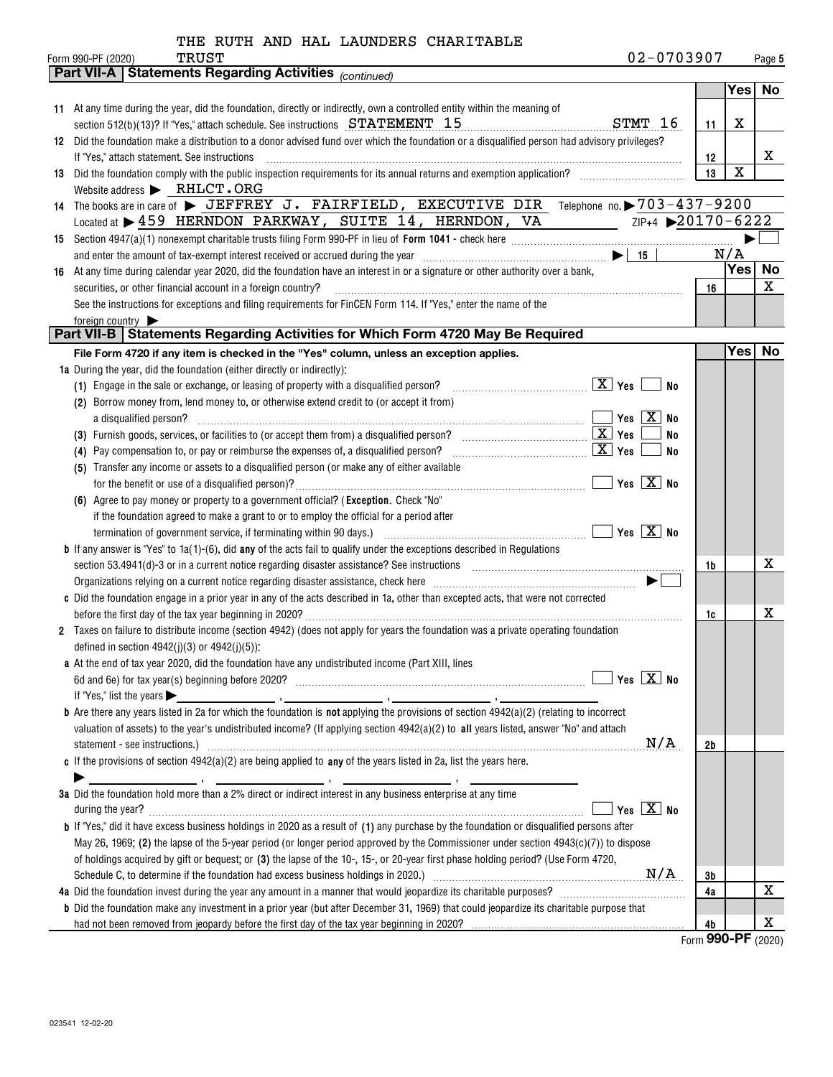| 02-0703907<br>Form 990-PF (2020)<br>Page 5<br><b>Statements Regarding Activities (continued)</b><br>Part VII-A<br>Yes No<br>11 At any time during the year, did the foundation, directly or indirectly, own a controlled entity within the meaning of<br>STMT 16<br>section 512(b)(13)? If "Yes," attach schedule. See instructions STATEMENT 15<br>х<br>11<br>Did the foundation make a distribution to a donor advised fund over which the foundation or a disqualified person had advisory privileges?<br>12<br>x<br>If "Yes," attach statement. See instructions<br>12<br>X<br>13<br>Did the foundation comply with the public inspection requirements for its annual returns and exemption application?<br>13<br>Website address > RHLCT.ORG<br>14 The books are in care of > JEFFREY J. FAIRFIELD, EXECUTIVE DIR Telephone no. > 703-437-9200<br>Located at > 459 HERNDON PARKWAY, SUITE 14, HERNDON, VA<br>ZIP+4 20170-6222<br>N/A<br>$\blacksquare$<br>and enter the amount of tax-exempt interest received or accrued during the year<br>No<br>Yes <br>At any time during calendar year 2020, did the foundation have an interest in or a signature or other authority over a bank,<br>16<br>X<br>16<br>securities, or other financial account in a foreign country?<br>See the instructions for exceptions and filing requirements for FinCEN Form 114. If "Yes," enter the name of the<br>foreign country<br>Part VII-B   Statements Regarding Activities for Which Form 4720 May Be Required<br>Yes <br><b>No</b><br>File Form 4720 if any item is checked in the "Yes" column, unless an exception applies.<br>1a During the year, did the foundation (either directly or indirectly):<br>$\boxed{\text{X}}$ Yes<br>(1) Engage in the sale or exchange, or leasing of property with a disqualified person?<br>No<br>(2) Borrow money from, lend money to, or otherwise extend credit to (or accept it from)<br>Yes $X$ No<br>a disqualified person?<br>No<br>$\boxed{\mathbf{X}}$ Yes<br>(4) Pay compensation to, or pay or reimburse the expenses of, a disqualified person?<br>No<br>(5) Transfer any income or assets to a disqualified person (or make any of either available<br>Yes $\boxed{\text{X}}$ No<br>for the benefit or use of a disqualified person)?<br>(6) Agree to pay money or property to a government official? (Exception. Check "No"<br>if the foundation agreed to make a grant to or to employ the official for a period after<br>$\sqrt{}$ Yes $\sqrt{}$ No<br>termination of government service, if terminating within 90 days.) [10] manufactures in the service contraction of government service, if terminating within 90 days.) [10] manufactures in the service of the service of the<br><b>b</b> If any answer is "Yes" to $1a(1)-(6)$ , did any of the acts fail to qualify under the exceptions described in Regulations<br>x<br>section 53.4941(d)-3 or in a current notice regarding disaster assistance? See instructions [11] successive management contains the section 53.4941(d)-3 or in a current notice regarding disaster assistance? See instruction<br>1b<br>c Did the foundation engage in a prior year in any of the acts described in 1a, other than excepted acts, that were not corrected<br>x<br>before the first day of the tax year beginning in 2020?<br>1c<br>Taxes on failure to distribute income (section 4942) (does not apply for years the foundation was a private operating foundation<br>defined in section $4942(j)(3)$ or $4942(j)(5)$ ):<br>a At the end of tax year 2020, did the foundation have any undistributed income (Part XIII, lines<br>Yes $X$ No<br>If "Yes," list the years $\blacktriangleright$<br><b>b</b> Are there any years listed in 2a for which the foundation is <b>not</b> applying the provisions of section $4942(a)(2)$ (relating to incorrect<br>valuation of assets) to the year's undistributed income? (If applying section $4942(a)(2)$ to all years listed, answer "No" and attach<br>N/A<br>statement - see instructions.) 2000 minimum contract and the intervention of the intervention of the intervention of the intervention of the intervention of the intervention of the intervention of the intervention of the i<br>2b<br>c If the provisions of section $4942(a)(2)$ are being applied to any of the years listed in 2a, list the years here.<br>3a Did the foundation hold more than a 2% direct or indirect interest in any business enterprise at any time<br>Yes $X$ No<br><b>b</b> If "Yes," did it have excess business holdings in 2020 as a result of (1) any purchase by the foundation or disqualified persons after<br>May 26, 1969; (2) the lapse of the 5-year period (or longer period approved by the Commissioner under section $4943(c)(7)$ ) to dispose<br>of holdings acquired by gift or bequest; or (3) the lapse of the 10-, 15-, or 20-year first phase holding period? (Use Form 4720,<br>3b<br>х<br>4a | THE RUTH AND HAL LAUNDERS CHARITABLE                                                                                                            |  |  |
|----------------------------------------------------------------------------------------------------------------------------------------------------------------------------------------------------------------------------------------------------------------------------------------------------------------------------------------------------------------------------------------------------------------------------------------------------------------------------------------------------------------------------------------------------------------------------------------------------------------------------------------------------------------------------------------------------------------------------------------------------------------------------------------------------------------------------------------------------------------------------------------------------------------------------------------------------------------------------------------------------------------------------------------------------------------------------------------------------------------------------------------------------------------------------------------------------------------------------------------------------------------------------------------------------------------------------------------------------------------------------------------------------------------------------------------------------------------------------------------------------------------------------------------------------------------------------------------------------------------------------------------------------------------------------------------------------------------------------------------------------------------------------------------------------------------------------------------------------------------------------------------------------------------------------------------------------------------------------------------------------------------------------------------------------------------------------------------------------------------------------------------------------------------------------------------------------------------------------------------------------------------------------------------------------------------------------------------------------------------------------------------------------------------------------------------------------------------------------------------------------------------------------------------------------------------------------------------------------------------------------------------------------------------------------------------------------------------------------------------------------------------------------------------------------------------------------------------------------------------------------------------------------------------------------------------------------------------------------------------------------------------------------------------------------------------------------------------------------------------------------------------------------------------------------------------------------------------------------------------------------------------------------------------------------------------------------------------------------------------------------------------------------------------------------------------------------------------------------------------------------------------------------------------------------------------------------------------------------------------------------------------------------------------------------------------------------------------------------------------------------------------------------------------------------------------------------------------------------------------------------------------------------------------------------------------------------------------------------------------------------------------------------------------------------------------------------------------------------------------------------------------------------------------------------------------------------------------------------------------------------------------------------------------------------------------------------------------------------------------------------------------------------------------------------------------------------------------------------------------------------------------------------------------------------------------------------------------------------------------------------------------------------------------------------------------------------------------------------------------------------------------------------------------------------------------------------------------------------------------------------------------------------------------------------------------------------------------|-------------------------------------------------------------------------------------------------------------------------------------------------|--|--|
|                                                                                                                                                                                                                                                                                                                                                                                                                                                                                                                                                                                                                                                                                                                                                                                                                                                                                                                                                                                                                                                                                                                                                                                                                                                                                                                                                                                                                                                                                                                                                                                                                                                                                                                                                                                                                                                                                                                                                                                                                                                                                                                                                                                                                                                                                                                                                                                                                                                                                                                                                                                                                                                                                                                                                                                                                                                                                                                                                                                                                                                                                                                                                                                                                                                                                                                                                                                                                                                                                                                                                                                                                                                                                                                                                                                                                                                                                                                                                                                                                                                                                                                                                                                                                                                                                                                                                                                                                                                                                                                                                                                                                                                                                                                                                                                                                                                                                                                                                                | TRUST                                                                                                                                           |  |  |
|                                                                                                                                                                                                                                                                                                                                                                                                                                                                                                                                                                                                                                                                                                                                                                                                                                                                                                                                                                                                                                                                                                                                                                                                                                                                                                                                                                                                                                                                                                                                                                                                                                                                                                                                                                                                                                                                                                                                                                                                                                                                                                                                                                                                                                                                                                                                                                                                                                                                                                                                                                                                                                                                                                                                                                                                                                                                                                                                                                                                                                                                                                                                                                                                                                                                                                                                                                                                                                                                                                                                                                                                                                                                                                                                                                                                                                                                                                                                                                                                                                                                                                                                                                                                                                                                                                                                                                                                                                                                                                                                                                                                                                                                                                                                                                                                                                                                                                                                                                |                                                                                                                                                 |  |  |
|                                                                                                                                                                                                                                                                                                                                                                                                                                                                                                                                                                                                                                                                                                                                                                                                                                                                                                                                                                                                                                                                                                                                                                                                                                                                                                                                                                                                                                                                                                                                                                                                                                                                                                                                                                                                                                                                                                                                                                                                                                                                                                                                                                                                                                                                                                                                                                                                                                                                                                                                                                                                                                                                                                                                                                                                                                                                                                                                                                                                                                                                                                                                                                                                                                                                                                                                                                                                                                                                                                                                                                                                                                                                                                                                                                                                                                                                                                                                                                                                                                                                                                                                                                                                                                                                                                                                                                                                                                                                                                                                                                                                                                                                                                                                                                                                                                                                                                                                                                |                                                                                                                                                 |  |  |
|                                                                                                                                                                                                                                                                                                                                                                                                                                                                                                                                                                                                                                                                                                                                                                                                                                                                                                                                                                                                                                                                                                                                                                                                                                                                                                                                                                                                                                                                                                                                                                                                                                                                                                                                                                                                                                                                                                                                                                                                                                                                                                                                                                                                                                                                                                                                                                                                                                                                                                                                                                                                                                                                                                                                                                                                                                                                                                                                                                                                                                                                                                                                                                                                                                                                                                                                                                                                                                                                                                                                                                                                                                                                                                                                                                                                                                                                                                                                                                                                                                                                                                                                                                                                                                                                                                                                                                                                                                                                                                                                                                                                                                                                                                                                                                                                                                                                                                                                                                |                                                                                                                                                 |  |  |
|                                                                                                                                                                                                                                                                                                                                                                                                                                                                                                                                                                                                                                                                                                                                                                                                                                                                                                                                                                                                                                                                                                                                                                                                                                                                                                                                                                                                                                                                                                                                                                                                                                                                                                                                                                                                                                                                                                                                                                                                                                                                                                                                                                                                                                                                                                                                                                                                                                                                                                                                                                                                                                                                                                                                                                                                                                                                                                                                                                                                                                                                                                                                                                                                                                                                                                                                                                                                                                                                                                                                                                                                                                                                                                                                                                                                                                                                                                                                                                                                                                                                                                                                                                                                                                                                                                                                                                                                                                                                                                                                                                                                                                                                                                                                                                                                                                                                                                                                                                |                                                                                                                                                 |  |  |
|                                                                                                                                                                                                                                                                                                                                                                                                                                                                                                                                                                                                                                                                                                                                                                                                                                                                                                                                                                                                                                                                                                                                                                                                                                                                                                                                                                                                                                                                                                                                                                                                                                                                                                                                                                                                                                                                                                                                                                                                                                                                                                                                                                                                                                                                                                                                                                                                                                                                                                                                                                                                                                                                                                                                                                                                                                                                                                                                                                                                                                                                                                                                                                                                                                                                                                                                                                                                                                                                                                                                                                                                                                                                                                                                                                                                                                                                                                                                                                                                                                                                                                                                                                                                                                                                                                                                                                                                                                                                                                                                                                                                                                                                                                                                                                                                                                                                                                                                                                |                                                                                                                                                 |  |  |
|                                                                                                                                                                                                                                                                                                                                                                                                                                                                                                                                                                                                                                                                                                                                                                                                                                                                                                                                                                                                                                                                                                                                                                                                                                                                                                                                                                                                                                                                                                                                                                                                                                                                                                                                                                                                                                                                                                                                                                                                                                                                                                                                                                                                                                                                                                                                                                                                                                                                                                                                                                                                                                                                                                                                                                                                                                                                                                                                                                                                                                                                                                                                                                                                                                                                                                                                                                                                                                                                                                                                                                                                                                                                                                                                                                                                                                                                                                                                                                                                                                                                                                                                                                                                                                                                                                                                                                                                                                                                                                                                                                                                                                                                                                                                                                                                                                                                                                                                                                |                                                                                                                                                 |  |  |
|                                                                                                                                                                                                                                                                                                                                                                                                                                                                                                                                                                                                                                                                                                                                                                                                                                                                                                                                                                                                                                                                                                                                                                                                                                                                                                                                                                                                                                                                                                                                                                                                                                                                                                                                                                                                                                                                                                                                                                                                                                                                                                                                                                                                                                                                                                                                                                                                                                                                                                                                                                                                                                                                                                                                                                                                                                                                                                                                                                                                                                                                                                                                                                                                                                                                                                                                                                                                                                                                                                                                                                                                                                                                                                                                                                                                                                                                                                                                                                                                                                                                                                                                                                                                                                                                                                                                                                                                                                                                                                                                                                                                                                                                                                                                                                                                                                                                                                                                                                |                                                                                                                                                 |  |  |
|                                                                                                                                                                                                                                                                                                                                                                                                                                                                                                                                                                                                                                                                                                                                                                                                                                                                                                                                                                                                                                                                                                                                                                                                                                                                                                                                                                                                                                                                                                                                                                                                                                                                                                                                                                                                                                                                                                                                                                                                                                                                                                                                                                                                                                                                                                                                                                                                                                                                                                                                                                                                                                                                                                                                                                                                                                                                                                                                                                                                                                                                                                                                                                                                                                                                                                                                                                                                                                                                                                                                                                                                                                                                                                                                                                                                                                                                                                                                                                                                                                                                                                                                                                                                                                                                                                                                                                                                                                                                                                                                                                                                                                                                                                                                                                                                                                                                                                                                                                |                                                                                                                                                 |  |  |
|                                                                                                                                                                                                                                                                                                                                                                                                                                                                                                                                                                                                                                                                                                                                                                                                                                                                                                                                                                                                                                                                                                                                                                                                                                                                                                                                                                                                                                                                                                                                                                                                                                                                                                                                                                                                                                                                                                                                                                                                                                                                                                                                                                                                                                                                                                                                                                                                                                                                                                                                                                                                                                                                                                                                                                                                                                                                                                                                                                                                                                                                                                                                                                                                                                                                                                                                                                                                                                                                                                                                                                                                                                                                                                                                                                                                                                                                                                                                                                                                                                                                                                                                                                                                                                                                                                                                                                                                                                                                                                                                                                                                                                                                                                                                                                                                                                                                                                                                                                |                                                                                                                                                 |  |  |
|                                                                                                                                                                                                                                                                                                                                                                                                                                                                                                                                                                                                                                                                                                                                                                                                                                                                                                                                                                                                                                                                                                                                                                                                                                                                                                                                                                                                                                                                                                                                                                                                                                                                                                                                                                                                                                                                                                                                                                                                                                                                                                                                                                                                                                                                                                                                                                                                                                                                                                                                                                                                                                                                                                                                                                                                                                                                                                                                                                                                                                                                                                                                                                                                                                                                                                                                                                                                                                                                                                                                                                                                                                                                                                                                                                                                                                                                                                                                                                                                                                                                                                                                                                                                                                                                                                                                                                                                                                                                                                                                                                                                                                                                                                                                                                                                                                                                                                                                                                |                                                                                                                                                 |  |  |
|                                                                                                                                                                                                                                                                                                                                                                                                                                                                                                                                                                                                                                                                                                                                                                                                                                                                                                                                                                                                                                                                                                                                                                                                                                                                                                                                                                                                                                                                                                                                                                                                                                                                                                                                                                                                                                                                                                                                                                                                                                                                                                                                                                                                                                                                                                                                                                                                                                                                                                                                                                                                                                                                                                                                                                                                                                                                                                                                                                                                                                                                                                                                                                                                                                                                                                                                                                                                                                                                                                                                                                                                                                                                                                                                                                                                                                                                                                                                                                                                                                                                                                                                                                                                                                                                                                                                                                                                                                                                                                                                                                                                                                                                                                                                                                                                                                                                                                                                                                |                                                                                                                                                 |  |  |
|                                                                                                                                                                                                                                                                                                                                                                                                                                                                                                                                                                                                                                                                                                                                                                                                                                                                                                                                                                                                                                                                                                                                                                                                                                                                                                                                                                                                                                                                                                                                                                                                                                                                                                                                                                                                                                                                                                                                                                                                                                                                                                                                                                                                                                                                                                                                                                                                                                                                                                                                                                                                                                                                                                                                                                                                                                                                                                                                                                                                                                                                                                                                                                                                                                                                                                                                                                                                                                                                                                                                                                                                                                                                                                                                                                                                                                                                                                                                                                                                                                                                                                                                                                                                                                                                                                                                                                                                                                                                                                                                                                                                                                                                                                                                                                                                                                                                                                                                                                |                                                                                                                                                 |  |  |
|                                                                                                                                                                                                                                                                                                                                                                                                                                                                                                                                                                                                                                                                                                                                                                                                                                                                                                                                                                                                                                                                                                                                                                                                                                                                                                                                                                                                                                                                                                                                                                                                                                                                                                                                                                                                                                                                                                                                                                                                                                                                                                                                                                                                                                                                                                                                                                                                                                                                                                                                                                                                                                                                                                                                                                                                                                                                                                                                                                                                                                                                                                                                                                                                                                                                                                                                                                                                                                                                                                                                                                                                                                                                                                                                                                                                                                                                                                                                                                                                                                                                                                                                                                                                                                                                                                                                                                                                                                                                                                                                                                                                                                                                                                                                                                                                                                                                                                                                                                |                                                                                                                                                 |  |  |
|                                                                                                                                                                                                                                                                                                                                                                                                                                                                                                                                                                                                                                                                                                                                                                                                                                                                                                                                                                                                                                                                                                                                                                                                                                                                                                                                                                                                                                                                                                                                                                                                                                                                                                                                                                                                                                                                                                                                                                                                                                                                                                                                                                                                                                                                                                                                                                                                                                                                                                                                                                                                                                                                                                                                                                                                                                                                                                                                                                                                                                                                                                                                                                                                                                                                                                                                                                                                                                                                                                                                                                                                                                                                                                                                                                                                                                                                                                                                                                                                                                                                                                                                                                                                                                                                                                                                                                                                                                                                                                                                                                                                                                                                                                                                                                                                                                                                                                                                                                |                                                                                                                                                 |  |  |
|                                                                                                                                                                                                                                                                                                                                                                                                                                                                                                                                                                                                                                                                                                                                                                                                                                                                                                                                                                                                                                                                                                                                                                                                                                                                                                                                                                                                                                                                                                                                                                                                                                                                                                                                                                                                                                                                                                                                                                                                                                                                                                                                                                                                                                                                                                                                                                                                                                                                                                                                                                                                                                                                                                                                                                                                                                                                                                                                                                                                                                                                                                                                                                                                                                                                                                                                                                                                                                                                                                                                                                                                                                                                                                                                                                                                                                                                                                                                                                                                                                                                                                                                                                                                                                                                                                                                                                                                                                                                                                                                                                                                                                                                                                                                                                                                                                                                                                                                                                |                                                                                                                                                 |  |  |
|                                                                                                                                                                                                                                                                                                                                                                                                                                                                                                                                                                                                                                                                                                                                                                                                                                                                                                                                                                                                                                                                                                                                                                                                                                                                                                                                                                                                                                                                                                                                                                                                                                                                                                                                                                                                                                                                                                                                                                                                                                                                                                                                                                                                                                                                                                                                                                                                                                                                                                                                                                                                                                                                                                                                                                                                                                                                                                                                                                                                                                                                                                                                                                                                                                                                                                                                                                                                                                                                                                                                                                                                                                                                                                                                                                                                                                                                                                                                                                                                                                                                                                                                                                                                                                                                                                                                                                                                                                                                                                                                                                                                                                                                                                                                                                                                                                                                                                                                                                |                                                                                                                                                 |  |  |
|                                                                                                                                                                                                                                                                                                                                                                                                                                                                                                                                                                                                                                                                                                                                                                                                                                                                                                                                                                                                                                                                                                                                                                                                                                                                                                                                                                                                                                                                                                                                                                                                                                                                                                                                                                                                                                                                                                                                                                                                                                                                                                                                                                                                                                                                                                                                                                                                                                                                                                                                                                                                                                                                                                                                                                                                                                                                                                                                                                                                                                                                                                                                                                                                                                                                                                                                                                                                                                                                                                                                                                                                                                                                                                                                                                                                                                                                                                                                                                                                                                                                                                                                                                                                                                                                                                                                                                                                                                                                                                                                                                                                                                                                                                                                                                                                                                                                                                                                                                |                                                                                                                                                 |  |  |
|                                                                                                                                                                                                                                                                                                                                                                                                                                                                                                                                                                                                                                                                                                                                                                                                                                                                                                                                                                                                                                                                                                                                                                                                                                                                                                                                                                                                                                                                                                                                                                                                                                                                                                                                                                                                                                                                                                                                                                                                                                                                                                                                                                                                                                                                                                                                                                                                                                                                                                                                                                                                                                                                                                                                                                                                                                                                                                                                                                                                                                                                                                                                                                                                                                                                                                                                                                                                                                                                                                                                                                                                                                                                                                                                                                                                                                                                                                                                                                                                                                                                                                                                                                                                                                                                                                                                                                                                                                                                                                                                                                                                                                                                                                                                                                                                                                                                                                                                                                |                                                                                                                                                 |  |  |
|                                                                                                                                                                                                                                                                                                                                                                                                                                                                                                                                                                                                                                                                                                                                                                                                                                                                                                                                                                                                                                                                                                                                                                                                                                                                                                                                                                                                                                                                                                                                                                                                                                                                                                                                                                                                                                                                                                                                                                                                                                                                                                                                                                                                                                                                                                                                                                                                                                                                                                                                                                                                                                                                                                                                                                                                                                                                                                                                                                                                                                                                                                                                                                                                                                                                                                                                                                                                                                                                                                                                                                                                                                                                                                                                                                                                                                                                                                                                                                                                                                                                                                                                                                                                                                                                                                                                                                                                                                                                                                                                                                                                                                                                                                                                                                                                                                                                                                                                                                |                                                                                                                                                 |  |  |
|                                                                                                                                                                                                                                                                                                                                                                                                                                                                                                                                                                                                                                                                                                                                                                                                                                                                                                                                                                                                                                                                                                                                                                                                                                                                                                                                                                                                                                                                                                                                                                                                                                                                                                                                                                                                                                                                                                                                                                                                                                                                                                                                                                                                                                                                                                                                                                                                                                                                                                                                                                                                                                                                                                                                                                                                                                                                                                                                                                                                                                                                                                                                                                                                                                                                                                                                                                                                                                                                                                                                                                                                                                                                                                                                                                                                                                                                                                                                                                                                                                                                                                                                                                                                                                                                                                                                                                                                                                                                                                                                                                                                                                                                                                                                                                                                                                                                                                                                                                |                                                                                                                                                 |  |  |
|                                                                                                                                                                                                                                                                                                                                                                                                                                                                                                                                                                                                                                                                                                                                                                                                                                                                                                                                                                                                                                                                                                                                                                                                                                                                                                                                                                                                                                                                                                                                                                                                                                                                                                                                                                                                                                                                                                                                                                                                                                                                                                                                                                                                                                                                                                                                                                                                                                                                                                                                                                                                                                                                                                                                                                                                                                                                                                                                                                                                                                                                                                                                                                                                                                                                                                                                                                                                                                                                                                                                                                                                                                                                                                                                                                                                                                                                                                                                                                                                                                                                                                                                                                                                                                                                                                                                                                                                                                                                                                                                                                                                                                                                                                                                                                                                                                                                                                                                                                |                                                                                                                                                 |  |  |
|                                                                                                                                                                                                                                                                                                                                                                                                                                                                                                                                                                                                                                                                                                                                                                                                                                                                                                                                                                                                                                                                                                                                                                                                                                                                                                                                                                                                                                                                                                                                                                                                                                                                                                                                                                                                                                                                                                                                                                                                                                                                                                                                                                                                                                                                                                                                                                                                                                                                                                                                                                                                                                                                                                                                                                                                                                                                                                                                                                                                                                                                                                                                                                                                                                                                                                                                                                                                                                                                                                                                                                                                                                                                                                                                                                                                                                                                                                                                                                                                                                                                                                                                                                                                                                                                                                                                                                                                                                                                                                                                                                                                                                                                                                                                                                                                                                                                                                                                                                |                                                                                                                                                 |  |  |
|                                                                                                                                                                                                                                                                                                                                                                                                                                                                                                                                                                                                                                                                                                                                                                                                                                                                                                                                                                                                                                                                                                                                                                                                                                                                                                                                                                                                                                                                                                                                                                                                                                                                                                                                                                                                                                                                                                                                                                                                                                                                                                                                                                                                                                                                                                                                                                                                                                                                                                                                                                                                                                                                                                                                                                                                                                                                                                                                                                                                                                                                                                                                                                                                                                                                                                                                                                                                                                                                                                                                                                                                                                                                                                                                                                                                                                                                                                                                                                                                                                                                                                                                                                                                                                                                                                                                                                                                                                                                                                                                                                                                                                                                                                                                                                                                                                                                                                                                                                |                                                                                                                                                 |  |  |
|                                                                                                                                                                                                                                                                                                                                                                                                                                                                                                                                                                                                                                                                                                                                                                                                                                                                                                                                                                                                                                                                                                                                                                                                                                                                                                                                                                                                                                                                                                                                                                                                                                                                                                                                                                                                                                                                                                                                                                                                                                                                                                                                                                                                                                                                                                                                                                                                                                                                                                                                                                                                                                                                                                                                                                                                                                                                                                                                                                                                                                                                                                                                                                                                                                                                                                                                                                                                                                                                                                                                                                                                                                                                                                                                                                                                                                                                                                                                                                                                                                                                                                                                                                                                                                                                                                                                                                                                                                                                                                                                                                                                                                                                                                                                                                                                                                                                                                                                                                |                                                                                                                                                 |  |  |
|                                                                                                                                                                                                                                                                                                                                                                                                                                                                                                                                                                                                                                                                                                                                                                                                                                                                                                                                                                                                                                                                                                                                                                                                                                                                                                                                                                                                                                                                                                                                                                                                                                                                                                                                                                                                                                                                                                                                                                                                                                                                                                                                                                                                                                                                                                                                                                                                                                                                                                                                                                                                                                                                                                                                                                                                                                                                                                                                                                                                                                                                                                                                                                                                                                                                                                                                                                                                                                                                                                                                                                                                                                                                                                                                                                                                                                                                                                                                                                                                                                                                                                                                                                                                                                                                                                                                                                                                                                                                                                                                                                                                                                                                                                                                                                                                                                                                                                                                                                |                                                                                                                                                 |  |  |
|                                                                                                                                                                                                                                                                                                                                                                                                                                                                                                                                                                                                                                                                                                                                                                                                                                                                                                                                                                                                                                                                                                                                                                                                                                                                                                                                                                                                                                                                                                                                                                                                                                                                                                                                                                                                                                                                                                                                                                                                                                                                                                                                                                                                                                                                                                                                                                                                                                                                                                                                                                                                                                                                                                                                                                                                                                                                                                                                                                                                                                                                                                                                                                                                                                                                                                                                                                                                                                                                                                                                                                                                                                                                                                                                                                                                                                                                                                                                                                                                                                                                                                                                                                                                                                                                                                                                                                                                                                                                                                                                                                                                                                                                                                                                                                                                                                                                                                                                                                |                                                                                                                                                 |  |  |
|                                                                                                                                                                                                                                                                                                                                                                                                                                                                                                                                                                                                                                                                                                                                                                                                                                                                                                                                                                                                                                                                                                                                                                                                                                                                                                                                                                                                                                                                                                                                                                                                                                                                                                                                                                                                                                                                                                                                                                                                                                                                                                                                                                                                                                                                                                                                                                                                                                                                                                                                                                                                                                                                                                                                                                                                                                                                                                                                                                                                                                                                                                                                                                                                                                                                                                                                                                                                                                                                                                                                                                                                                                                                                                                                                                                                                                                                                                                                                                                                                                                                                                                                                                                                                                                                                                                                                                                                                                                                                                                                                                                                                                                                                                                                                                                                                                                                                                                                                                |                                                                                                                                                 |  |  |
|                                                                                                                                                                                                                                                                                                                                                                                                                                                                                                                                                                                                                                                                                                                                                                                                                                                                                                                                                                                                                                                                                                                                                                                                                                                                                                                                                                                                                                                                                                                                                                                                                                                                                                                                                                                                                                                                                                                                                                                                                                                                                                                                                                                                                                                                                                                                                                                                                                                                                                                                                                                                                                                                                                                                                                                                                                                                                                                                                                                                                                                                                                                                                                                                                                                                                                                                                                                                                                                                                                                                                                                                                                                                                                                                                                                                                                                                                                                                                                                                                                                                                                                                                                                                                                                                                                                                                                                                                                                                                                                                                                                                                                                                                                                                                                                                                                                                                                                                                                |                                                                                                                                                 |  |  |
|                                                                                                                                                                                                                                                                                                                                                                                                                                                                                                                                                                                                                                                                                                                                                                                                                                                                                                                                                                                                                                                                                                                                                                                                                                                                                                                                                                                                                                                                                                                                                                                                                                                                                                                                                                                                                                                                                                                                                                                                                                                                                                                                                                                                                                                                                                                                                                                                                                                                                                                                                                                                                                                                                                                                                                                                                                                                                                                                                                                                                                                                                                                                                                                                                                                                                                                                                                                                                                                                                                                                                                                                                                                                                                                                                                                                                                                                                                                                                                                                                                                                                                                                                                                                                                                                                                                                                                                                                                                                                                                                                                                                                                                                                                                                                                                                                                                                                                                                                                |                                                                                                                                                 |  |  |
|                                                                                                                                                                                                                                                                                                                                                                                                                                                                                                                                                                                                                                                                                                                                                                                                                                                                                                                                                                                                                                                                                                                                                                                                                                                                                                                                                                                                                                                                                                                                                                                                                                                                                                                                                                                                                                                                                                                                                                                                                                                                                                                                                                                                                                                                                                                                                                                                                                                                                                                                                                                                                                                                                                                                                                                                                                                                                                                                                                                                                                                                                                                                                                                                                                                                                                                                                                                                                                                                                                                                                                                                                                                                                                                                                                                                                                                                                                                                                                                                                                                                                                                                                                                                                                                                                                                                                                                                                                                                                                                                                                                                                                                                                                                                                                                                                                                                                                                                                                |                                                                                                                                                 |  |  |
|                                                                                                                                                                                                                                                                                                                                                                                                                                                                                                                                                                                                                                                                                                                                                                                                                                                                                                                                                                                                                                                                                                                                                                                                                                                                                                                                                                                                                                                                                                                                                                                                                                                                                                                                                                                                                                                                                                                                                                                                                                                                                                                                                                                                                                                                                                                                                                                                                                                                                                                                                                                                                                                                                                                                                                                                                                                                                                                                                                                                                                                                                                                                                                                                                                                                                                                                                                                                                                                                                                                                                                                                                                                                                                                                                                                                                                                                                                                                                                                                                                                                                                                                                                                                                                                                                                                                                                                                                                                                                                                                                                                                                                                                                                                                                                                                                                                                                                                                                                |                                                                                                                                                 |  |  |
|                                                                                                                                                                                                                                                                                                                                                                                                                                                                                                                                                                                                                                                                                                                                                                                                                                                                                                                                                                                                                                                                                                                                                                                                                                                                                                                                                                                                                                                                                                                                                                                                                                                                                                                                                                                                                                                                                                                                                                                                                                                                                                                                                                                                                                                                                                                                                                                                                                                                                                                                                                                                                                                                                                                                                                                                                                                                                                                                                                                                                                                                                                                                                                                                                                                                                                                                                                                                                                                                                                                                                                                                                                                                                                                                                                                                                                                                                                                                                                                                                                                                                                                                                                                                                                                                                                                                                                                                                                                                                                                                                                                                                                                                                                                                                                                                                                                                                                                                                                |                                                                                                                                                 |  |  |
|                                                                                                                                                                                                                                                                                                                                                                                                                                                                                                                                                                                                                                                                                                                                                                                                                                                                                                                                                                                                                                                                                                                                                                                                                                                                                                                                                                                                                                                                                                                                                                                                                                                                                                                                                                                                                                                                                                                                                                                                                                                                                                                                                                                                                                                                                                                                                                                                                                                                                                                                                                                                                                                                                                                                                                                                                                                                                                                                                                                                                                                                                                                                                                                                                                                                                                                                                                                                                                                                                                                                                                                                                                                                                                                                                                                                                                                                                                                                                                                                                                                                                                                                                                                                                                                                                                                                                                                                                                                                                                                                                                                                                                                                                                                                                                                                                                                                                                                                                                |                                                                                                                                                 |  |  |
|                                                                                                                                                                                                                                                                                                                                                                                                                                                                                                                                                                                                                                                                                                                                                                                                                                                                                                                                                                                                                                                                                                                                                                                                                                                                                                                                                                                                                                                                                                                                                                                                                                                                                                                                                                                                                                                                                                                                                                                                                                                                                                                                                                                                                                                                                                                                                                                                                                                                                                                                                                                                                                                                                                                                                                                                                                                                                                                                                                                                                                                                                                                                                                                                                                                                                                                                                                                                                                                                                                                                                                                                                                                                                                                                                                                                                                                                                                                                                                                                                                                                                                                                                                                                                                                                                                                                                                                                                                                                                                                                                                                                                                                                                                                                                                                                                                                                                                                                                                |                                                                                                                                                 |  |  |
|                                                                                                                                                                                                                                                                                                                                                                                                                                                                                                                                                                                                                                                                                                                                                                                                                                                                                                                                                                                                                                                                                                                                                                                                                                                                                                                                                                                                                                                                                                                                                                                                                                                                                                                                                                                                                                                                                                                                                                                                                                                                                                                                                                                                                                                                                                                                                                                                                                                                                                                                                                                                                                                                                                                                                                                                                                                                                                                                                                                                                                                                                                                                                                                                                                                                                                                                                                                                                                                                                                                                                                                                                                                                                                                                                                                                                                                                                                                                                                                                                                                                                                                                                                                                                                                                                                                                                                                                                                                                                                                                                                                                                                                                                                                                                                                                                                                                                                                                                                |                                                                                                                                                 |  |  |
|                                                                                                                                                                                                                                                                                                                                                                                                                                                                                                                                                                                                                                                                                                                                                                                                                                                                                                                                                                                                                                                                                                                                                                                                                                                                                                                                                                                                                                                                                                                                                                                                                                                                                                                                                                                                                                                                                                                                                                                                                                                                                                                                                                                                                                                                                                                                                                                                                                                                                                                                                                                                                                                                                                                                                                                                                                                                                                                                                                                                                                                                                                                                                                                                                                                                                                                                                                                                                                                                                                                                                                                                                                                                                                                                                                                                                                                                                                                                                                                                                                                                                                                                                                                                                                                                                                                                                                                                                                                                                                                                                                                                                                                                                                                                                                                                                                                                                                                                                                |                                                                                                                                                 |  |  |
|                                                                                                                                                                                                                                                                                                                                                                                                                                                                                                                                                                                                                                                                                                                                                                                                                                                                                                                                                                                                                                                                                                                                                                                                                                                                                                                                                                                                                                                                                                                                                                                                                                                                                                                                                                                                                                                                                                                                                                                                                                                                                                                                                                                                                                                                                                                                                                                                                                                                                                                                                                                                                                                                                                                                                                                                                                                                                                                                                                                                                                                                                                                                                                                                                                                                                                                                                                                                                                                                                                                                                                                                                                                                                                                                                                                                                                                                                                                                                                                                                                                                                                                                                                                                                                                                                                                                                                                                                                                                                                                                                                                                                                                                                                                                                                                                                                                                                                                                                                |                                                                                                                                                 |  |  |
|                                                                                                                                                                                                                                                                                                                                                                                                                                                                                                                                                                                                                                                                                                                                                                                                                                                                                                                                                                                                                                                                                                                                                                                                                                                                                                                                                                                                                                                                                                                                                                                                                                                                                                                                                                                                                                                                                                                                                                                                                                                                                                                                                                                                                                                                                                                                                                                                                                                                                                                                                                                                                                                                                                                                                                                                                                                                                                                                                                                                                                                                                                                                                                                                                                                                                                                                                                                                                                                                                                                                                                                                                                                                                                                                                                                                                                                                                                                                                                                                                                                                                                                                                                                                                                                                                                                                                                                                                                                                                                                                                                                                                                                                                                                                                                                                                                                                                                                                                                |                                                                                                                                                 |  |  |
|                                                                                                                                                                                                                                                                                                                                                                                                                                                                                                                                                                                                                                                                                                                                                                                                                                                                                                                                                                                                                                                                                                                                                                                                                                                                                                                                                                                                                                                                                                                                                                                                                                                                                                                                                                                                                                                                                                                                                                                                                                                                                                                                                                                                                                                                                                                                                                                                                                                                                                                                                                                                                                                                                                                                                                                                                                                                                                                                                                                                                                                                                                                                                                                                                                                                                                                                                                                                                                                                                                                                                                                                                                                                                                                                                                                                                                                                                                                                                                                                                                                                                                                                                                                                                                                                                                                                                                                                                                                                                                                                                                                                                                                                                                                                                                                                                                                                                                                                                                |                                                                                                                                                 |  |  |
|                                                                                                                                                                                                                                                                                                                                                                                                                                                                                                                                                                                                                                                                                                                                                                                                                                                                                                                                                                                                                                                                                                                                                                                                                                                                                                                                                                                                                                                                                                                                                                                                                                                                                                                                                                                                                                                                                                                                                                                                                                                                                                                                                                                                                                                                                                                                                                                                                                                                                                                                                                                                                                                                                                                                                                                                                                                                                                                                                                                                                                                                                                                                                                                                                                                                                                                                                                                                                                                                                                                                                                                                                                                                                                                                                                                                                                                                                                                                                                                                                                                                                                                                                                                                                                                                                                                                                                                                                                                                                                                                                                                                                                                                                                                                                                                                                                                                                                                                                                |                                                                                                                                                 |  |  |
|                                                                                                                                                                                                                                                                                                                                                                                                                                                                                                                                                                                                                                                                                                                                                                                                                                                                                                                                                                                                                                                                                                                                                                                                                                                                                                                                                                                                                                                                                                                                                                                                                                                                                                                                                                                                                                                                                                                                                                                                                                                                                                                                                                                                                                                                                                                                                                                                                                                                                                                                                                                                                                                                                                                                                                                                                                                                                                                                                                                                                                                                                                                                                                                                                                                                                                                                                                                                                                                                                                                                                                                                                                                                                                                                                                                                                                                                                                                                                                                                                                                                                                                                                                                                                                                                                                                                                                                                                                                                                                                                                                                                                                                                                                                                                                                                                                                                                                                                                                |                                                                                                                                                 |  |  |
|                                                                                                                                                                                                                                                                                                                                                                                                                                                                                                                                                                                                                                                                                                                                                                                                                                                                                                                                                                                                                                                                                                                                                                                                                                                                                                                                                                                                                                                                                                                                                                                                                                                                                                                                                                                                                                                                                                                                                                                                                                                                                                                                                                                                                                                                                                                                                                                                                                                                                                                                                                                                                                                                                                                                                                                                                                                                                                                                                                                                                                                                                                                                                                                                                                                                                                                                                                                                                                                                                                                                                                                                                                                                                                                                                                                                                                                                                                                                                                                                                                                                                                                                                                                                                                                                                                                                                                                                                                                                                                                                                                                                                                                                                                                                                                                                                                                                                                                                                                |                                                                                                                                                 |  |  |
|                                                                                                                                                                                                                                                                                                                                                                                                                                                                                                                                                                                                                                                                                                                                                                                                                                                                                                                                                                                                                                                                                                                                                                                                                                                                                                                                                                                                                                                                                                                                                                                                                                                                                                                                                                                                                                                                                                                                                                                                                                                                                                                                                                                                                                                                                                                                                                                                                                                                                                                                                                                                                                                                                                                                                                                                                                                                                                                                                                                                                                                                                                                                                                                                                                                                                                                                                                                                                                                                                                                                                                                                                                                                                                                                                                                                                                                                                                                                                                                                                                                                                                                                                                                                                                                                                                                                                                                                                                                                                                                                                                                                                                                                                                                                                                                                                                                                                                                                                                |                                                                                                                                                 |  |  |
|                                                                                                                                                                                                                                                                                                                                                                                                                                                                                                                                                                                                                                                                                                                                                                                                                                                                                                                                                                                                                                                                                                                                                                                                                                                                                                                                                                                                                                                                                                                                                                                                                                                                                                                                                                                                                                                                                                                                                                                                                                                                                                                                                                                                                                                                                                                                                                                                                                                                                                                                                                                                                                                                                                                                                                                                                                                                                                                                                                                                                                                                                                                                                                                                                                                                                                                                                                                                                                                                                                                                                                                                                                                                                                                                                                                                                                                                                                                                                                                                                                                                                                                                                                                                                                                                                                                                                                                                                                                                                                                                                                                                                                                                                                                                                                                                                                                                                                                                                                |                                                                                                                                                 |  |  |
|                                                                                                                                                                                                                                                                                                                                                                                                                                                                                                                                                                                                                                                                                                                                                                                                                                                                                                                                                                                                                                                                                                                                                                                                                                                                                                                                                                                                                                                                                                                                                                                                                                                                                                                                                                                                                                                                                                                                                                                                                                                                                                                                                                                                                                                                                                                                                                                                                                                                                                                                                                                                                                                                                                                                                                                                                                                                                                                                                                                                                                                                                                                                                                                                                                                                                                                                                                                                                                                                                                                                                                                                                                                                                                                                                                                                                                                                                                                                                                                                                                                                                                                                                                                                                                                                                                                                                                                                                                                                                                                                                                                                                                                                                                                                                                                                                                                                                                                                                                |                                                                                                                                                 |  |  |
|                                                                                                                                                                                                                                                                                                                                                                                                                                                                                                                                                                                                                                                                                                                                                                                                                                                                                                                                                                                                                                                                                                                                                                                                                                                                                                                                                                                                                                                                                                                                                                                                                                                                                                                                                                                                                                                                                                                                                                                                                                                                                                                                                                                                                                                                                                                                                                                                                                                                                                                                                                                                                                                                                                                                                                                                                                                                                                                                                                                                                                                                                                                                                                                                                                                                                                                                                                                                                                                                                                                                                                                                                                                                                                                                                                                                                                                                                                                                                                                                                                                                                                                                                                                                                                                                                                                                                                                                                                                                                                                                                                                                                                                                                                                                                                                                                                                                                                                                                                |                                                                                                                                                 |  |  |
|                                                                                                                                                                                                                                                                                                                                                                                                                                                                                                                                                                                                                                                                                                                                                                                                                                                                                                                                                                                                                                                                                                                                                                                                                                                                                                                                                                                                                                                                                                                                                                                                                                                                                                                                                                                                                                                                                                                                                                                                                                                                                                                                                                                                                                                                                                                                                                                                                                                                                                                                                                                                                                                                                                                                                                                                                                                                                                                                                                                                                                                                                                                                                                                                                                                                                                                                                                                                                                                                                                                                                                                                                                                                                                                                                                                                                                                                                                                                                                                                                                                                                                                                                                                                                                                                                                                                                                                                                                                                                                                                                                                                                                                                                                                                                                                                                                                                                                                                                                |                                                                                                                                                 |  |  |
|                                                                                                                                                                                                                                                                                                                                                                                                                                                                                                                                                                                                                                                                                                                                                                                                                                                                                                                                                                                                                                                                                                                                                                                                                                                                                                                                                                                                                                                                                                                                                                                                                                                                                                                                                                                                                                                                                                                                                                                                                                                                                                                                                                                                                                                                                                                                                                                                                                                                                                                                                                                                                                                                                                                                                                                                                                                                                                                                                                                                                                                                                                                                                                                                                                                                                                                                                                                                                                                                                                                                                                                                                                                                                                                                                                                                                                                                                                                                                                                                                                                                                                                                                                                                                                                                                                                                                                                                                                                                                                                                                                                                                                                                                                                                                                                                                                                                                                                                                                |                                                                                                                                                 |  |  |
|                                                                                                                                                                                                                                                                                                                                                                                                                                                                                                                                                                                                                                                                                                                                                                                                                                                                                                                                                                                                                                                                                                                                                                                                                                                                                                                                                                                                                                                                                                                                                                                                                                                                                                                                                                                                                                                                                                                                                                                                                                                                                                                                                                                                                                                                                                                                                                                                                                                                                                                                                                                                                                                                                                                                                                                                                                                                                                                                                                                                                                                                                                                                                                                                                                                                                                                                                                                                                                                                                                                                                                                                                                                                                                                                                                                                                                                                                                                                                                                                                                                                                                                                                                                                                                                                                                                                                                                                                                                                                                                                                                                                                                                                                                                                                                                                                                                                                                                                                                |                                                                                                                                                 |  |  |
|                                                                                                                                                                                                                                                                                                                                                                                                                                                                                                                                                                                                                                                                                                                                                                                                                                                                                                                                                                                                                                                                                                                                                                                                                                                                                                                                                                                                                                                                                                                                                                                                                                                                                                                                                                                                                                                                                                                                                                                                                                                                                                                                                                                                                                                                                                                                                                                                                                                                                                                                                                                                                                                                                                                                                                                                                                                                                                                                                                                                                                                                                                                                                                                                                                                                                                                                                                                                                                                                                                                                                                                                                                                                                                                                                                                                                                                                                                                                                                                                                                                                                                                                                                                                                                                                                                                                                                                                                                                                                                                                                                                                                                                                                                                                                                                                                                                                                                                                                                |                                                                                                                                                 |  |  |
|                                                                                                                                                                                                                                                                                                                                                                                                                                                                                                                                                                                                                                                                                                                                                                                                                                                                                                                                                                                                                                                                                                                                                                                                                                                                                                                                                                                                                                                                                                                                                                                                                                                                                                                                                                                                                                                                                                                                                                                                                                                                                                                                                                                                                                                                                                                                                                                                                                                                                                                                                                                                                                                                                                                                                                                                                                                                                                                                                                                                                                                                                                                                                                                                                                                                                                                                                                                                                                                                                                                                                                                                                                                                                                                                                                                                                                                                                                                                                                                                                                                                                                                                                                                                                                                                                                                                                                                                                                                                                                                                                                                                                                                                                                                                                                                                                                                                                                                                                                |                                                                                                                                                 |  |  |
|                                                                                                                                                                                                                                                                                                                                                                                                                                                                                                                                                                                                                                                                                                                                                                                                                                                                                                                                                                                                                                                                                                                                                                                                                                                                                                                                                                                                                                                                                                                                                                                                                                                                                                                                                                                                                                                                                                                                                                                                                                                                                                                                                                                                                                                                                                                                                                                                                                                                                                                                                                                                                                                                                                                                                                                                                                                                                                                                                                                                                                                                                                                                                                                                                                                                                                                                                                                                                                                                                                                                                                                                                                                                                                                                                                                                                                                                                                                                                                                                                                                                                                                                                                                                                                                                                                                                                                                                                                                                                                                                                                                                                                                                                                                                                                                                                                                                                                                                                                | <b>b</b> Did the foundation make any investment in a prior year (but after December 31, 1969) that could jeopardize its charitable purpose that |  |  |
| x<br>4b<br>Form $990-PF(2020)$                                                                                                                                                                                                                                                                                                                                                                                                                                                                                                                                                                                                                                                                                                                                                                                                                                                                                                                                                                                                                                                                                                                                                                                                                                                                                                                                                                                                                                                                                                                                                                                                                                                                                                                                                                                                                                                                                                                                                                                                                                                                                                                                                                                                                                                                                                                                                                                                                                                                                                                                                                                                                                                                                                                                                                                                                                                                                                                                                                                                                                                                                                                                                                                                                                                                                                                                                                                                                                                                                                                                                                                                                                                                                                                                                                                                                                                                                                                                                                                                                                                                                                                                                                                                                                                                                                                                                                                                                                                                                                                                                                                                                                                                                                                                                                                                                                                                                                                                 |                                                                                                                                                 |  |  |

Form **990-PF** (2020)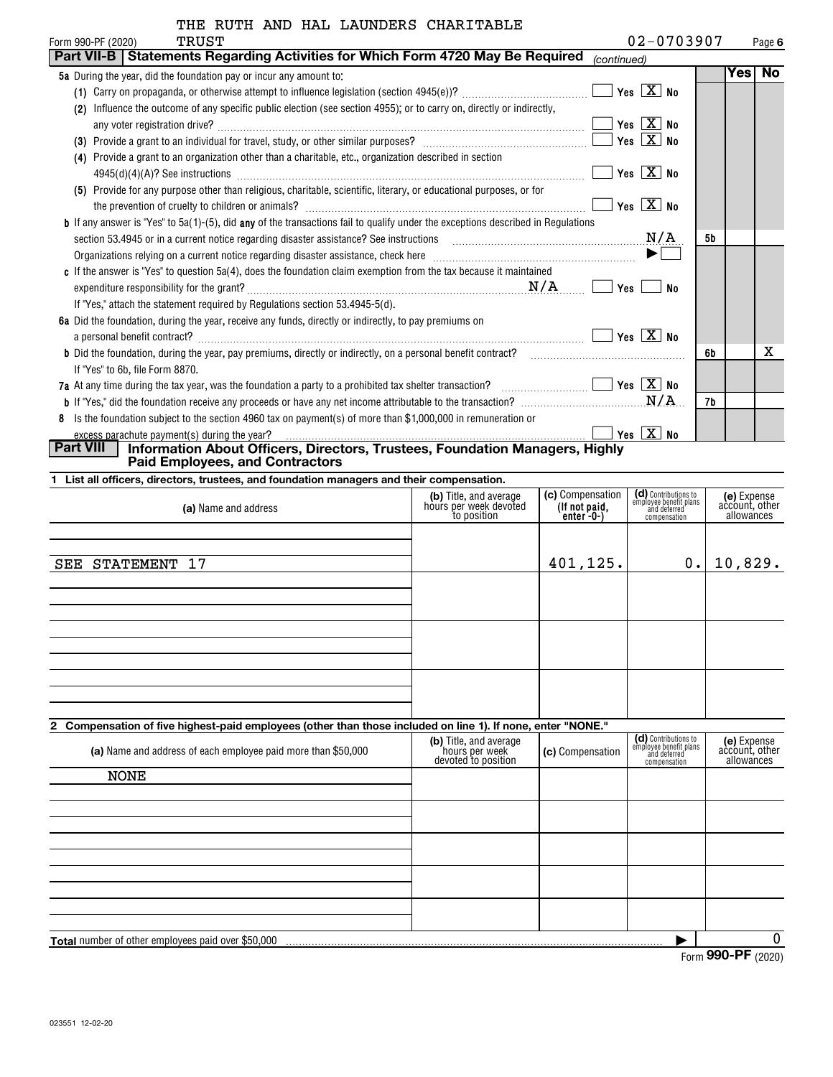| IIID KOIN AND MAD DAVNDOND CHANIIADDO                                                                                                   |                           |    |          |        |
|-----------------------------------------------------------------------------------------------------------------------------------------|---------------------------|----|----------|--------|
| TRUST<br>Form 990-PF (2020)                                                                                                             | $02 - 0703907$            |    |          | Page 6 |
| Statements Regarding Activities for Which Form 4720 May Be Required<br>Part VII-B                                                       | (continued)               |    |          |        |
| <b>5a</b> During the year, did the foundation pay or incur any amount to:                                                               |                           |    | Yes   No |        |
|                                                                                                                                         | Yes $\boxed{X}$ No        |    |          |        |
| Influence the outcome of any specific public election (see section 4955); or to carry on, directly or indirectly,<br>(2)                |                           |    |          |        |
|                                                                                                                                         | Yes $\boxed{\text{X}}$ No |    |          |        |
|                                                                                                                                         | Yes $X$ No                |    |          |        |
| (4) Provide a grant to an organization other than a charitable, etc., organization described in section                                 |                           |    |          |        |
| $4945(d)(4)(A)?$ See instructions                                                                                                       | Yes $X$ No                |    |          |        |
| (5) Provide for any purpose other than religious, charitable, scientific, literary, or educational purposes, or for                     |                           |    |          |        |
|                                                                                                                                         | Yes $\boxed{X}$ No        |    |          |        |
| <b>b</b> If any answer is "Yes" to 5a(1)-(5), did any of the transactions fail to qualify under the exceptions described in Regulations |                           |    |          |        |
| <b>N/A</b><br>section 53.4945 or in a current notice regarding disaster assistance? See instructions                                    |                           | 5b |          |        |
|                                                                                                                                         |                           |    |          |        |
| c If the answer is "Yes" to question 5a(4), does the foundation claim exemption from the tax because it maintained                      |                           |    |          |        |
|                                                                                                                                         | Yes<br>No                 |    |          |        |
| If "Yes," attach the statement required by Regulations section 53.4945-5(d).                                                            |                           |    |          |        |
| 6a Did the foundation, during the year, receive any funds, directly or indirectly, to pay premiums on                                   |                           |    |          |        |
|                                                                                                                                         | Yes $X$ No                |    |          |        |
| b Did the foundation, during the year, pay premiums, directly or indirectly, on a personal benefit contract?                            |                           | 6b |          | x      |
| If "Yes" to 6b, file Form 8870.                                                                                                         |                           |    |          |        |
|                                                                                                                                         | $\Box$ Yes $\Box X$ No    |    |          |        |
|                                                                                                                                         | M/A                       | 7b |          |        |
| Is the foundation subject to the section 4960 tax on payment(s) of more than \$1,000,000 in remuneration or<br>8                        |                           |    |          |        |
| excess parachute payment(s) during the year?                                                                                            | Yes $X$ No                |    |          |        |

excess parachute payment(s) during the year? **Part VIII Information About Officers, Directors, Trustees, Foundation Managers, Highly Paid Employees, and Contractors**

**1 List all officers, directors, trustees, and foundation managers and their compensation.**

| (a) Name and address                                                                                        | (b) Title, and average<br>hours per week devoted<br>to position | (c) Compensation<br>(If not paid,<br>$enter -0-$ | (d) Contributions to<br>employee benefit plans<br>and deferred<br>compensation | (e) Expense<br>account, other<br>allowances |
|-------------------------------------------------------------------------------------------------------------|-----------------------------------------------------------------|--------------------------------------------------|--------------------------------------------------------------------------------|---------------------------------------------|
|                                                                                                             |                                                                 |                                                  |                                                                                |                                             |
| STATEMENT 17<br>${\tt SEE}$                                                                                 |                                                                 | 401, 125.                                        | 0.                                                                             | 10,829.                                     |
|                                                                                                             |                                                                 |                                                  |                                                                                |                                             |
|                                                                                                             |                                                                 |                                                  |                                                                                |                                             |
|                                                                                                             |                                                                 |                                                  |                                                                                |                                             |
|                                                                                                             |                                                                 |                                                  |                                                                                |                                             |
|                                                                                                             |                                                                 |                                                  |                                                                                |                                             |
|                                                                                                             |                                                                 |                                                  |                                                                                |                                             |
|                                                                                                             |                                                                 |                                                  |                                                                                |                                             |
| 2 Compensation of five highest-paid employees (other than those included on line 1). If none, enter "NONE." |                                                                 |                                                  |                                                                                |                                             |
|                                                                                                             | (b) Title and average                                           |                                                  | (d) Contributions to                                                           | <b>Gol Exnense</b>                          |

| (a) Name and address of each employee paid more than \$50,000 | (b) Title, and average<br>hours per week<br>devoted to position | (c) Compensation | (d) Contributions to<br>employee benefit plans<br>and deferred<br>compensation | (e) Expense<br>account, other<br>allowances |  |  |  |
|---------------------------------------------------------------|-----------------------------------------------------------------|------------------|--------------------------------------------------------------------------------|---------------------------------------------|--|--|--|
| <b>NONE</b>                                                   |                                                                 |                  |                                                                                |                                             |  |  |  |
|                                                               |                                                                 |                  |                                                                                |                                             |  |  |  |
|                                                               |                                                                 |                  |                                                                                |                                             |  |  |  |
|                                                               |                                                                 |                  |                                                                                |                                             |  |  |  |
|                                                               |                                                                 |                  |                                                                                |                                             |  |  |  |
|                                                               |                                                                 |                  |                                                                                |                                             |  |  |  |
| Total number of other employees paid over \$50,000            |                                                                 |                  |                                                                                |                                             |  |  |  |

Form (2020) **990-PF**

 $\overline{\phantom{a}}$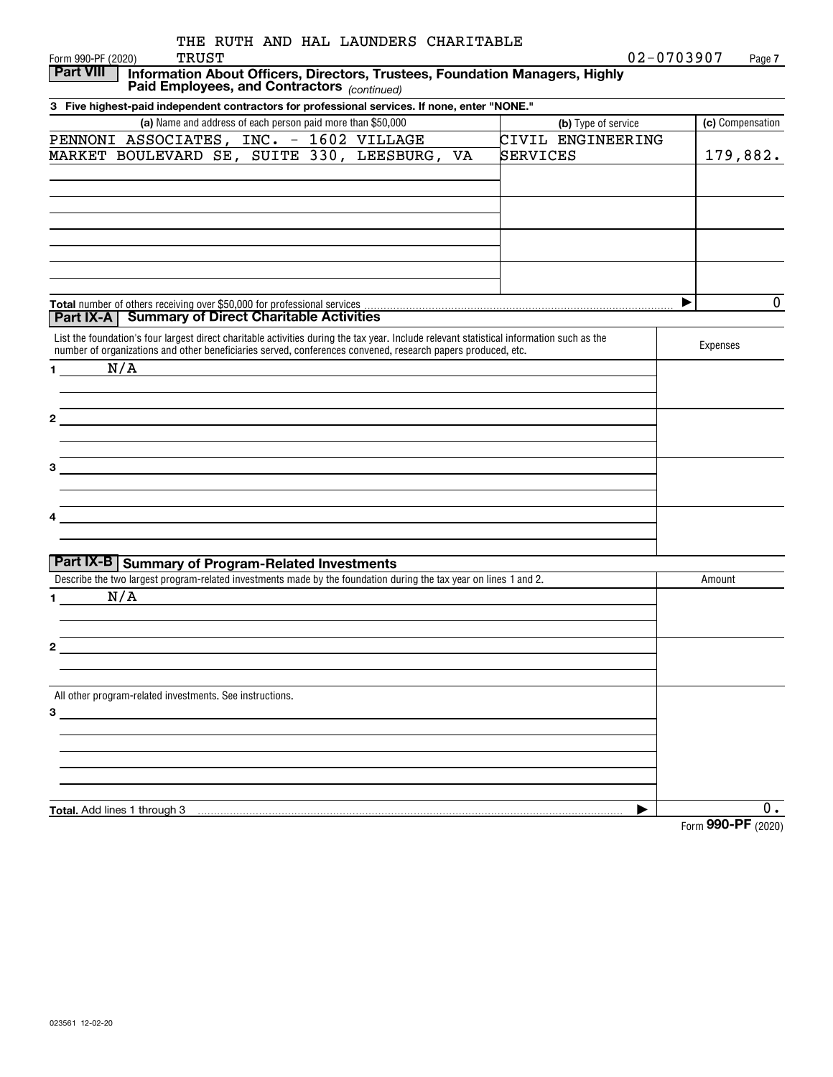| THE RUTH AND HAL LAUNDERS CHARITABLE                                                                                                                                                                                          |                     |                      |
|-------------------------------------------------------------------------------------------------------------------------------------------------------------------------------------------------------------------------------|---------------------|----------------------|
| <b>TRUST</b><br>Form 990-PF (2020)                                                                                                                                                                                            |                     | 02-0703907<br>Page 7 |
| <b>Part VIII</b><br>Information About Officers, Directors, Trustees, Foundation Managers, Highly                                                                                                                              |                     |                      |
| Paid Employees, and Contractors (continued)                                                                                                                                                                                   |                     |                      |
| 3 Five highest-paid independent contractors for professional services. If none, enter "NONE."                                                                                                                                 |                     |                      |
| (a) Name and address of each person paid more than \$50,000                                                                                                                                                                   | (b) Type of service | (c) Compensation     |
| PENNONI ASSOCIATES, INC. - 1602 VILLAGE                                                                                                                                                                                       | CIVIL ENGINEERING   |                      |
| MARKET BOULEVARD SE, SUITE 330, LEESBURG, VA                                                                                                                                                                                  | SERVICES            | 179,882.             |
|                                                                                                                                                                                                                               |                     |                      |
|                                                                                                                                                                                                                               |                     |                      |
|                                                                                                                                                                                                                               |                     |                      |
|                                                                                                                                                                                                                               |                     |                      |
|                                                                                                                                                                                                                               |                     |                      |
|                                                                                                                                                                                                                               |                     |                      |
|                                                                                                                                                                                                                               |                     |                      |
|                                                                                                                                                                                                                               |                     | $\mathbf 0$<br>▶     |
| <b>Part IX-A   Summary of Direct Charitable Activities</b>                                                                                                                                                                    |                     |                      |
| List the foundation's four largest direct charitable activities during the tax year. Include relevant statistical information such as the                                                                                     |                     |                      |
| number of organizations and other beneficiaries served, conferences convened, research papers produced, etc.                                                                                                                  |                     | Expenses             |
| N/A<br>$\mathbf 1$                                                                                                                                                                                                            |                     |                      |
|                                                                                                                                                                                                                               |                     |                      |
|                                                                                                                                                                                                                               |                     |                      |
| $\mathbf{2}$<br><u> 1989 - Johann John Stein, markin fizik eta idazlea (</u>                                                                                                                                                  |                     |                      |
|                                                                                                                                                                                                                               |                     |                      |
|                                                                                                                                                                                                                               |                     |                      |
| 3                                                                                                                                                                                                                             |                     |                      |
|                                                                                                                                                                                                                               |                     |                      |
|                                                                                                                                                                                                                               |                     |                      |
| the control of the control of the control of the control of the control of the control of the control of the control of the control of the control of the control of the control of the control of the control of the control |                     |                      |
|                                                                                                                                                                                                                               |                     |                      |
|                                                                                                                                                                                                                               |                     |                      |
| <b>Part IX-B   Summary of Program-Related Investments</b>                                                                                                                                                                     |                     |                      |
| Describe the two largest program-related investments made by the foundation during the tax year on lines 1 and 2.                                                                                                             |                     | Amount               |
| N/A<br>1.                                                                                                                                                                                                                     |                     |                      |
|                                                                                                                                                                                                                               |                     |                      |
|                                                                                                                                                                                                                               |                     |                      |
|                                                                                                                                                                                                                               |                     |                      |
|                                                                                                                                                                                                                               |                     |                      |
| All other program-related investments. See instructions.                                                                                                                                                                      |                     |                      |
|                                                                                                                                                                                                                               |                     |                      |
|                                                                                                                                                                                                                               |                     |                      |
|                                                                                                                                                                                                                               |                     |                      |
|                                                                                                                                                                                                                               |                     |                      |
|                                                                                                                                                                                                                               |                     |                      |
|                                                                                                                                                                                                                               |                     |                      |
| Total. Add lines 1 through 3                                                                                                                                                                                                  | ▶                   | 0.                   |
|                                                                                                                                                                                                                               |                     | Form 990-PF (2020)   |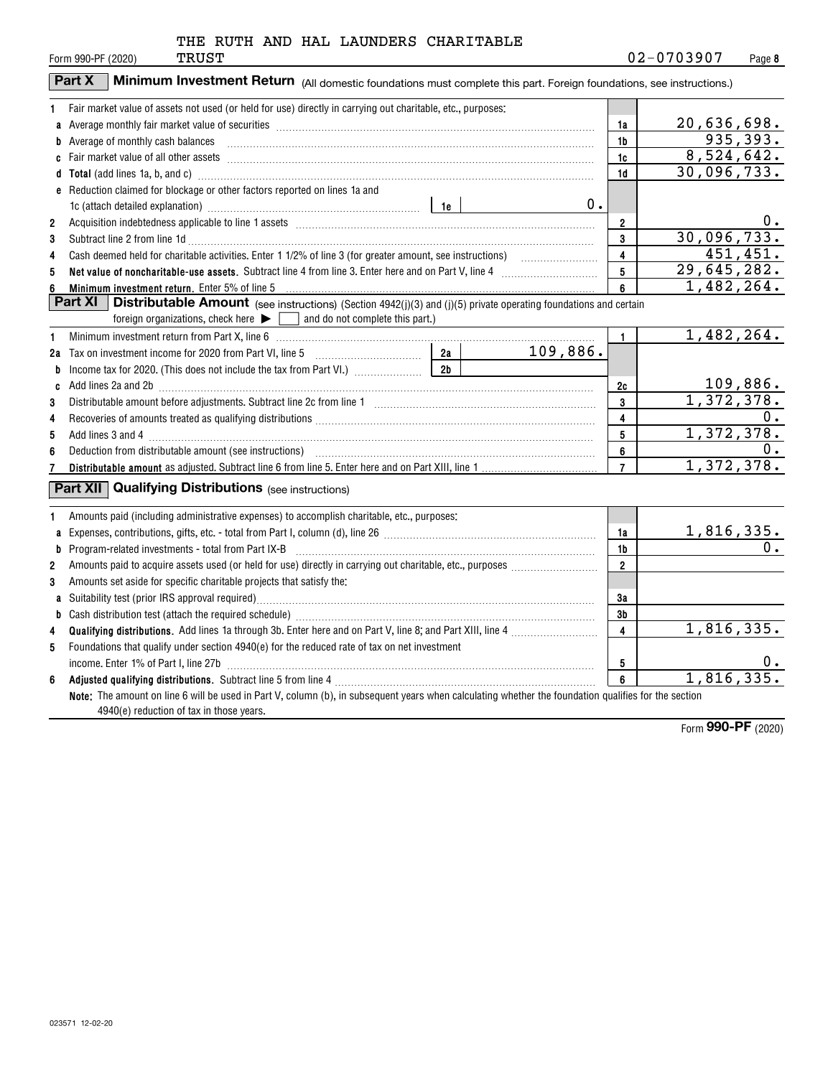|  |  |  | THE RUTH AND HAL LAUNDERS CHARITABLE |
|--|--|--|--------------------------------------|
|  |  |  |                                      |

|                | Part X<br>Minimum Investment Return (All domestic foundations must complete this part. Foreign foundations, see instructions.)                                                                                                 |                         |                          |
|----------------|--------------------------------------------------------------------------------------------------------------------------------------------------------------------------------------------------------------------------------|-------------------------|--------------------------|
| 1              | Fair market value of assets not used (or held for use) directly in carrying out charitable, etc., purposes:                                                                                                                    |                         |                          |
| a              | Average monthly fair market value of securities [111] Average monthly fair market value of securities [11] Average monthly fair market value of securities [11] Average monthly fair market value of securities [11] Average m | 1a                      | 20,636,698.              |
|                | <b>b</b> Average of monthly cash balances                                                                                                                                                                                      | 1b                      | 935, 393.                |
|                |                                                                                                                                                                                                                                | 1c                      | $\overline{8,524,642}$ . |
|                | d Total (add lines 1a, b, and c) manufactured and control and control of the control of the control of the control of the control of the control of the control of the control of the control of the control of the control of | 1d                      | 30,096,733.              |
|                | e Reduction claimed for blockage or other factors reported on lines 1a and                                                                                                                                                     |                         |                          |
|                |                                                                                                                                                                                                                                | 0.                      |                          |
| $\overline{2}$ |                                                                                                                                                                                                                                | $\mathbf{2}$            | 0.                       |
| 3              | Subtract line 2 from line 1d <b>Machinese and Contract Line 2</b> from line 1d <b>machinese and contract line 2</b> from line 1d                                                                                               | 3                       | 30,096,733.              |
| 4              |                                                                                                                                                                                                                                | 4                       | $\overline{451}$ , 451.  |
| 5              | Net value of noncharitable-use assets. Subtract line 4 from line 3. Enter here and on Part V, line 4 [11, 11]                                                                                                                  | 5                       | 29,645,282.              |
| 6              |                                                                                                                                                                                                                                | 6                       | 1,482,264.               |
|                | <b>Part XI</b><br><b>Distributable Amount</b> (see instructions) (Section 4942(j)(3) and (j)(5) private operating foundations and certain                                                                                      |                         |                          |
|                | foreign organizations, check here $\blacktriangleright$ $\Box$ and do not complete this part.)                                                                                                                                 |                         |                          |
| 1              |                                                                                                                                                                                                                                | $\mathbf{1}$            | 1,482,264.               |
|                | 109,886.                                                                                                                                                                                                                       |                         |                          |
| b              | 2 <sub>b</sub>                                                                                                                                                                                                                 |                         |                          |
|                | c Add lines 2a and 2b (a) and 20 (a) and 20 (a) and 20 (a) and 2b (a) and 2b (a) and 2b (a) and 2b (a) and 2b (a) and 2b (a) and 2b (a) and 2b (a) and 2b (a) and 2b (a) and 2b (a) and 2b (a) and 2b (a) and 2b (a) and 2b (a | 2c                      | 109,886.                 |
| 3              |                                                                                                                                                                                                                                | 3                       | 1,372,378.               |
| 4              |                                                                                                                                                                                                                                | 4                       | 0.                       |
| 5              |                                                                                                                                                                                                                                | 5                       | 1,372,378.               |
| 6              |                                                                                                                                                                                                                                | 6                       | 0.<br>1,372,378.         |
|                |                                                                                                                                                                                                                                | $\overline{7}$          |                          |
|                | <b>Part XII</b> Qualifying Distributions (see instructions)                                                                                                                                                                    |                         |                          |
| 1.             | Amounts paid (including administrative expenses) to accomplish charitable, etc., purposes:                                                                                                                                     |                         |                          |
|                |                                                                                                                                                                                                                                | 1a                      | <u>1,816,335.</u>        |
| b              | $Program-related investments - total from Part IX-B$                                                                                                                                                                           | 1b                      | 0.                       |
| $\overline{2}$ |                                                                                                                                                                                                                                | $\overline{2}$          |                          |
| 3              | Amounts set aside for specific charitable projects that satisfy the:                                                                                                                                                           |                         |                          |
|                |                                                                                                                                                                                                                                | 3a                      |                          |
| b              |                                                                                                                                                                                                                                | 3b                      |                          |
| 4              |                                                                                                                                                                                                                                | $\overline{\mathbf{4}}$ | 1,816,335.               |
| 5              | Foundations that qualify under section 4940(e) for the reduced rate of tax on net investment                                                                                                                                   |                         |                          |
|                | income. Enter 1% of Part I, line 27b [ www.communications are not increased: 0.15 million and 27b [ www.communi                                                                                                                | 5                       | 0.                       |
| 6              |                                                                                                                                                                                                                                | 6                       | 1,816,335.               |
|                | Note: The amount on line 6 will be used in Part V, column (b), in subsequent years when calculating whether the foundation qualifies for the section<br>4940(e) reduction of tax in those years.                               |                         |                          |

Form (2020) **990-PF**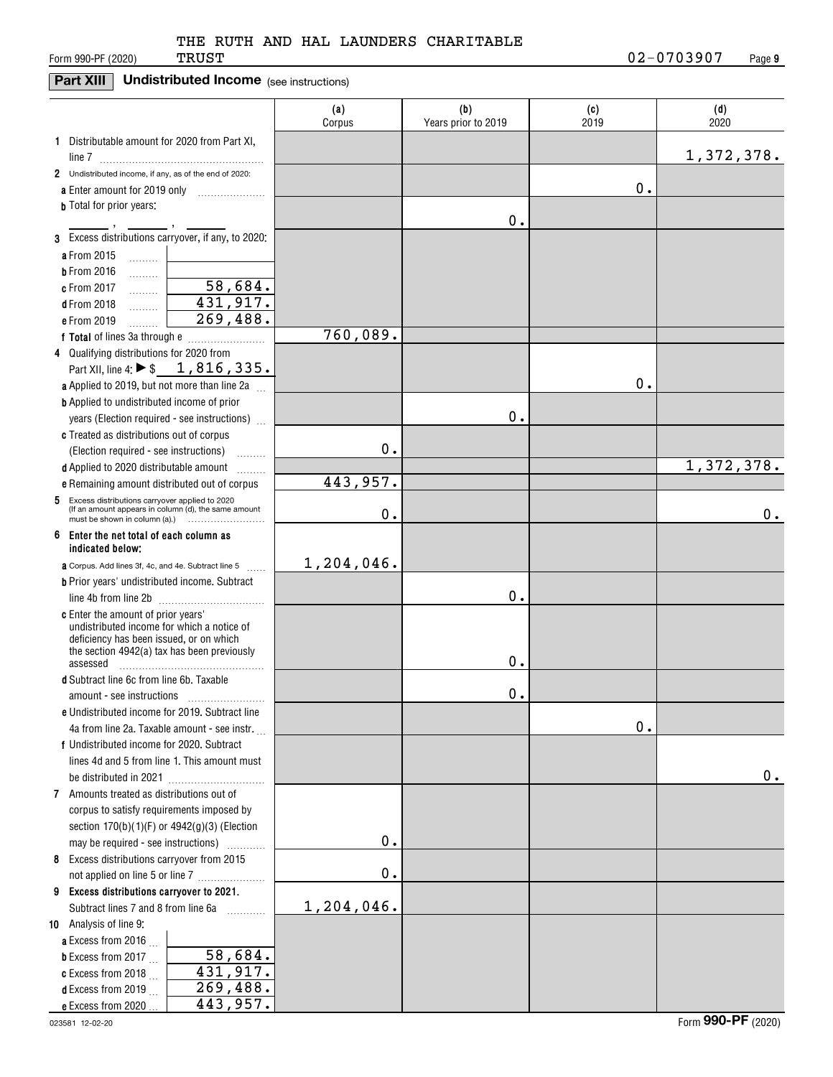### **Part XIII** Undistributed Income (see instructions)

|                                                                                                          | (a)<br>Corpus | (b)<br>Years prior to 2019 | (c)<br>2019 | (d)<br>2020 |
|----------------------------------------------------------------------------------------------------------|---------------|----------------------------|-------------|-------------|
| 1 Distributable amount for 2020 from Part XI,                                                            |               |                            |             |             |
| 2 Undistributed income, if any, as of the end of 2020:                                                   |               |                            |             | 1,372,378.  |
| a Enter amount for 2019 only                                                                             |               |                            | 0.          |             |
| <b>b</b> Total for prior years:                                                                          |               |                            |             |             |
| .<br>3 Excess distributions carryover, if any, to 2020:                                                  |               | 0.                         |             |             |
| a From 2015<br>.                                                                                         |               |                            |             |             |
| <b>b</b> From 2016<br>.                                                                                  |               |                            |             |             |
| $\overline{58,684}$ .<br>c From 2017<br>.                                                                |               |                            |             |             |
| 431, 917.<br><b>d</b> From 2018<br>.                                                                     |               |                            |             |             |
| 269,488.<br>e From 2019                                                                                  |               |                            |             |             |
|                                                                                                          | 760,089.      |                            |             |             |
| 4 Qualifying distributions for 2020 from                                                                 |               |                            |             |             |
| Part XII, line 4: $\triangleright$ \$ 1, 816, 335.                                                       |               |                            |             |             |
| a Applied to 2019, but not more than line 2a                                                             |               |                            | 0.          |             |
| <b>b</b> Applied to undistributed income of prior                                                        |               |                            |             |             |
| years (Election required - see instructions)                                                             |               | 0.                         |             |             |
| c Treated as distributions out of corpus                                                                 |               |                            |             |             |
| (Election required - see instructions)                                                                   | 0.            |                            |             |             |
| d Applied to 2020 distributable amount                                                                   |               |                            |             | 1,372,378.  |
| e Remaining amount distributed out of corpus                                                             | 443,957.      |                            |             |             |
| 5 Excess distributions carryover applied to 2020<br>(If an amount appears in column (d), the same amount | 0.            |                            |             | 0.          |
| 6 Enter the net total of each column as<br>indicated below;                                              |               |                            |             |             |
| <b>a</b> Corpus. Add lines 3f, 4c, and 4e. Subtract line 5                                               | 1,204,046.    |                            |             |             |
| <b>b</b> Prior years' undistributed income. Subtract                                                     |               |                            |             |             |
| line 4b from line 2b                                                                                     |               | 0.                         |             |             |
| <b>c</b> Enter the amount of prior years'                                                                |               |                            |             |             |
| undistributed income for which a notice of                                                               |               |                            |             |             |
| deficiency has been issued, or on which<br>the section 4942(a) tax has been previously                   |               |                            |             |             |
| assessed                                                                                                 |               | 0.                         |             |             |
| d Subtract line 6c from line 6b. Taxable                                                                 |               |                            |             |             |
| amount - see instructions                                                                                |               | 0.                         |             |             |
| e Undistributed income for 2019. Subtract line                                                           |               |                            |             |             |
| 4a from line 2a. Taxable amount - see instr.                                                             |               |                            | 0.          |             |
| f Undistributed income for 2020. Subtract                                                                |               |                            |             |             |
| lines 4d and 5 from line 1. This amount must                                                             |               |                            |             |             |
|                                                                                                          |               |                            |             | 0.          |
| 7 Amounts treated as distributions out of                                                                |               |                            |             |             |
| corpus to satisfy requirements imposed by                                                                |               |                            |             |             |
| section $170(b)(1)(F)$ or $4942(g)(3)$ (Election                                                         |               |                            |             |             |
| may be required - see instructions)<br>.                                                                 | $\mathbf 0$ . |                            |             |             |
| 8 Excess distributions carryover from 2015                                                               | $\mathbf 0$ . |                            |             |             |
|                                                                                                          |               |                            |             |             |
| 9 Excess distributions carryover to 2021.<br>Subtract lines 7 and 8 from line 6a                         | 1,204,046.    |                            |             |             |
| 10 Analysis of line 9:                                                                                   |               |                            |             |             |
| <b>a</b> Excess from 2016 $\ldots$                                                                       |               |                            |             |             |
| 58,684.<br><b>b</b> Excess from 2017 $\ldots$                                                            |               |                            |             |             |
| 431,917.<br>c Excess from 2018                                                                           |               |                            |             |             |
| 269,488.<br><b>d</b> Excess from 2019                                                                    |               |                            |             |             |
| 443,957.<br>e Excess from 2020                                                                           |               |                            |             |             |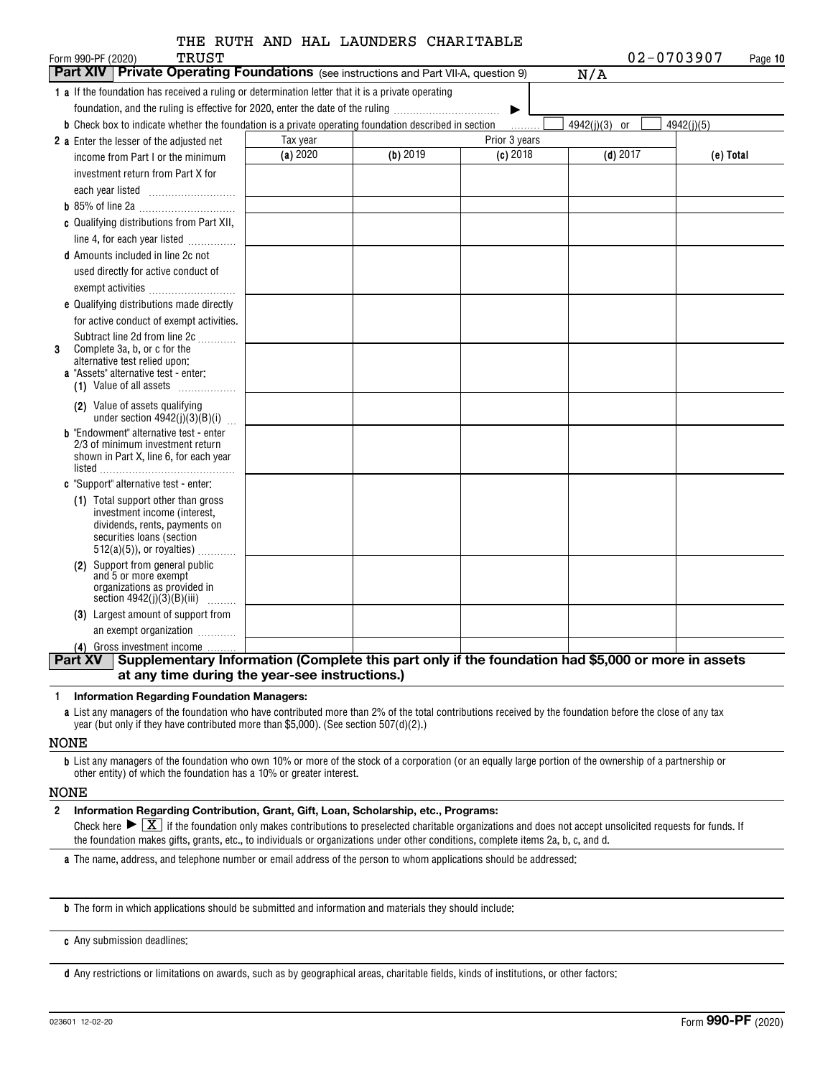| <b>TRUST</b><br>Form 990-PF (2020)<br><b>Part XIV   Private Operating Foundations</b> (see instructions and Part VII-A, question 9) |          |            |                    | 02-0703907<br>N/A | Page 10    |
|-------------------------------------------------------------------------------------------------------------------------------------|----------|------------|--------------------|-------------------|------------|
| 1 a If the foundation has received a ruling or determination letter that it is a private operating                                  |          |            |                    |                   |            |
| foundation, and the ruling is effective for 2020, enter the date of the ruling                                                      |          |            |                    |                   |            |
| <b>b</b> Check box to indicate whether the foundation is a private operating foundation described in section                        |          |            | ▶                  | 4942(j)(3) or     | 4942(j)(5) |
|                                                                                                                                     | Tax year |            | .<br>Prior 3 years |                   |            |
| 2 a Enter the lesser of the adjusted net<br>income from Part I or the minimum                                                       | (a) 2020 | $(b)$ 2019 | $(c)$ 2018         | $(d)$ 2017        | (e) Total  |
| investment return from Part X for                                                                                                   |          |            |                    |                   |            |
|                                                                                                                                     |          |            |                    |                   |            |
|                                                                                                                                     |          |            |                    |                   |            |
| c Qualifying distributions from Part XII,                                                                                           |          |            |                    |                   |            |
|                                                                                                                                     |          |            |                    |                   |            |
| line 4, for each year listed                                                                                                        |          |            |                    |                   |            |
| <b>d</b> Amounts included in line 2c not                                                                                            |          |            |                    |                   |            |
| used directly for active conduct of                                                                                                 |          |            |                    |                   |            |
| exempt activities                                                                                                                   |          |            |                    |                   |            |
| e Qualifying distributions made directly                                                                                            |          |            |                    |                   |            |
| for active conduct of exempt activities.                                                                                            |          |            |                    |                   |            |
| Subtract line 2d from line 2c<br>Complete 3a, b, or c for the<br>3                                                                  |          |            |                    |                   |            |
| alternative test relied upon:                                                                                                       |          |            |                    |                   |            |
| a "Assets" alternative test - enter:                                                                                                |          |            |                    |                   |            |
| (1) Value of all assets                                                                                                             |          |            |                    |                   |            |
| (2) Value of assets qualifying<br>under section $4942(j)(3)(B)(i)$                                                                  |          |            |                    |                   |            |
| <b>b</b> "Endowment" alternative test - enter                                                                                       |          |            |                    |                   |            |
| 2/3 of minimum investment return<br>shown in Part X, line 6, for each year                                                          |          |            |                    |                   |            |
| listed                                                                                                                              |          |            |                    |                   |            |
| c "Support" alternative test - enter:                                                                                               |          |            |                    |                   |            |
| (1) Total support other than gross                                                                                                  |          |            |                    |                   |            |
| investment income (interest,                                                                                                        |          |            |                    |                   |            |
| dividends, rents, payments on<br>securities loans (section                                                                          |          |            |                    |                   |            |
| $512(a)(5)$ , or royalties)                                                                                                         |          |            |                    |                   |            |
| (2) Support from general public                                                                                                     |          |            |                    |                   |            |
| and 5 or more exempt                                                                                                                |          |            |                    |                   |            |
| organizations as provided in<br>section $4942(j)(3)(B)(iii)$<br>.                                                                   |          |            |                    |                   |            |
| (3) Largest amount of support from                                                                                                  |          |            |                    |                   |            |
| an exempt organization                                                                                                              |          |            |                    |                   |            |
| (4) Gross investment income                                                                                                         |          |            |                    |                   |            |
| Supplementary Information (Complete this part only if the foundation had \$5,000 or more in assets<br><b>Part XV</b>                |          |            |                    |                   |            |

#### **1Information Regarding Foundation Managers:**

**a**List any managers of the foundation who have contributed more than 2% of the total contributions received by the foundation before the close of any tax year (but only if they have contributed more than \$5,000). (See section 507(d)(2).)

#### NONE

**b**List any managers of the foundation who own 10% or more of the stock of a corporation (or an equally large portion of the ownership of a partnership or other entity) of which the foundation has a 10% or greater interest.

#### NONE

**2Information Regarding Contribution, Grant, Gift, Loan, Scholarship, etc., Programs:**

Check here  $\blacktriangleright\boxed{\textbf{X}}$  if the foundation only makes contributions to preselected charitable organizations and does not accept unsolicited requests for funds. If the foundation makes gifts, grants, etc., to individuals or organizations under other conditions, complete items 2a, b, c, and d.

**a**The name, address, and telephone number or email address of the person to whom applications should be addressed:

**b**The form in which applications should be submitted and information and materials they should include:

**c**Any submission deadlines:

**d** Any restrictions or limitations on awards, such as by geographical areas, charitable fields, kinds of institutions, or other factors: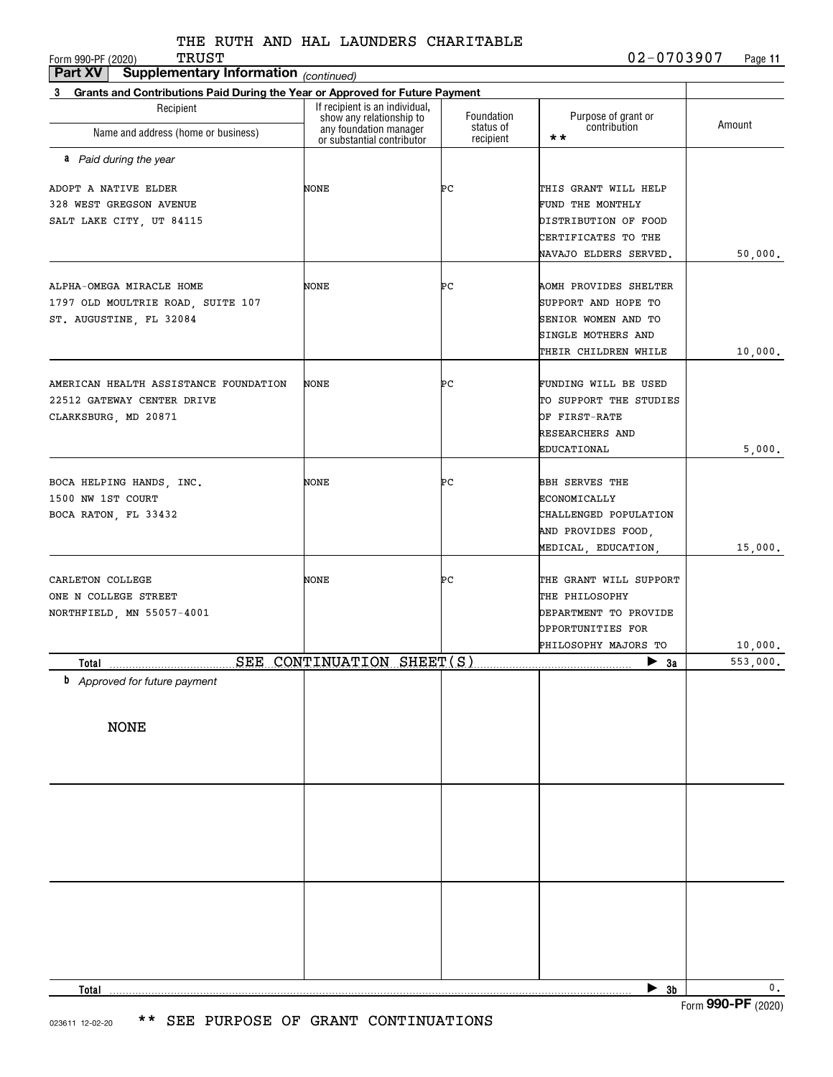| Part XV<br>Supplementary Information (continued)                                            |                                                                                                                    |                                      |                                                                                                                   |               |
|---------------------------------------------------------------------------------------------|--------------------------------------------------------------------------------------------------------------------|--------------------------------------|-------------------------------------------------------------------------------------------------------------------|---------------|
| Grants and Contributions Paid During the Year or Approved for Future Payment<br>3           |                                                                                                                    |                                      |                                                                                                                   |               |
| Recipient<br>Name and address (home or business)                                            | If recipient is an individual,<br>show any relationship to<br>any foundation manager<br>or substantial contributor | Foundation<br>status of<br>recipient | Purpose of grant or<br>contribution<br>$\star\star$                                                               | Amount        |
| a Paid during the year                                                                      |                                                                                                                    |                                      |                                                                                                                   |               |
| ADOPT A NATIVE ELDER<br>328 WEST GREGSON AVENUE<br>SALT LAKE CITY, UT 84115                 | NONE                                                                                                               | ÞС                                   | THIS GRANT WILL HELP<br>FUND THE MONTHLY<br>DISTRIBUTION OF FOOD<br>CERTIFICATES TO THE<br>NAVAJO ELDERS SERVED.  | 50,000.       |
| ALPHA-OMEGA MIRACLE HOME<br>1797 OLD MOULTRIE ROAD, SUITE 107<br>ST. AUGUSTINE, FL 32084    | NONE                                                                                                               | ÞС                                   | AOMH PROVIDES SHELTER<br>SUPPORT AND HOPE TO<br>SENIOR WOMEN AND TO<br>SINGLE MOTHERS AND<br>THEIR CHILDREN WHILE | 10,000.       |
| AMERICAN HEALTH ASSISTANCE FOUNDATION<br>22512 GATEWAY CENTER DRIVE<br>CLARKSBURG, MD 20871 | NONE                                                                                                               | ÞС                                   | FUNDING WILL BE USED<br>TO SUPPORT THE STUDIES<br>OF FIRST-RATE<br>RESEARCHERS AND<br>EDUCATIONAL                 | 5,000.        |
| BOCA HELPING HANDS, INC.<br>1500 NW 1ST COURT<br>BOCA RATON, FL 33432                       | NONE                                                                                                               | ÞС                                   | <b>BBH SERVES THE</b><br>ECONOMICALLY<br>CHALLENGED POPULATION<br>AND PROVIDES FOOD,<br>MEDICAL, EDUCATION,       | 15,000.       |
| CARLETON COLLEGE<br>ONE N COLLEGE STREET<br>NORTHFIELD, MN 55057-4001                       | NONE                                                                                                               | PС                                   | THE GRANT WILL SUPPORT<br>THE PHILOSOPHY<br>DEPARTMENT TO PROVIDE<br>OPPORTUNITIES FOR<br>PHILOSOPHY MAJORS TO    | 10,000.       |
| Tota <u>l</u> ______________________                                                        | SEE CONTINUATION SHEET(S)                                                                                          |                                      | $\blacktriangleright$ 3a                                                                                          | 553,000.      |
| <b>b</b> Approved for future payment                                                        |                                                                                                                    |                                      |                                                                                                                   |               |
| <b>NONE</b>                                                                                 |                                                                                                                    |                                      |                                                                                                                   |               |
|                                                                                             |                                                                                                                    |                                      |                                                                                                                   |               |
|                                                                                             |                                                                                                                    |                                      |                                                                                                                   |               |
| Total                                                                                       |                                                                                                                    |                                      | $\blacktriangleright$ 3b                                                                                          | $\mathbf 0$ . |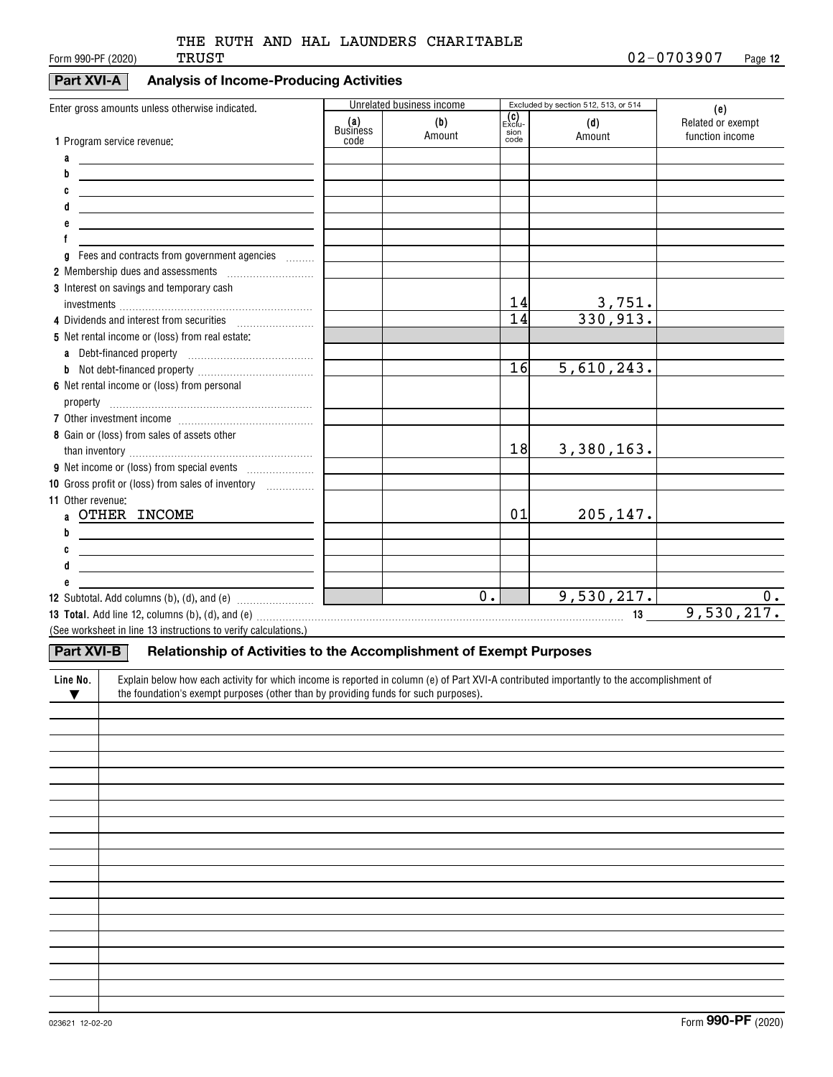## **Part XVI-A Analysis of Income-Producing Activities**

| Enter gross amounts unless otherwise indicated.                                                                                                                                                                                                                                                   |                        | Unrelated business income |                 | Excluded by section 512, 513, or 514 | (e)               |
|---------------------------------------------------------------------------------------------------------------------------------------------------------------------------------------------------------------------------------------------------------------------------------------------------|------------------------|---------------------------|-----------------|--------------------------------------|-------------------|
|                                                                                                                                                                                                                                                                                                   | (a)<br><b>Business</b> | (b)                       | (C)<br>Exclu-   | (d)                                  | Related or exempt |
| 1 Program service revenue:                                                                                                                                                                                                                                                                        | code                   | Amount                    | sion<br>code    | Amount                               | function income   |
| a<br><u> 1989 - Andrea Stadt Britain, amerikansk politiker (</u>                                                                                                                                                                                                                                  |                        |                           |                 |                                      |                   |
| b<br><u> 1989 - Andrea Andrew Maria (h. 1989).</u>                                                                                                                                                                                                                                                |                        |                           |                 |                                      |                   |
| C<br><u> 1989 - Jan Sterling Sterling (f. 1989)</u>                                                                                                                                                                                                                                               |                        |                           |                 |                                      |                   |
| <u> 1980 - Jan Samuel Barbara, margaret e</u> n 1980 eta eta 1980 - Antonio Barbara, espainiar eta 1980 - Antonio Barbara,                                                                                                                                                                        |                        |                           |                 |                                      |                   |
| <u> 1980 - John Stein, mars and de Brazilia (b. 1980)</u>                                                                                                                                                                                                                                         |                        |                           |                 |                                      |                   |
| f                                                                                                                                                                                                                                                                                                 |                        |                           |                 |                                      |                   |
| Fees and contracts from government agencies<br>g                                                                                                                                                                                                                                                  |                        |                           |                 |                                      |                   |
| 2 Membership dues and assessments [111] Membership dues and assessments                                                                                                                                                                                                                           |                        |                           |                 |                                      |                   |
| 3 Interest on savings and temporary cash                                                                                                                                                                                                                                                          |                        |                           |                 |                                      |                   |
|                                                                                                                                                                                                                                                                                                   |                        |                           | 14              | $\frac{3,751}{330,913}$ .            |                   |
|                                                                                                                                                                                                                                                                                                   |                        |                           | $\overline{14}$ |                                      |                   |
| 5 Net rental income or (loss) from real estate:                                                                                                                                                                                                                                                   |                        |                           |                 |                                      |                   |
|                                                                                                                                                                                                                                                                                                   |                        |                           |                 |                                      |                   |
|                                                                                                                                                                                                                                                                                                   |                        |                           | 16              | 5,610,243.                           |                   |
| 6 Net rental income or (loss) from personal                                                                                                                                                                                                                                                       |                        |                           |                 |                                      |                   |
|                                                                                                                                                                                                                                                                                                   |                        |                           |                 |                                      |                   |
|                                                                                                                                                                                                                                                                                                   |                        |                           |                 |                                      |                   |
| 8 Gain or (loss) from sales of assets other                                                                                                                                                                                                                                                       |                        |                           |                 |                                      |                   |
|                                                                                                                                                                                                                                                                                                   |                        |                           | 18              | 3,380,163.                           |                   |
|                                                                                                                                                                                                                                                                                                   |                        |                           |                 |                                      |                   |
| 10 Gross profit or (loss) from sales of inventory <i></i>                                                                                                                                                                                                                                         |                        |                           |                 |                                      |                   |
| 11 Other revenue:                                                                                                                                                                                                                                                                                 |                        |                           |                 |                                      |                   |
| a OTHER INCOME                                                                                                                                                                                                                                                                                    |                        |                           | 01              | 205,147.                             |                   |
| b                                                                                                                                                                                                                                                                                                 |                        |                           |                 |                                      |                   |
| C<br><u> 1989 - Johann Stein, mars an deutscher Stein († 1958)</u>                                                                                                                                                                                                                                |                        |                           |                 |                                      |                   |
| d                                                                                                                                                                                                                                                                                                 |                        |                           |                 |                                      |                   |
|                                                                                                                                                                                                                                                                                                   |                        | $\overline{0}$ .          |                 | 9,530,217.                           | 0.                |
|                                                                                                                                                                                                                                                                                                   | <u>a Tana Barat</u>    |                           |                 |                                      | 9,530,217.        |
| 13 Total. Add line 12, columns (b), (d), and (e) material contracts and contained a series and the series of the series of the series of the series of the series of the series of the series of the series of the series of t<br>(See worksheet in line 13 instructions to verify calculations.) |                        |                           |                 |                                      |                   |
|                                                                                                                                                                                                                                                                                                   |                        |                           |                 |                                      |                   |
| Relationship of Activities to the Accomplishment of Exempt Purposes<br>Part XVI-B                                                                                                                                                                                                                 |                        |                           |                 |                                      |                   |
| Explain below how each activity for which income is reported in column (e) of Part XVI-A contributed importantly to the accomplishment of<br>Line No.                                                                                                                                             |                        |                           |                 |                                      |                   |
| the foundation's exempt purposes (other than by providing funds for such purposes).<br>$\blacktriangledown$                                                                                                                                                                                       |                        |                           |                 |                                      |                   |
|                                                                                                                                                                                                                                                                                                   |                        |                           |                 |                                      |                   |
|                                                                                                                                                                                                                                                                                                   |                        |                           |                 |                                      |                   |
|                                                                                                                                                                                                                                                                                                   |                        |                           |                 |                                      |                   |
|                                                                                                                                                                                                                                                                                                   |                        |                           |                 |                                      |                   |
|                                                                                                                                                                                                                                                                                                   |                        |                           |                 |                                      |                   |
|                                                                                                                                                                                                                                                                                                   |                        |                           |                 |                                      |                   |
|                                                                                                                                                                                                                                                                                                   |                        |                           |                 |                                      |                   |
|                                                                                                                                                                                                                                                                                                   |                        |                           |                 |                                      |                   |
|                                                                                                                                                                                                                                                                                                   |                        |                           |                 |                                      |                   |
|                                                                                                                                                                                                                                                                                                   |                        |                           |                 |                                      |                   |
|                                                                                                                                                                                                                                                                                                   |                        |                           |                 |                                      |                   |
|                                                                                                                                                                                                                                                                                                   |                        |                           |                 |                                      |                   |
|                                                                                                                                                                                                                                                                                                   |                        |                           |                 |                                      |                   |
|                                                                                                                                                                                                                                                                                                   |                        |                           |                 |                                      |                   |
|                                                                                                                                                                                                                                                                                                   |                        |                           |                 |                                      |                   |
|                                                                                                                                                                                                                                                                                                   |                        |                           |                 |                                      |                   |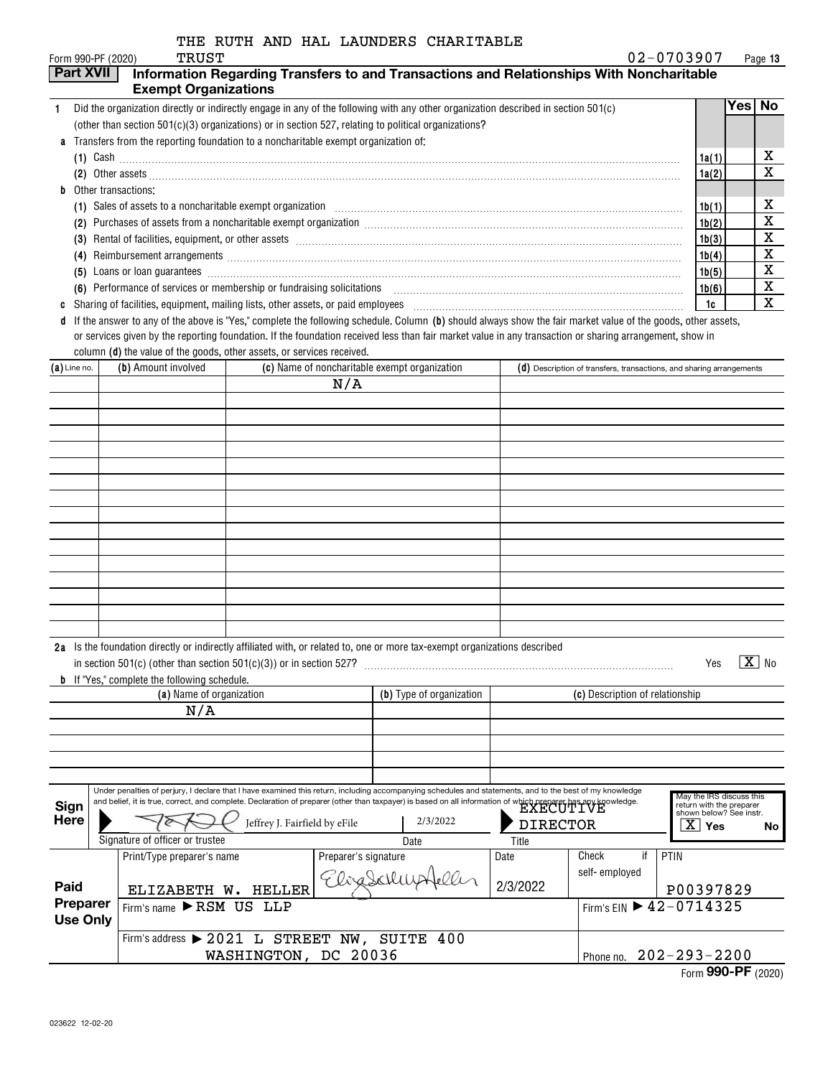|                                                                                                                                                                                                                                     |                                                                                                                                                                                                                                              |                               |                      | THE RUTH AND HAL LAUNDERS CHARITABLE                                                                                                                                                                                                      |                 |                                                                      |                                                     |                       |
|-------------------------------------------------------------------------------------------------------------------------------------------------------------------------------------------------------------------------------------|----------------------------------------------------------------------------------------------------------------------------------------------------------------------------------------------------------------------------------------------|-------------------------------|----------------------|-------------------------------------------------------------------------------------------------------------------------------------------------------------------------------------------------------------------------------------------|-----------------|----------------------------------------------------------------------|-----------------------------------------------------|-----------------------|
| Form 990-PF (2020)                                                                                                                                                                                                                  | TRUST                                                                                                                                                                                                                                        |                               |                      |                                                                                                                                                                                                                                           |                 |                                                                      | 02-0703907                                          | Page 13               |
| <b>Part XVII</b>                                                                                                                                                                                                                    | <b>Exempt Organizations</b>                                                                                                                                                                                                                  |                               |                      | Information Regarding Transfers to and Transactions and Relationships With Noncharitable                                                                                                                                                  |                 |                                                                      |                                                     |                       |
|                                                                                                                                                                                                                                     |                                                                                                                                                                                                                                              |                               |                      |                                                                                                                                                                                                                                           |                 |                                                                      |                                                     | Yes∣<br><b>No</b>     |
| $\mathbf{1}$                                                                                                                                                                                                                        | Did the organization directly or indirectly engage in any of the following with any other organization described in section 501(c)<br>(other than section $501(c)(3)$ organizations) or in section 527, relating to political organizations? |                               |                      |                                                                                                                                                                                                                                           |                 |                                                                      |                                                     |                       |
|                                                                                                                                                                                                                                     | Transfers from the reporting foundation to a noncharitable exempt organization of:                                                                                                                                                           |                               |                      |                                                                                                                                                                                                                                           |                 |                                                                      |                                                     |                       |
|                                                                                                                                                                                                                                     |                                                                                                                                                                                                                                              |                               |                      |                                                                                                                                                                                                                                           |                 |                                                                      | 1a(1)                                               | х                     |
| (2) Other assets <b>construction and the construction of the construction</b> of the construction of the construction of the construction of the construction of the construction of the construction of the construction of the co |                                                                                                                                                                                                                                              |                               |                      |                                                                                                                                                                                                                                           |                 |                                                                      |                                                     | X                     |
| b                                                                                                                                                                                                                                   | Other transactions:                                                                                                                                                                                                                          |                               |                      |                                                                                                                                                                                                                                           |                 |                                                                      | 1a(2)                                               |                       |
|                                                                                                                                                                                                                                     |                                                                                                                                                                                                                                              |                               |                      | (1) Sales of assets to a noncharitable exempt organization [1] Content to the content of assets to a noncharitable exempt organization [1] [1] Sales of assets to a noncharitable exempt organization [1] [1] [1] [1] [1] [1]             |                 |                                                                      | 1b(1)                                               | х                     |
|                                                                                                                                                                                                                                     |                                                                                                                                                                                                                                              |                               |                      |                                                                                                                                                                                                                                           |                 |                                                                      | 1b(2)                                               | X                     |
|                                                                                                                                                                                                                                     |                                                                                                                                                                                                                                              |                               |                      | (3) Rental of facilities, equipment, or other assets [111] matter is contained a set of the set of the set of the set of the set of the set of the set of the set of the set of the set of the set of the set of the set of th            |                 |                                                                      | 1b(3)                                               | X                     |
|                                                                                                                                                                                                                                     |                                                                                                                                                                                                                                              |                               |                      |                                                                                                                                                                                                                                           |                 |                                                                      | 1b(4)                                               | X                     |
|                                                                                                                                                                                                                                     |                                                                                                                                                                                                                                              |                               |                      | (5) Loans or loan guarantees <i>machines</i> and construction of the state of the state of the state of the state of the state of the state of the state of the state of the state of the state of the state of the state of the st       |                 |                                                                      | 1b(5)                                               | X                     |
|                                                                                                                                                                                                                                     |                                                                                                                                                                                                                                              |                               |                      | (6) Performance of services or membership or fundraising solicitations [11] manufacture manufacture of services or membership or fundraising solicitations [11] manufacture manufacture of the service of the service of the s            |                 |                                                                      | 1b(6)                                               | х                     |
|                                                                                                                                                                                                                                     |                                                                                                                                                                                                                                              |                               |                      | Sharing of facilities, equipment, mailing lists, other assets, or paid employees [11,111] [11] contains and the subsequent sequipment, mailing lists, other assets, or paid employees [11] [11] $\alpha$ [12] $\alpha$ [12] $\alpha$ [12] |                 |                                                                      | 1c                                                  | х                     |
|                                                                                                                                                                                                                                     |                                                                                                                                                                                                                                              |                               |                      | d If the answer to any of the above is "Yes," complete the following schedule. Column (b) should always show the fair market value of the goods, other assets,                                                                            |                 |                                                                      |                                                     |                       |
|                                                                                                                                                                                                                                     |                                                                                                                                                                                                                                              |                               |                      | or services given by the reporting foundation. If the foundation received less than fair market value in any transaction or sharing arrangement, show in                                                                                  |                 |                                                                      |                                                     |                       |
|                                                                                                                                                                                                                                     | column (d) the value of the goods, other assets, or services received.                                                                                                                                                                       |                               |                      |                                                                                                                                                                                                                                           |                 |                                                                      |                                                     |                       |
| $(a)$ Line no.                                                                                                                                                                                                                      | (b) Amount involved                                                                                                                                                                                                                          |                               |                      | (c) Name of noncharitable exempt organization                                                                                                                                                                                             |                 | (d) Description of transfers, transactions, and sharing arrangements |                                                     |                       |
|                                                                                                                                                                                                                                     |                                                                                                                                                                                                                                              |                               | N/A                  |                                                                                                                                                                                                                                           |                 |                                                                      |                                                     |                       |
|                                                                                                                                                                                                                                     |                                                                                                                                                                                                                                              |                               |                      |                                                                                                                                                                                                                                           |                 |                                                                      |                                                     |                       |
|                                                                                                                                                                                                                                     |                                                                                                                                                                                                                                              |                               |                      |                                                                                                                                                                                                                                           |                 |                                                                      |                                                     |                       |
|                                                                                                                                                                                                                                     |                                                                                                                                                                                                                                              |                               |                      |                                                                                                                                                                                                                                           |                 |                                                                      |                                                     |                       |
|                                                                                                                                                                                                                                     |                                                                                                                                                                                                                                              |                               |                      |                                                                                                                                                                                                                                           |                 |                                                                      |                                                     |                       |
|                                                                                                                                                                                                                                     |                                                                                                                                                                                                                                              |                               |                      |                                                                                                                                                                                                                                           |                 |                                                                      |                                                     |                       |
|                                                                                                                                                                                                                                     |                                                                                                                                                                                                                                              |                               |                      |                                                                                                                                                                                                                                           |                 |                                                                      |                                                     |                       |
|                                                                                                                                                                                                                                     |                                                                                                                                                                                                                                              |                               |                      |                                                                                                                                                                                                                                           |                 |                                                                      |                                                     |                       |
|                                                                                                                                                                                                                                     |                                                                                                                                                                                                                                              |                               |                      |                                                                                                                                                                                                                                           |                 |                                                                      |                                                     |                       |
|                                                                                                                                                                                                                                     |                                                                                                                                                                                                                                              |                               |                      |                                                                                                                                                                                                                                           |                 |                                                                      |                                                     |                       |
|                                                                                                                                                                                                                                     |                                                                                                                                                                                                                                              |                               |                      |                                                                                                                                                                                                                                           |                 |                                                                      |                                                     |                       |
|                                                                                                                                                                                                                                     |                                                                                                                                                                                                                                              |                               |                      |                                                                                                                                                                                                                                           |                 |                                                                      |                                                     |                       |
|                                                                                                                                                                                                                                     |                                                                                                                                                                                                                                              |                               |                      |                                                                                                                                                                                                                                           |                 |                                                                      |                                                     |                       |
|                                                                                                                                                                                                                                     |                                                                                                                                                                                                                                              |                               |                      |                                                                                                                                                                                                                                           |                 |                                                                      |                                                     |                       |
|                                                                                                                                                                                                                                     |                                                                                                                                                                                                                                              |                               |                      |                                                                                                                                                                                                                                           |                 |                                                                      |                                                     |                       |
|                                                                                                                                                                                                                                     |                                                                                                                                                                                                                                              |                               |                      | 2a Is the foundation directly or indirectly affiliated with, or related to, one or more tax-exempt organizations described                                                                                                                |                 |                                                                      |                                                     |                       |
|                                                                                                                                                                                                                                     | in section 501(c) (other than section $501(c)(3)$ ) or in section 527?                                                                                                                                                                       |                               |                      |                                                                                                                                                                                                                                           |                 |                                                                      | Yes                                                 | $\boxed{\text{X}}$ No |
|                                                                                                                                                                                                                                     | <b>b</b> If "Yes," complete the following schedule.                                                                                                                                                                                          |                               |                      | (b) Type of organization                                                                                                                                                                                                                  |                 |                                                                      |                                                     |                       |
|                                                                                                                                                                                                                                     | (a) Name of organization<br>N/A                                                                                                                                                                                                              |                               |                      |                                                                                                                                                                                                                                           |                 | (c) Description of relationship                                      |                                                     |                       |
|                                                                                                                                                                                                                                     |                                                                                                                                                                                                                                              |                               |                      |                                                                                                                                                                                                                                           |                 |                                                                      |                                                     |                       |
|                                                                                                                                                                                                                                     |                                                                                                                                                                                                                                              |                               |                      |                                                                                                                                                                                                                                           |                 |                                                                      |                                                     |                       |
|                                                                                                                                                                                                                                     |                                                                                                                                                                                                                                              |                               |                      |                                                                                                                                                                                                                                           |                 |                                                                      |                                                     |                       |
|                                                                                                                                                                                                                                     |                                                                                                                                                                                                                                              |                               |                      |                                                                                                                                                                                                                                           |                 |                                                                      |                                                     |                       |
|                                                                                                                                                                                                                                     |                                                                                                                                                                                                                                              |                               |                      | Under penalties of perjury, I declare that I have examined this return, including accompanying schedules and statements, and to the best of my knowledge                                                                                  |                 |                                                                      | May the IRS discuss this                            |                       |
| Sign                                                                                                                                                                                                                                |                                                                                                                                                                                                                                              |                               |                      | and belief, it is true, correct, and complete. Declaration of preparer (other than taxpayer) is based on all information of which preparer has any knowledge.                                                                             |                 |                                                                      | return with the preparer<br>shown below? See instr. |                       |
| <b>Here</b>                                                                                                                                                                                                                         |                                                                                                                                                                                                                                              | Jeffrey J. Fairfield by eFile |                      | 2/3/2022                                                                                                                                                                                                                                  | <b>DIRECTOR</b> |                                                                      | $\overline{\text{X}}$ Yes                           | No l                  |
|                                                                                                                                                                                                                                     | Signature of officer or trustee                                                                                                                                                                                                              |                               |                      |                                                                                                                                                                                                                                           | Title           |                                                                      |                                                     |                       |
|                                                                                                                                                                                                                                     | Print/Type preparer's name                                                                                                                                                                                                                   |                               | Preparer's signature |                                                                                                                                                                                                                                           | Date            | Check<br>if                                                          | PTIN                                                |                       |
|                                                                                                                                                                                                                                     |                                                                                                                                                                                                                                              |                               | 7 lizaSchl           |                                                                                                                                                                                                                                           |                 | self-employed                                                        |                                                     |                       |
| Paid                                                                                                                                                                                                                                | ELIZABETH W. HELLER                                                                                                                                                                                                                          |                               |                      |                                                                                                                                                                                                                                           | 2/3/2022        |                                                                      | P00397829                                           |                       |
| Preparer<br><b>Use Only</b>                                                                                                                                                                                                         | Firm's name RSM US LLP                                                                                                                                                                                                                       |                               |                      |                                                                                                                                                                                                                                           |                 | Firm's EIN 12-0714325                                                |                                                     |                       |
|                                                                                                                                                                                                                                     | Firm's address > 2021 L STREET NW, SUITE 400                                                                                                                                                                                                 |                               |                      |                                                                                                                                                                                                                                           |                 |                                                                      |                                                     |                       |
|                                                                                                                                                                                                                                     |                                                                                                                                                                                                                                              |                               |                      |                                                                                                                                                                                                                                           |                 | Phone no.                                                            | $202 - 293 - 2200$                                  |                       |
| WASHINGTON, DC 20036                                                                                                                                                                                                                |                                                                                                                                                                                                                                              |                               |                      |                                                                                                                                                                                                                                           |                 |                                                                      |                                                     |                       |

|  | Form 990-PF (2020) |
|--|--------------------|
|  |                    |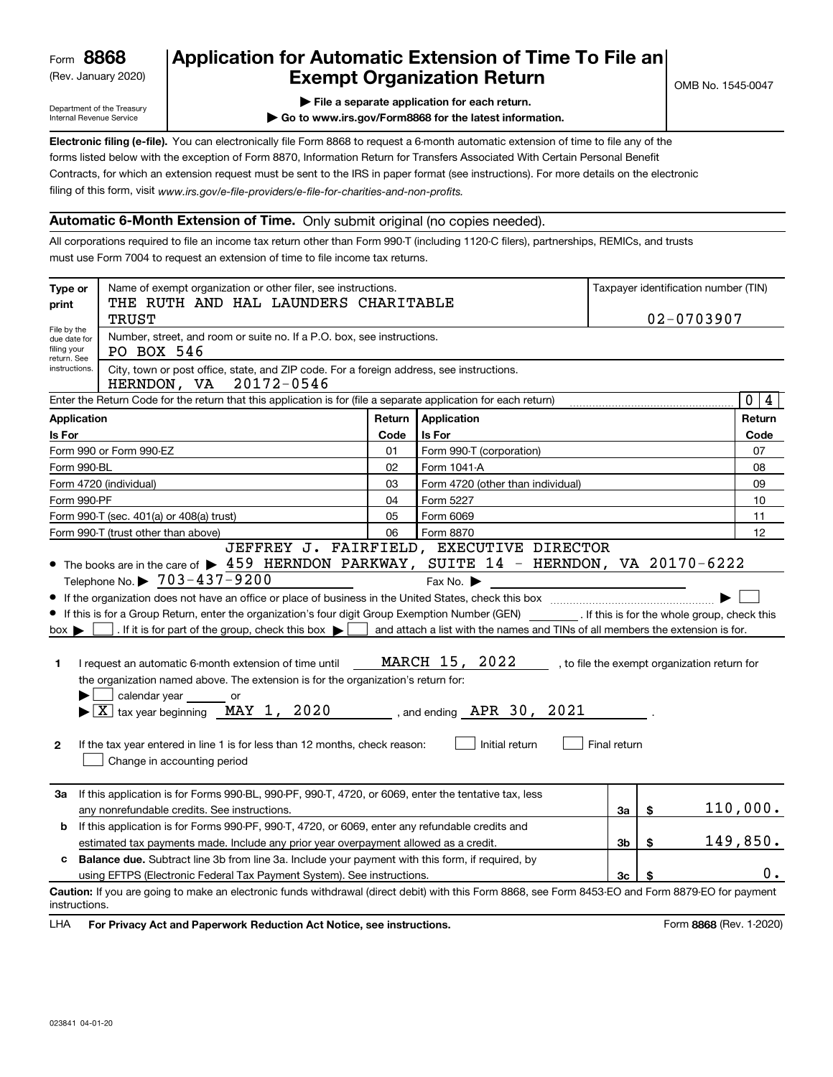(Rev. January 2020)

# **Application for Automatic Extension of Time To File an Exempt Organization Return**

Department of the Treasury Internal Revenue Service

**| File a separate application for each return.**

**| Go to www.irs.gov/Form8868 for the latest information.**

**Electronic filing (e-file).**  You can electronically file Form 8868 to request a 6-month automatic extension of time to file any of the filing of this form, visit www.irs.gov/e-file-providers/e-file-for-charities-and-non-profits. forms listed below with the exception of Form 8870, Information Return for Transfers Associated With Certain Personal Benefit Contracts, for which an extension request must be sent to the IRS in paper format (see instructions). For more details on the electronic

### **Automatic 6-Month Extension of Time.** Only submit original (no copies needed).

All corporations required to file an income tax return other than Form 990-T (including 1120-C filers), partnerships, REMICs, and trusts must use Form 7004 to request an extension of time to file income tax returns.

| Type or<br>print                                          | Name of exempt organization or other filer, see instructions.<br>THE RUTH AND HAL LAUNDERS CHARITABLE                                                                                                                                                                                                                                                                                                                                                                                                                                                                                                        |        |                                                                                                                                                                                    |              |    | Taxpayer identification number (TIN)         |                  |
|-----------------------------------------------------------|--------------------------------------------------------------------------------------------------------------------------------------------------------------------------------------------------------------------------------------------------------------------------------------------------------------------------------------------------------------------------------------------------------------------------------------------------------------------------------------------------------------------------------------------------------------------------------------------------------------|--------|------------------------------------------------------------------------------------------------------------------------------------------------------------------------------------|--------------|----|----------------------------------------------|------------------|
|                                                           | 02-0703907<br><b>TRUST</b>                                                                                                                                                                                                                                                                                                                                                                                                                                                                                                                                                                                   |        |                                                                                                                                                                                    |              |    |                                              |                  |
| File by the<br>due date for<br>filing your<br>return. See | Number, street, and room or suite no. If a P.O. box, see instructions.<br>PO BOX 546                                                                                                                                                                                                                                                                                                                                                                                                                                                                                                                         |        |                                                                                                                                                                                    |              |    |                                              |                  |
| instructions.                                             | City, town or post office, state, and ZIP code. For a foreign address, see instructions.<br>HERNDON, VA 20172-0546                                                                                                                                                                                                                                                                                                                                                                                                                                                                                           |        |                                                                                                                                                                                    |              |    |                                              |                  |
|                                                           | Enter the Return Code for the return that this application is for (file a separate application for each return)                                                                                                                                                                                                                                                                                                                                                                                                                                                                                              |        |                                                                                                                                                                                    |              |    |                                              | $\mathbf 0$<br>4 |
| <b>Application</b>                                        |                                                                                                                                                                                                                                                                                                                                                                                                                                                                                                                                                                                                              | Return | Application                                                                                                                                                                        |              |    |                                              | Return           |
| Is For                                                    |                                                                                                                                                                                                                                                                                                                                                                                                                                                                                                                                                                                                              | Code   | Is For                                                                                                                                                                             |              |    |                                              | Code             |
|                                                           | Form 990 or Form 990-EZ                                                                                                                                                                                                                                                                                                                                                                                                                                                                                                                                                                                      | 01     | Form 990-T (corporation)                                                                                                                                                           |              |    |                                              | 07               |
| Form 990-BL                                               |                                                                                                                                                                                                                                                                                                                                                                                                                                                                                                                                                                                                              | 02     | Form 1041-A                                                                                                                                                                        |              |    |                                              | 08               |
|                                                           | Form 4720 (individual)                                                                                                                                                                                                                                                                                                                                                                                                                                                                                                                                                                                       | 03     | Form 4720 (other than individual)                                                                                                                                                  |              |    |                                              | 09               |
| Form 990-PF                                               |                                                                                                                                                                                                                                                                                                                                                                                                                                                                                                                                                                                                              | 04     | Form 5227                                                                                                                                                                          |              |    |                                              | 10               |
|                                                           | Form 990-T (sec. 401(a) or 408(a) trust)                                                                                                                                                                                                                                                                                                                                                                                                                                                                                                                                                                     | 05     | Form 6069                                                                                                                                                                          |              |    |                                              | 11               |
|                                                           | Form 990-T (trust other than above)                                                                                                                                                                                                                                                                                                                                                                                                                                                                                                                                                                          | 06     | Form 8870<br>JEFFREY J. FAIRFIELD, EXECUTIVE DIRECTOR                                                                                                                              |              |    |                                              | 12               |
| $box \blacktriangleright$<br>1<br>$\mathbf{2}$            | Telephone No. $\triangleright$ 703-437-9200<br>If this is for a Group Return, enter the organization's four digit Group Exemption Number (GEN) [f this is for the whole group, check this<br>. If it is for part of the group, check this box $\blacktriangleright$<br>I request an automatic 6-month extension of time until<br>the organization named above. The extension is for the organization's return for:<br>calendar year<br>or<br>$\boxed{\text{X}}$ tax year beginning MAY 1, 2020<br>If the tax year entered in line 1 is for less than 12 months, check reason:<br>Change in accounting period |        | Fax No. $\blacktriangleright$<br>and attach a list with the names and TINs of all members the extension is for.<br>MARCH 15, 2022<br>, and ending $APR$ 30, 2021<br>Initial return | Final return |    | , to file the exempt organization return for |                  |
| За                                                        | If this application is for Forms 990-BL, 990-PF, 990-T, 4720, or 6069, enter the tentative tax, less<br>any nonrefundable credits. See instructions.                                                                                                                                                                                                                                                                                                                                                                                                                                                         |        |                                                                                                                                                                                    | 3a           | \$ |                                              | 110,000.         |
| b                                                         | If this application is for Forms 990-PF, 990-T, 4720, or 6069, enter any refundable credits and                                                                                                                                                                                                                                                                                                                                                                                                                                                                                                              |        |                                                                                                                                                                                    |              |    |                                              |                  |
|                                                           | \$<br>estimated tax payments made. Include any prior year overpayment allowed as a credit.<br>Зb                                                                                                                                                                                                                                                                                                                                                                                                                                                                                                             |        |                                                                                                                                                                                    | 149,850.     |    |                                              |                  |
|                                                           | c Balance due. Subtract line 3b from line 3a. Include your payment with this form, if required, by                                                                                                                                                                                                                                                                                                                                                                                                                                                                                                           |        |                                                                                                                                                                                    |              |    |                                              |                  |
|                                                           | using EFTPS (Electronic Federal Tax Payment System). See instructions.                                                                                                                                                                                                                                                                                                                                                                                                                                                                                                                                       |        |                                                                                                                                                                                    | 3c           |    |                                              | 0.               |
| instructions.                                             | Caution: If you are going to make an electronic funds withdrawal (direct debit) with this Form 8868, see Form 8453-EO and Form 8879-EO for payment                                                                                                                                                                                                                                                                                                                                                                                                                                                           |        |                                                                                                                                                                                    |              |    |                                              |                  |

**HA** For Privacy Act and Paperwork Reduction Act Notice, see instructions. **But a struction of the Constantion Constant** Form 8868 (Rev. 1-2020) LHA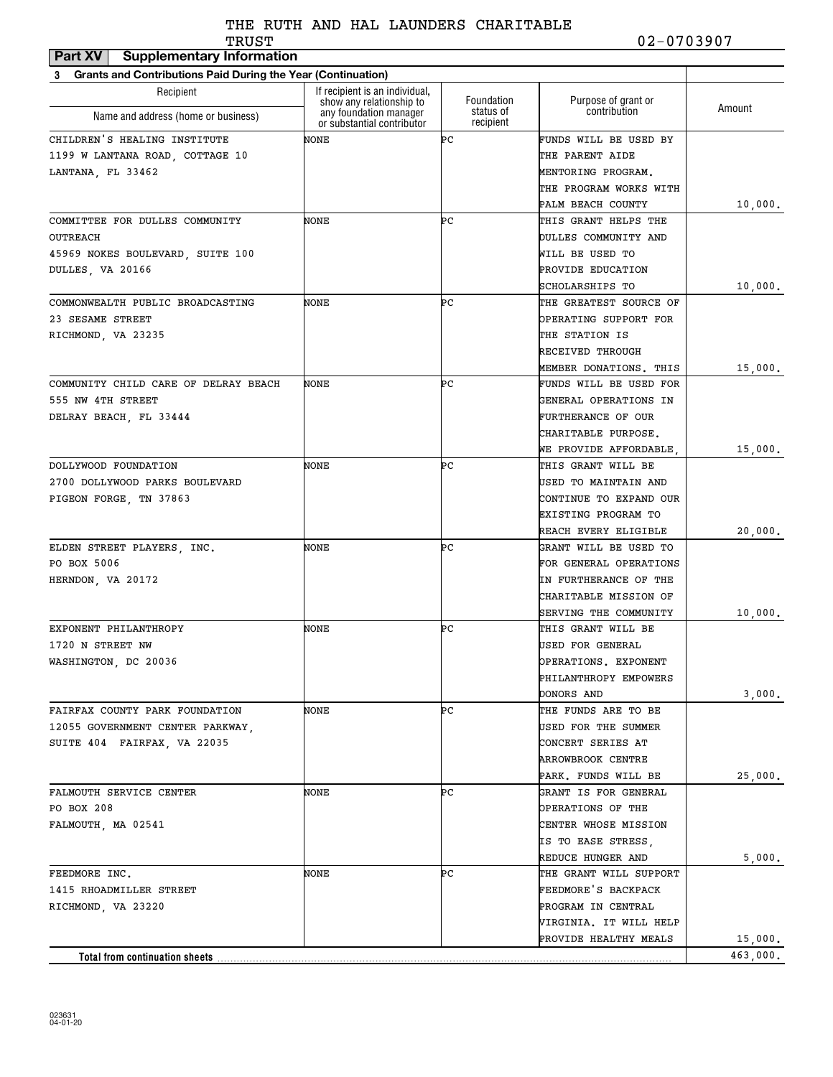| TRUST                                                             |                                                                                  |                                      | 02-0703907                          |          |
|-------------------------------------------------------------------|----------------------------------------------------------------------------------|--------------------------------------|-------------------------------------|----------|
| <b>Supplementary Information</b><br>Part XV                       |                                                                                  |                                      |                                     |          |
| Grants and Contributions Paid During the Year (Continuation)<br>3 |                                                                                  |                                      |                                     |          |
| Recipient                                                         | If recipient is an individual,                                                   |                                      |                                     |          |
| Name and address (home or business)                               | show any relationship to<br>any foundation manager<br>or substantial contributor | Foundation<br>status of<br>recipient | Purpose of grant or<br>contribution | Amount   |
| CHILDREN'S HEALING INSTITUTE                                      | NONE                                                                             | ÞС                                   | FUNDS WILL BE USED BY               |          |
| 1199 W LANTANA ROAD, COTTAGE 10                                   |                                                                                  |                                      | THE PARENT AIDE                     |          |
| LANTANA, FL 33462                                                 |                                                                                  |                                      | MENTORING PROGRAM.                  |          |
|                                                                   |                                                                                  |                                      | THE PROGRAM WORKS WITH              |          |
|                                                                   |                                                                                  |                                      | PALM BEACH COUNTY                   | 10,000.  |
| COMMITTEE FOR DULLES COMMUNITY                                    | NONE                                                                             | ÞС                                   | THIS GRANT HELPS THE                |          |
| <b>OUTREACH</b>                                                   |                                                                                  |                                      | DULLES COMMUNITY AND                |          |
| 45969 NOKES BOULEVARD, SUITE 100                                  |                                                                                  |                                      | WILL BE USED TO                     |          |
| DULLES, VA 20166                                                  |                                                                                  |                                      | PROVIDE EDUCATION                   |          |
|                                                                   |                                                                                  |                                      | SCHOLARSHIPS TO                     | 10,000.  |
| COMMONWEALTH PUBLIC BROADCASTING                                  | NONE                                                                             | ÞС                                   | THE GREATEST SOURCE OF              |          |
| 23 SESAME STREET                                                  |                                                                                  |                                      | OPERATING SUPPORT FOR               |          |
| RICHMOND, VA 23235                                                |                                                                                  |                                      | THE STATION IS                      |          |
|                                                                   |                                                                                  |                                      | RECEIVED THROUGH                    |          |
|                                                                   |                                                                                  |                                      | MEMBER DONATIONS. THIS              | 15,000.  |
| COMMUNITY CHILD CARE OF DELRAY BEACH                              | NONE                                                                             | ÞС                                   | FUNDS WILL BE USED FOR              |          |
| 555 NW 4TH STREET                                                 |                                                                                  |                                      | GENERAL OPERATIONS IN               |          |
| DELRAY BEACH, FL 33444                                            |                                                                                  |                                      | FURTHERANCE OF OUR                  |          |
|                                                                   |                                                                                  |                                      | CHARITABLE PURPOSE.                 |          |
|                                                                   |                                                                                  |                                      | WE PROVIDE AFFORDABLE,              | 15,000.  |
| DOLLYWOOD FOUNDATION                                              | NONE                                                                             | ÞС                                   | THIS GRANT WILL BE                  |          |
| 2700 DOLLYWOOD PARKS BOULEVARD                                    |                                                                                  |                                      | USED TO MAINTAIN AND                |          |
| PIGEON FORGE, TN 37863                                            |                                                                                  |                                      | CONTINUE TO EXPAND OUR              |          |
|                                                                   |                                                                                  |                                      | EXISTING PROGRAM TO                 |          |
|                                                                   |                                                                                  |                                      | REACH EVERY ELIGIBLE                | 20,000.  |
| ELDEN STREET PLAYERS, INC.                                        | NONE                                                                             | ÞС                                   | GRANT WILL BE USED TO               |          |
| PO BOX 5006                                                       |                                                                                  |                                      | FOR GENERAL OPERATIONS              |          |
| HERNDON, VA 20172                                                 |                                                                                  |                                      | IN FURTHERANCE OF THE               |          |
|                                                                   |                                                                                  |                                      | CHARITABLE MISSION OF               |          |
|                                                                   |                                                                                  |                                      | SERVING THE COMMUNITY               | 10,000.  |
| EXPONENT PHILANTHROPY                                             | NONE                                                                             | ÞС                                   | THIS GRANT WILL BE                  |          |
| 1720 N STREET NW                                                  |                                                                                  |                                      | USED FOR GENERAL                    |          |
| WASHINGTON, DC 20036                                              |                                                                                  |                                      | OPERATIONS. EXPONENT                |          |
|                                                                   |                                                                                  |                                      | PHILANTHROPY EMPOWERS               |          |
|                                                                   |                                                                                  |                                      | DONORS AND                          | 3,000.   |
| FAIRFAX COUNTY PARK FOUNDATION                                    | NONE                                                                             | ÞС                                   | THE FUNDS ARE TO BE                 |          |
| 12055 GOVERNMENT CENTER PARKWAY,                                  |                                                                                  |                                      | USED FOR THE SUMMER                 |          |
| SUITE 404 FAIRFAX, VA 22035                                       |                                                                                  |                                      | CONCERT SERIES AT                   |          |
|                                                                   |                                                                                  |                                      | ARROWBROOK CENTRE                   |          |
|                                                                   |                                                                                  |                                      | PARK. FUNDS WILL BE                 | 25,000.  |
| FALMOUTH SERVICE CENTER                                           | NONE                                                                             | ÞС                                   | GRANT IS FOR GENERAL                |          |
| PO BOX 208                                                        |                                                                                  |                                      | OPERATIONS OF THE                   |          |
| FALMOUTH, MA 02541                                                |                                                                                  |                                      | CENTER WHOSE MISSION                |          |
|                                                                   |                                                                                  |                                      | IS TO EASE STRESS,                  |          |
|                                                                   |                                                                                  |                                      | REDUCE HUNGER AND                   | 5,000.   |
| FEEDMORE INC.                                                     | NONE                                                                             | ÞС                                   | THE GRANT WILL SUPPORT              |          |
| 1415 RHOADMILLER STREET                                           |                                                                                  |                                      | FEEDMORE'S BACKPACK                 |          |
| RICHMOND, VA 23220                                                |                                                                                  |                                      | PROGRAM IN CENTRAL                  |          |
|                                                                   |                                                                                  |                                      | VIRGINIA. IT WILL HELP              |          |
|                                                                   |                                                                                  |                                      | PROVIDE HEALTHY MEALS               | 15,000.  |
| Total from continuation sheets                                    |                                                                                  |                                      |                                     | 463,000. |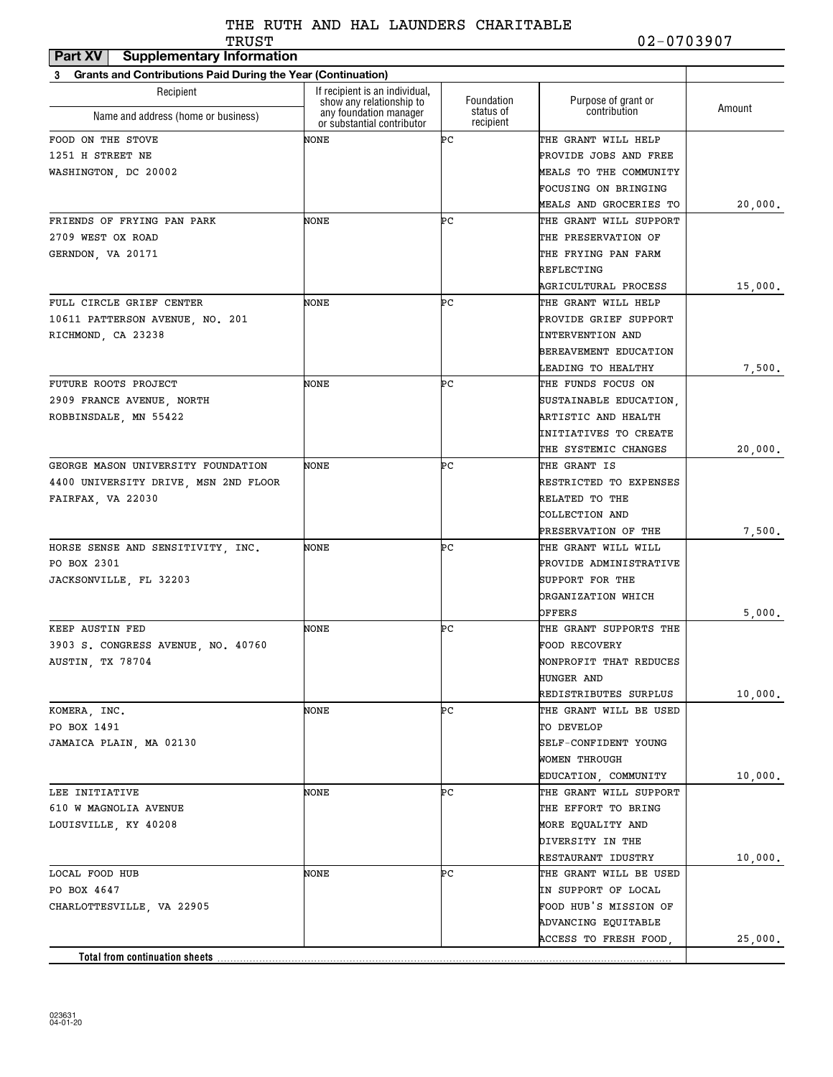| <b>Supplementary Information</b><br>Part XV                              |                                                            |                        |                               |         |
|--------------------------------------------------------------------------|------------------------------------------------------------|------------------------|-------------------------------|---------|
| <b>Grants and Contributions Paid During the Year (Continuation)</b><br>3 |                                                            |                        |                               |         |
| Recipient                                                                | If recipient is an individual,<br>show any relationship to | Foundation             | Purpose of grant or           |         |
| Name and address (home or business)                                      | any foundation manager<br>or substantial contributor       | status of<br>recipient | contribution                  | Amount  |
| FOOD ON THE STOVE                                                        | NONE                                                       | ÞС                     | THE GRANT WILL HELP           |         |
| 1251 H STREET NE                                                         |                                                            |                        | PROVIDE JOBS AND FREE         |         |
| WASHINGTON, DC 20002                                                     |                                                            |                        | <b>MEALS TO THE COMMUNITY</b> |         |
|                                                                          |                                                            |                        | FOCUSING ON BRINGING          |         |
|                                                                          |                                                            |                        | MEALS AND GROCERIES TO        | 20,000. |
| FRIENDS OF FRYING PAN PARK                                               | NONE                                                       | ÞС                     | THE GRANT WILL SUPPORT        |         |
| 2709 WEST OX ROAD                                                        |                                                            |                        | THE PRESERVATION OF           |         |
| GERNDON, VA 20171                                                        |                                                            |                        | THE FRYING PAN FARM           |         |
|                                                                          |                                                            |                        | REFLECTING                    |         |
|                                                                          |                                                            |                        | AGRICULTURAL PROCESS          | 15,000. |
| FULL CIRCLE GRIEF CENTER                                                 | NONE                                                       | ÞС                     | THE GRANT WILL HELP           |         |
| 10611 PATTERSON AVENUE, NO. 201                                          |                                                            |                        | PROVIDE GRIEF SUPPORT         |         |
| RICHMOND, CA 23238                                                       |                                                            |                        | <b>INTERVENTION AND</b>       |         |
|                                                                          |                                                            |                        | BEREAVEMENT EDUCATION         |         |
|                                                                          |                                                            |                        | <b>LEADING TO HEALTHY</b>     | 7,500.  |
| FUTURE ROOTS PROJECT                                                     | NONE                                                       | ÞС                     | THE FUNDS FOCUS ON            |         |
| 2909 FRANCE AVENUE, NORTH                                                |                                                            |                        | SUSTAINABLE EDUCATION,        |         |
| ROBBINSDALE, MN 55422                                                    |                                                            |                        | ARTISTIC AND HEALTH           |         |
|                                                                          |                                                            |                        | INITIATIVES TO CREATE         |         |
|                                                                          |                                                            |                        | THE SYSTEMIC CHANGES          | 20,000. |
| GEORGE MASON UNIVERSITY FOUNDATION                                       | NONE                                                       | ÞС                     | THE GRANT IS                  |         |
| 4400 UNIVERSITY DRIVE, MSN 2ND FLOOR                                     |                                                            |                        | RESTRICTED TO EXPENSES        |         |
| FAIRFAX, VA 22030                                                        |                                                            |                        | RELATED TO THE                |         |
|                                                                          |                                                            |                        | COLLECTION AND                |         |
|                                                                          |                                                            |                        | PRESERVATION OF THE           | 7,500.  |
| HORSE SENSE AND SENSITIVITY, INC.                                        | NONE                                                       | ÞС                     | THE GRANT WILL WILL           |         |
| PO BOX 2301                                                              |                                                            |                        | PROVIDE ADMINISTRATIVE        |         |
| JACKSONVILLE, FL 32203                                                   |                                                            |                        | SUPPORT FOR THE               |         |
|                                                                          |                                                            |                        | ORGANIZATION WHICH            |         |
|                                                                          |                                                            |                        | OFFERS                        | 5,000.  |
| KEEP AUSTIN FED                                                          | NONE                                                       | ÞС                     | THE GRANT SUPPORTS THE        |         |
| 3903 S. CONGRESS AVENUE, NO. 40760                                       |                                                            |                        | FOOD RECOVERY                 |         |
| AUSTIN, TX 78704                                                         |                                                            |                        | NONPROFIT THAT REDUCES        |         |
|                                                                          |                                                            |                        | HUNGER AND                    |         |
|                                                                          |                                                            |                        | REDISTRIBUTES SURPLUS         | 10,000. |
| KOMERA, INC.                                                             | NONE                                                       | ÞС                     | THE GRANT WILL BE USED        |         |
| PO BOX 1491                                                              |                                                            |                        | TO DEVELOP                    |         |
| JAMAICA PLAIN, MA 02130                                                  |                                                            |                        | SELF-CONFIDENT YOUNG          |         |
|                                                                          |                                                            |                        | WOMEN THROUGH                 |         |
|                                                                          |                                                            |                        | EDUCATION, COMMUNITY          | 10,000. |
| LEE INITIATIVE                                                           | NONE                                                       | ÞС                     | THE GRANT WILL SUPPORT        |         |
| 610 W MAGNOLIA AVENUE                                                    |                                                            |                        | THE EFFORT TO BRING           |         |
| LOUISVILLE, KY 40208                                                     |                                                            |                        | MORE EQUALITY AND             |         |
|                                                                          |                                                            |                        | DIVERSITY IN THE              |         |
|                                                                          |                                                            |                        | RESTAURANT IDUSTRY            | 10,000. |
| LOCAL FOOD HUB                                                           | NONE                                                       | ÞС                     | THE GRANT WILL BE USED        |         |
| PO BOX 4647                                                              |                                                            |                        | IN SUPPORT OF LOCAL           |         |
| CHARLOTTESVILLE, VA 22905                                                |                                                            |                        | FOOD HUB'S MISSION OF         |         |
|                                                                          |                                                            |                        | ADVANCING EQUITABLE           |         |
|                                                                          |                                                            |                        | ACCESS TO FRESH FOOD,         | 25,000. |
| Total from continuation sheets                                           |                                                            |                        |                               |         |
|                                                                          |                                                            |                        |                               |         |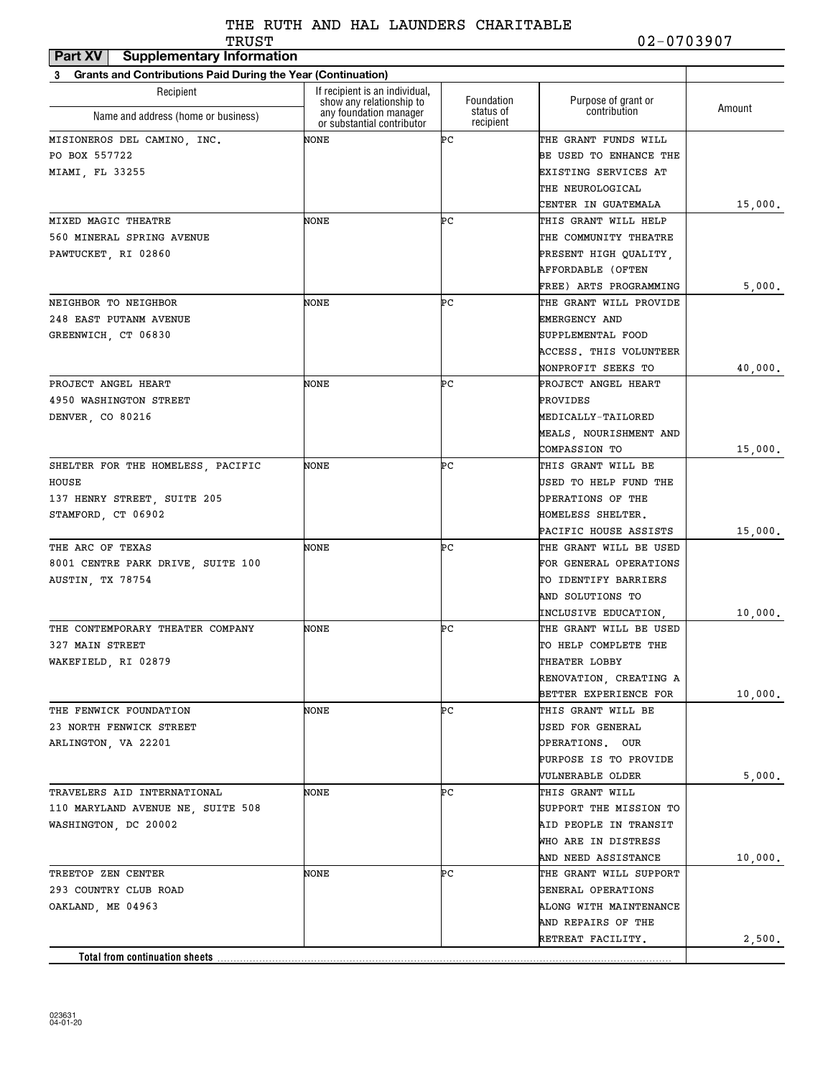| If recipient is an individual,<br>Recipient<br>Foundation<br>Purpose of grant or<br>show any relationship to<br>Amount<br>contribution<br>status of<br>any foundation manager<br>Name and address (home or business)<br>recipient<br>or substantial contributor<br>ÞС<br>NONE<br>THE GRANT FUNDS WILL<br>MISIONEROS DEL CAMINO, INC.<br>PO BOX 557722<br>BE USED TO ENHANCE THE<br>EXISTING SERVICES AT<br>THE NEUROLOGICAL<br>CENTER IN GUATEMALA<br>ÞС<br>MIXED MAGIC THEATRE<br>NONE<br>THIS GRANT WILL HELP<br>560 MINERAL SPRING AVENUE<br>THE COMMUNITY THEATRE<br>PAWTUCKET, RI 02860<br>PRESENT HIGH QUALITY,<br>AFFORDABLE (OFTEN<br>FREE) ARTS PROGRAMMING<br>ÞС<br>NEIGHBOR TO NEIGHBOR<br>NONE<br>THE GRANT WILL PROVIDE<br>248 EAST PUTANM AVENUE<br>EMERGENCY AND<br>GREENWICH, CT 06830<br>SUPPLEMENTAL FOOD<br>ACCESS. THIS VOLUNTEER<br>NONPROFIT SEEKS TO<br>NONE<br>ÞС<br>PROJECT ANGEL HEART<br>PROJECT ANGEL HEART<br>4950 WASHINGTON STREET<br>PROVIDES<br><b>MEDICALLY-TAILORED</b><br>DENVER, CO 80216<br>MEALS, NOURISHMENT AND<br>15,000.<br><b>COMPASSION TO</b><br>NONE<br>ÞС<br>THIS GRANT WILL BE<br>SHELTER FOR THE HOMELESS, PACIFIC<br>HOUSE<br>USED TO HELP FUND THE<br>137 HENRY STREET, SUITE 205<br>OPERATIONS OF THE<br>STAMFORD, CT 06902<br>HOMELESS SHELTER.<br>15,000.<br>PACIFIC HOUSE ASSISTS<br>THE ARC OF TEXAS<br>NONE<br>ÞС<br>THE GRANT WILL BE USED<br>8001 CENTRE PARK DRIVE, SUITE 100<br>FOR GENERAL OPERATIONS<br>AUSTIN, TX 78754<br>TO IDENTIFY BARRIERS<br>AND SOLUTIONS TO<br>10,000.<br>INCLUSIVE EDUCATION.<br>ÞС<br>THE CONTEMPORARY THEATER COMPANY<br>NONE<br>THE GRANT WILL BE USED<br>327 MAIN STREET<br>TO HELP COMPLETE THE<br>WAKEFIELD, RI 02879<br>THEATER LOBBY<br>RENOVATION, CREATING A<br>BETTER EXPERIENCE FOR<br>10,000.<br>NONE<br>ÞС<br>THE FENWICK FOUNDATION<br>THIS GRANT WILL BE<br>23 NORTH FENWICK STREET<br>USED FOR GENERAL<br>OPERATIONS. OUR<br>ARLINGTON, VA 22201<br>PURPOSE IS TO PROVIDE<br>5,000.<br>VULNERABLE OLDER<br>ÞС<br>TRAVELERS AID INTERNATIONAL<br>NONE<br>THIS GRANT WILL<br>110 MARYLAND AVENUE NE, SUITE 508<br>SUPPORT THE MISSION TO<br>AID PEOPLE IN TRANSIT<br>WASHINGTON, DC 20002<br>WHO ARE IN DISTRESS<br>AND NEED ASSISTANCE<br>10,000.<br>ÞС<br>THE GRANT WILL SUPPORT<br>TREETOP ZEN CENTER<br>NONE<br>293 COUNTRY CLUB ROAD<br>GENERAL OPERATIONS<br>OAKLAND, ME 04963<br>ALONG WITH MAINTENANCE<br>AND REPAIRS OF THE<br>2,500.<br>RETREAT FACILITY. | Grants and Contributions Paid During the Year (Continuation)<br>3 |  |         |
|------------------------------------------------------------------------------------------------------------------------------------------------------------------------------------------------------------------------------------------------------------------------------------------------------------------------------------------------------------------------------------------------------------------------------------------------------------------------------------------------------------------------------------------------------------------------------------------------------------------------------------------------------------------------------------------------------------------------------------------------------------------------------------------------------------------------------------------------------------------------------------------------------------------------------------------------------------------------------------------------------------------------------------------------------------------------------------------------------------------------------------------------------------------------------------------------------------------------------------------------------------------------------------------------------------------------------------------------------------------------------------------------------------------------------------------------------------------------------------------------------------------------------------------------------------------------------------------------------------------------------------------------------------------------------------------------------------------------------------------------------------------------------------------------------------------------------------------------------------------------------------------------------------------------------------------------------------------------------------------------------------------------------------------------------------------------------------------------------------------------------------------------------------------------------------------------------------------------------------------------------------------------------------------------------------------------------------------------------------------------------------------------------------------------------------------------------------------------------|-------------------------------------------------------------------|--|---------|
|                                                                                                                                                                                                                                                                                                                                                                                                                                                                                                                                                                                                                                                                                                                                                                                                                                                                                                                                                                                                                                                                                                                                                                                                                                                                                                                                                                                                                                                                                                                                                                                                                                                                                                                                                                                                                                                                                                                                                                                                                                                                                                                                                                                                                                                                                                                                                                                                                                                                              |                                                                   |  |         |
|                                                                                                                                                                                                                                                                                                                                                                                                                                                                                                                                                                                                                                                                                                                                                                                                                                                                                                                                                                                                                                                                                                                                                                                                                                                                                                                                                                                                                                                                                                                                                                                                                                                                                                                                                                                                                                                                                                                                                                                                                                                                                                                                                                                                                                                                                                                                                                                                                                                                              |                                                                   |  |         |
|                                                                                                                                                                                                                                                                                                                                                                                                                                                                                                                                                                                                                                                                                                                                                                                                                                                                                                                                                                                                                                                                                                                                                                                                                                                                                                                                                                                                                                                                                                                                                                                                                                                                                                                                                                                                                                                                                                                                                                                                                                                                                                                                                                                                                                                                                                                                                                                                                                                                              |                                                                   |  |         |
|                                                                                                                                                                                                                                                                                                                                                                                                                                                                                                                                                                                                                                                                                                                                                                                                                                                                                                                                                                                                                                                                                                                                                                                                                                                                                                                                                                                                                                                                                                                                                                                                                                                                                                                                                                                                                                                                                                                                                                                                                                                                                                                                                                                                                                                                                                                                                                                                                                                                              |                                                                   |  |         |
|                                                                                                                                                                                                                                                                                                                                                                                                                                                                                                                                                                                                                                                                                                                                                                                                                                                                                                                                                                                                                                                                                                                                                                                                                                                                                                                                                                                                                                                                                                                                                                                                                                                                                                                                                                                                                                                                                                                                                                                                                                                                                                                                                                                                                                                                                                                                                                                                                                                                              | MIAMI, FL 33255                                                   |  |         |
|                                                                                                                                                                                                                                                                                                                                                                                                                                                                                                                                                                                                                                                                                                                                                                                                                                                                                                                                                                                                                                                                                                                                                                                                                                                                                                                                                                                                                                                                                                                                                                                                                                                                                                                                                                                                                                                                                                                                                                                                                                                                                                                                                                                                                                                                                                                                                                                                                                                                              |                                                                   |  |         |
|                                                                                                                                                                                                                                                                                                                                                                                                                                                                                                                                                                                                                                                                                                                                                                                                                                                                                                                                                                                                                                                                                                                                                                                                                                                                                                                                                                                                                                                                                                                                                                                                                                                                                                                                                                                                                                                                                                                                                                                                                                                                                                                                                                                                                                                                                                                                                                                                                                                                              |                                                                   |  | 15,000. |
|                                                                                                                                                                                                                                                                                                                                                                                                                                                                                                                                                                                                                                                                                                                                                                                                                                                                                                                                                                                                                                                                                                                                                                                                                                                                                                                                                                                                                                                                                                                                                                                                                                                                                                                                                                                                                                                                                                                                                                                                                                                                                                                                                                                                                                                                                                                                                                                                                                                                              |                                                                   |  |         |
|                                                                                                                                                                                                                                                                                                                                                                                                                                                                                                                                                                                                                                                                                                                                                                                                                                                                                                                                                                                                                                                                                                                                                                                                                                                                                                                                                                                                                                                                                                                                                                                                                                                                                                                                                                                                                                                                                                                                                                                                                                                                                                                                                                                                                                                                                                                                                                                                                                                                              |                                                                   |  |         |
|                                                                                                                                                                                                                                                                                                                                                                                                                                                                                                                                                                                                                                                                                                                                                                                                                                                                                                                                                                                                                                                                                                                                                                                                                                                                                                                                                                                                                                                                                                                                                                                                                                                                                                                                                                                                                                                                                                                                                                                                                                                                                                                                                                                                                                                                                                                                                                                                                                                                              |                                                                   |  |         |
|                                                                                                                                                                                                                                                                                                                                                                                                                                                                                                                                                                                                                                                                                                                                                                                                                                                                                                                                                                                                                                                                                                                                                                                                                                                                                                                                                                                                                                                                                                                                                                                                                                                                                                                                                                                                                                                                                                                                                                                                                                                                                                                                                                                                                                                                                                                                                                                                                                                                              |                                                                   |  |         |
|                                                                                                                                                                                                                                                                                                                                                                                                                                                                                                                                                                                                                                                                                                                                                                                                                                                                                                                                                                                                                                                                                                                                                                                                                                                                                                                                                                                                                                                                                                                                                                                                                                                                                                                                                                                                                                                                                                                                                                                                                                                                                                                                                                                                                                                                                                                                                                                                                                                                              |                                                                   |  | 5,000.  |
|                                                                                                                                                                                                                                                                                                                                                                                                                                                                                                                                                                                                                                                                                                                                                                                                                                                                                                                                                                                                                                                                                                                                                                                                                                                                                                                                                                                                                                                                                                                                                                                                                                                                                                                                                                                                                                                                                                                                                                                                                                                                                                                                                                                                                                                                                                                                                                                                                                                                              |                                                                   |  |         |
|                                                                                                                                                                                                                                                                                                                                                                                                                                                                                                                                                                                                                                                                                                                                                                                                                                                                                                                                                                                                                                                                                                                                                                                                                                                                                                                                                                                                                                                                                                                                                                                                                                                                                                                                                                                                                                                                                                                                                                                                                                                                                                                                                                                                                                                                                                                                                                                                                                                                              |                                                                   |  |         |
|                                                                                                                                                                                                                                                                                                                                                                                                                                                                                                                                                                                                                                                                                                                                                                                                                                                                                                                                                                                                                                                                                                                                                                                                                                                                                                                                                                                                                                                                                                                                                                                                                                                                                                                                                                                                                                                                                                                                                                                                                                                                                                                                                                                                                                                                                                                                                                                                                                                                              |                                                                   |  |         |
|                                                                                                                                                                                                                                                                                                                                                                                                                                                                                                                                                                                                                                                                                                                                                                                                                                                                                                                                                                                                                                                                                                                                                                                                                                                                                                                                                                                                                                                                                                                                                                                                                                                                                                                                                                                                                                                                                                                                                                                                                                                                                                                                                                                                                                                                                                                                                                                                                                                                              |                                                                   |  |         |
|                                                                                                                                                                                                                                                                                                                                                                                                                                                                                                                                                                                                                                                                                                                                                                                                                                                                                                                                                                                                                                                                                                                                                                                                                                                                                                                                                                                                                                                                                                                                                                                                                                                                                                                                                                                                                                                                                                                                                                                                                                                                                                                                                                                                                                                                                                                                                                                                                                                                              |                                                                   |  | 40,000. |
|                                                                                                                                                                                                                                                                                                                                                                                                                                                                                                                                                                                                                                                                                                                                                                                                                                                                                                                                                                                                                                                                                                                                                                                                                                                                                                                                                                                                                                                                                                                                                                                                                                                                                                                                                                                                                                                                                                                                                                                                                                                                                                                                                                                                                                                                                                                                                                                                                                                                              |                                                                   |  |         |
|                                                                                                                                                                                                                                                                                                                                                                                                                                                                                                                                                                                                                                                                                                                                                                                                                                                                                                                                                                                                                                                                                                                                                                                                                                                                                                                                                                                                                                                                                                                                                                                                                                                                                                                                                                                                                                                                                                                                                                                                                                                                                                                                                                                                                                                                                                                                                                                                                                                                              |                                                                   |  |         |
|                                                                                                                                                                                                                                                                                                                                                                                                                                                                                                                                                                                                                                                                                                                                                                                                                                                                                                                                                                                                                                                                                                                                                                                                                                                                                                                                                                                                                                                                                                                                                                                                                                                                                                                                                                                                                                                                                                                                                                                                                                                                                                                                                                                                                                                                                                                                                                                                                                                                              |                                                                   |  |         |
|                                                                                                                                                                                                                                                                                                                                                                                                                                                                                                                                                                                                                                                                                                                                                                                                                                                                                                                                                                                                                                                                                                                                                                                                                                                                                                                                                                                                                                                                                                                                                                                                                                                                                                                                                                                                                                                                                                                                                                                                                                                                                                                                                                                                                                                                                                                                                                                                                                                                              |                                                                   |  |         |
|                                                                                                                                                                                                                                                                                                                                                                                                                                                                                                                                                                                                                                                                                                                                                                                                                                                                                                                                                                                                                                                                                                                                                                                                                                                                                                                                                                                                                                                                                                                                                                                                                                                                                                                                                                                                                                                                                                                                                                                                                                                                                                                                                                                                                                                                                                                                                                                                                                                                              |                                                                   |  |         |
|                                                                                                                                                                                                                                                                                                                                                                                                                                                                                                                                                                                                                                                                                                                                                                                                                                                                                                                                                                                                                                                                                                                                                                                                                                                                                                                                                                                                                                                                                                                                                                                                                                                                                                                                                                                                                                                                                                                                                                                                                                                                                                                                                                                                                                                                                                                                                                                                                                                                              |                                                                   |  |         |
|                                                                                                                                                                                                                                                                                                                                                                                                                                                                                                                                                                                                                                                                                                                                                                                                                                                                                                                                                                                                                                                                                                                                                                                                                                                                                                                                                                                                                                                                                                                                                                                                                                                                                                                                                                                                                                                                                                                                                                                                                                                                                                                                                                                                                                                                                                                                                                                                                                                                              |                                                                   |  |         |
|                                                                                                                                                                                                                                                                                                                                                                                                                                                                                                                                                                                                                                                                                                                                                                                                                                                                                                                                                                                                                                                                                                                                                                                                                                                                                                                                                                                                                                                                                                                                                                                                                                                                                                                                                                                                                                                                                                                                                                                                                                                                                                                                                                                                                                                                                                                                                                                                                                                                              |                                                                   |  |         |
|                                                                                                                                                                                                                                                                                                                                                                                                                                                                                                                                                                                                                                                                                                                                                                                                                                                                                                                                                                                                                                                                                                                                                                                                                                                                                                                                                                                                                                                                                                                                                                                                                                                                                                                                                                                                                                                                                                                                                                                                                                                                                                                                                                                                                                                                                                                                                                                                                                                                              |                                                                   |  |         |
|                                                                                                                                                                                                                                                                                                                                                                                                                                                                                                                                                                                                                                                                                                                                                                                                                                                                                                                                                                                                                                                                                                                                                                                                                                                                                                                                                                                                                                                                                                                                                                                                                                                                                                                                                                                                                                                                                                                                                                                                                                                                                                                                                                                                                                                                                                                                                                                                                                                                              |                                                                   |  |         |
|                                                                                                                                                                                                                                                                                                                                                                                                                                                                                                                                                                                                                                                                                                                                                                                                                                                                                                                                                                                                                                                                                                                                                                                                                                                                                                                                                                                                                                                                                                                                                                                                                                                                                                                                                                                                                                                                                                                                                                                                                                                                                                                                                                                                                                                                                                                                                                                                                                                                              |                                                                   |  |         |
|                                                                                                                                                                                                                                                                                                                                                                                                                                                                                                                                                                                                                                                                                                                                                                                                                                                                                                                                                                                                                                                                                                                                                                                                                                                                                                                                                                                                                                                                                                                                                                                                                                                                                                                                                                                                                                                                                                                                                                                                                                                                                                                                                                                                                                                                                                                                                                                                                                                                              |                                                                   |  |         |
|                                                                                                                                                                                                                                                                                                                                                                                                                                                                                                                                                                                                                                                                                                                                                                                                                                                                                                                                                                                                                                                                                                                                                                                                                                                                                                                                                                                                                                                                                                                                                                                                                                                                                                                                                                                                                                                                                                                                                                                                                                                                                                                                                                                                                                                                                                                                                                                                                                                                              |                                                                   |  |         |
|                                                                                                                                                                                                                                                                                                                                                                                                                                                                                                                                                                                                                                                                                                                                                                                                                                                                                                                                                                                                                                                                                                                                                                                                                                                                                                                                                                                                                                                                                                                                                                                                                                                                                                                                                                                                                                                                                                                                                                                                                                                                                                                                                                                                                                                                                                                                                                                                                                                                              |                                                                   |  |         |
|                                                                                                                                                                                                                                                                                                                                                                                                                                                                                                                                                                                                                                                                                                                                                                                                                                                                                                                                                                                                                                                                                                                                                                                                                                                                                                                                                                                                                                                                                                                                                                                                                                                                                                                                                                                                                                                                                                                                                                                                                                                                                                                                                                                                                                                                                                                                                                                                                                                                              |                                                                   |  |         |
|                                                                                                                                                                                                                                                                                                                                                                                                                                                                                                                                                                                                                                                                                                                                                                                                                                                                                                                                                                                                                                                                                                                                                                                                                                                                                                                                                                                                                                                                                                                                                                                                                                                                                                                                                                                                                                                                                                                                                                                                                                                                                                                                                                                                                                                                                                                                                                                                                                                                              |                                                                   |  |         |
|                                                                                                                                                                                                                                                                                                                                                                                                                                                                                                                                                                                                                                                                                                                                                                                                                                                                                                                                                                                                                                                                                                                                                                                                                                                                                                                                                                                                                                                                                                                                                                                                                                                                                                                                                                                                                                                                                                                                                                                                                                                                                                                                                                                                                                                                                                                                                                                                                                                                              |                                                                   |  |         |
|                                                                                                                                                                                                                                                                                                                                                                                                                                                                                                                                                                                                                                                                                                                                                                                                                                                                                                                                                                                                                                                                                                                                                                                                                                                                                                                                                                                                                                                                                                                                                                                                                                                                                                                                                                                                                                                                                                                                                                                                                                                                                                                                                                                                                                                                                                                                                                                                                                                                              |                                                                   |  |         |
|                                                                                                                                                                                                                                                                                                                                                                                                                                                                                                                                                                                                                                                                                                                                                                                                                                                                                                                                                                                                                                                                                                                                                                                                                                                                                                                                                                                                                                                                                                                                                                                                                                                                                                                                                                                                                                                                                                                                                                                                                                                                                                                                                                                                                                                                                                                                                                                                                                                                              |                                                                   |  |         |
|                                                                                                                                                                                                                                                                                                                                                                                                                                                                                                                                                                                                                                                                                                                                                                                                                                                                                                                                                                                                                                                                                                                                                                                                                                                                                                                                                                                                                                                                                                                                                                                                                                                                                                                                                                                                                                                                                                                                                                                                                                                                                                                                                                                                                                                                                                                                                                                                                                                                              |                                                                   |  |         |
|                                                                                                                                                                                                                                                                                                                                                                                                                                                                                                                                                                                                                                                                                                                                                                                                                                                                                                                                                                                                                                                                                                                                                                                                                                                                                                                                                                                                                                                                                                                                                                                                                                                                                                                                                                                                                                                                                                                                                                                                                                                                                                                                                                                                                                                                                                                                                                                                                                                                              |                                                                   |  |         |
|                                                                                                                                                                                                                                                                                                                                                                                                                                                                                                                                                                                                                                                                                                                                                                                                                                                                                                                                                                                                                                                                                                                                                                                                                                                                                                                                                                                                                                                                                                                                                                                                                                                                                                                                                                                                                                                                                                                                                                                                                                                                                                                                                                                                                                                                                                                                                                                                                                                                              |                                                                   |  |         |
|                                                                                                                                                                                                                                                                                                                                                                                                                                                                                                                                                                                                                                                                                                                                                                                                                                                                                                                                                                                                                                                                                                                                                                                                                                                                                                                                                                                                                                                                                                                                                                                                                                                                                                                                                                                                                                                                                                                                                                                                                                                                                                                                                                                                                                                                                                                                                                                                                                                                              |                                                                   |  |         |
|                                                                                                                                                                                                                                                                                                                                                                                                                                                                                                                                                                                                                                                                                                                                                                                                                                                                                                                                                                                                                                                                                                                                                                                                                                                                                                                                                                                                                                                                                                                                                                                                                                                                                                                                                                                                                                                                                                                                                                                                                                                                                                                                                                                                                                                                                                                                                                                                                                                                              |                                                                   |  |         |
|                                                                                                                                                                                                                                                                                                                                                                                                                                                                                                                                                                                                                                                                                                                                                                                                                                                                                                                                                                                                                                                                                                                                                                                                                                                                                                                                                                                                                                                                                                                                                                                                                                                                                                                                                                                                                                                                                                                                                                                                                                                                                                                                                                                                                                                                                                                                                                                                                                                                              |                                                                   |  |         |
|                                                                                                                                                                                                                                                                                                                                                                                                                                                                                                                                                                                                                                                                                                                                                                                                                                                                                                                                                                                                                                                                                                                                                                                                                                                                                                                                                                                                                                                                                                                                                                                                                                                                                                                                                                                                                                                                                                                                                                                                                                                                                                                                                                                                                                                                                                                                                                                                                                                                              |                                                                   |  |         |
|                                                                                                                                                                                                                                                                                                                                                                                                                                                                                                                                                                                                                                                                                                                                                                                                                                                                                                                                                                                                                                                                                                                                                                                                                                                                                                                                                                                                                                                                                                                                                                                                                                                                                                                                                                                                                                                                                                                                                                                                                                                                                                                                                                                                                                                                                                                                                                                                                                                                              |                                                                   |  |         |
|                                                                                                                                                                                                                                                                                                                                                                                                                                                                                                                                                                                                                                                                                                                                                                                                                                                                                                                                                                                                                                                                                                                                                                                                                                                                                                                                                                                                                                                                                                                                                                                                                                                                                                                                                                                                                                                                                                                                                                                                                                                                                                                                                                                                                                                                                                                                                                                                                                                                              |                                                                   |  |         |
|                                                                                                                                                                                                                                                                                                                                                                                                                                                                                                                                                                                                                                                                                                                                                                                                                                                                                                                                                                                                                                                                                                                                                                                                                                                                                                                                                                                                                                                                                                                                                                                                                                                                                                                                                                                                                                                                                                                                                                                                                                                                                                                                                                                                                                                                                                                                                                                                                                                                              |                                                                   |  |         |
|                                                                                                                                                                                                                                                                                                                                                                                                                                                                                                                                                                                                                                                                                                                                                                                                                                                                                                                                                                                                                                                                                                                                                                                                                                                                                                                                                                                                                                                                                                                                                                                                                                                                                                                                                                                                                                                                                                                                                                                                                                                                                                                                                                                                                                                                                                                                                                                                                                                                              |                                                                   |  |         |
|                                                                                                                                                                                                                                                                                                                                                                                                                                                                                                                                                                                                                                                                                                                                                                                                                                                                                                                                                                                                                                                                                                                                                                                                                                                                                                                                                                                                                                                                                                                                                                                                                                                                                                                                                                                                                                                                                                                                                                                                                                                                                                                                                                                                                                                                                                                                                                                                                                                                              |                                                                   |  |         |
|                                                                                                                                                                                                                                                                                                                                                                                                                                                                                                                                                                                                                                                                                                                                                                                                                                                                                                                                                                                                                                                                                                                                                                                                                                                                                                                                                                                                                                                                                                                                                                                                                                                                                                                                                                                                                                                                                                                                                                                                                                                                                                                                                                                                                                                                                                                                                                                                                                                                              |                                                                   |  |         |
|                                                                                                                                                                                                                                                                                                                                                                                                                                                                                                                                                                                                                                                                                                                                                                                                                                                                                                                                                                                                                                                                                                                                                                                                                                                                                                                                                                                                                                                                                                                                                                                                                                                                                                                                                                                                                                                                                                                                                                                                                                                                                                                                                                                                                                                                                                                                                                                                                                                                              |                                                                   |  |         |
|                                                                                                                                                                                                                                                                                                                                                                                                                                                                                                                                                                                                                                                                                                                                                                                                                                                                                                                                                                                                                                                                                                                                                                                                                                                                                                                                                                                                                                                                                                                                                                                                                                                                                                                                                                                                                                                                                                                                                                                                                                                                                                                                                                                                                                                                                                                                                                                                                                                                              |                                                                   |  |         |
|                                                                                                                                                                                                                                                                                                                                                                                                                                                                                                                                                                                                                                                                                                                                                                                                                                                                                                                                                                                                                                                                                                                                                                                                                                                                                                                                                                                                                                                                                                                                                                                                                                                                                                                                                                                                                                                                                                                                                                                                                                                                                                                                                                                                                                                                                                                                                                                                                                                                              |                                                                   |  |         |
|                                                                                                                                                                                                                                                                                                                                                                                                                                                                                                                                                                                                                                                                                                                                                                                                                                                                                                                                                                                                                                                                                                                                                                                                                                                                                                                                                                                                                                                                                                                                                                                                                                                                                                                                                                                                                                                                                                                                                                                                                                                                                                                                                                                                                                                                                                                                                                                                                                                                              |                                                                   |  |         |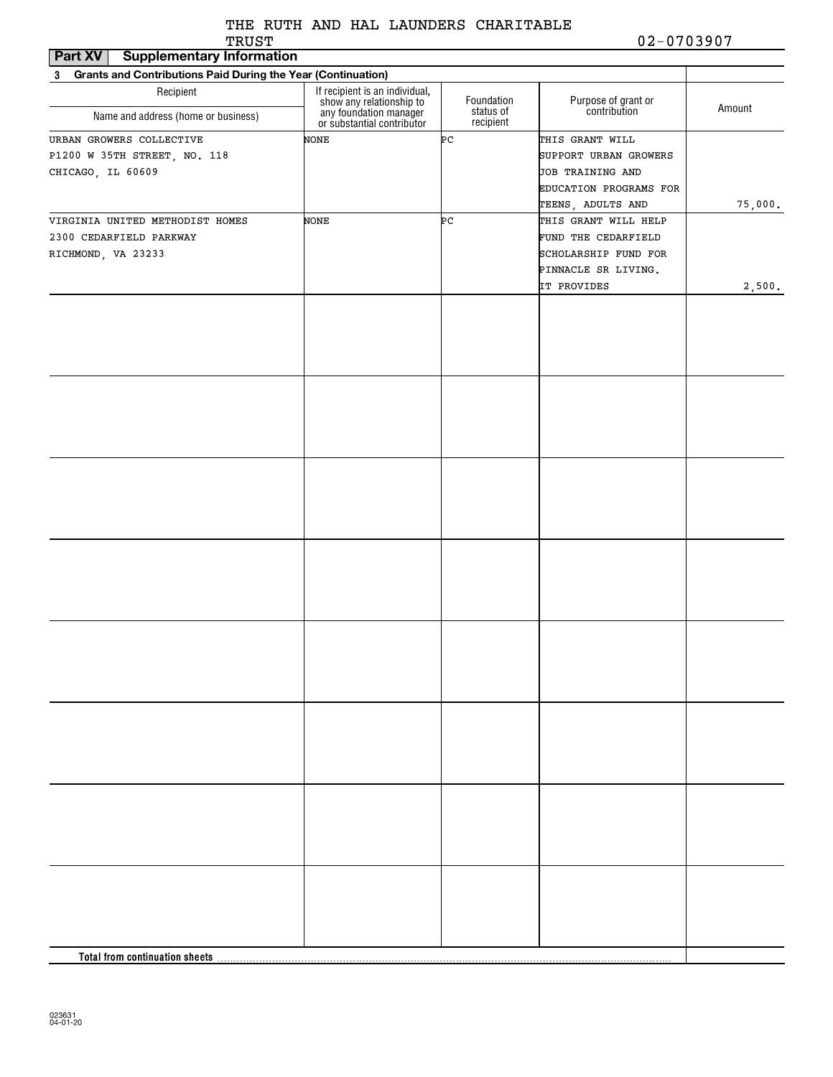| Part XV<br><b>Supplementary Information</b>                                   |                                                                                  |                        |                                                                                                             |         |
|-------------------------------------------------------------------------------|----------------------------------------------------------------------------------|------------------------|-------------------------------------------------------------------------------------------------------------|---------|
| <b>Grants and Contributions Paid During the Year (Continuation)</b><br>3      |                                                                                  |                        |                                                                                                             |         |
| Recipient                                                                     | If recipient is an individual,                                                   | Foundation             | Purpose of grant or<br>contribution                                                                         | Amount  |
| Name and address (home or business)                                           | show any relationship to<br>any foundation manager<br>or substantial contributor | status of<br>recipient |                                                                                                             |         |
| URBAN GROWERS COLLECTIVE<br>P1200 W 35TH STREET, NO. 118<br>CHICAGO, IL 60609 | NONE                                                                             | ÞС                     | THIS GRANT WILL<br>SUPPORT URBAN GROWERS<br>JOB TRAINING AND<br>EDUCATION PROGRAMS FOR<br>TEENS, ADULTS AND | 75,000. |
| VIRGINIA UNITED METHODIST HOMES                                               | NONE                                                                             | ÞС                     | THIS GRANT WILL HELP                                                                                        |         |
| 2300 CEDARFIELD PARKWAY<br>RICHMOND, VA 23233                                 |                                                                                  |                        | FUND THE CEDARFIELD<br>SCHOLARSHIP FUND FOR                                                                 |         |
|                                                                               |                                                                                  |                        | PINNACLE SR LIVING.<br>IT PROVIDES                                                                          | 2,500.  |
|                                                                               |                                                                                  |                        |                                                                                                             |         |
|                                                                               |                                                                                  |                        |                                                                                                             |         |
|                                                                               |                                                                                  |                        |                                                                                                             |         |
|                                                                               |                                                                                  |                        |                                                                                                             |         |
|                                                                               |                                                                                  |                        |                                                                                                             |         |
|                                                                               |                                                                                  |                        |                                                                                                             |         |
|                                                                               |                                                                                  |                        |                                                                                                             |         |
|                                                                               |                                                                                  |                        |                                                                                                             |         |
| Total from continuation sheets                                                |                                                                                  |                        |                                                                                                             |         |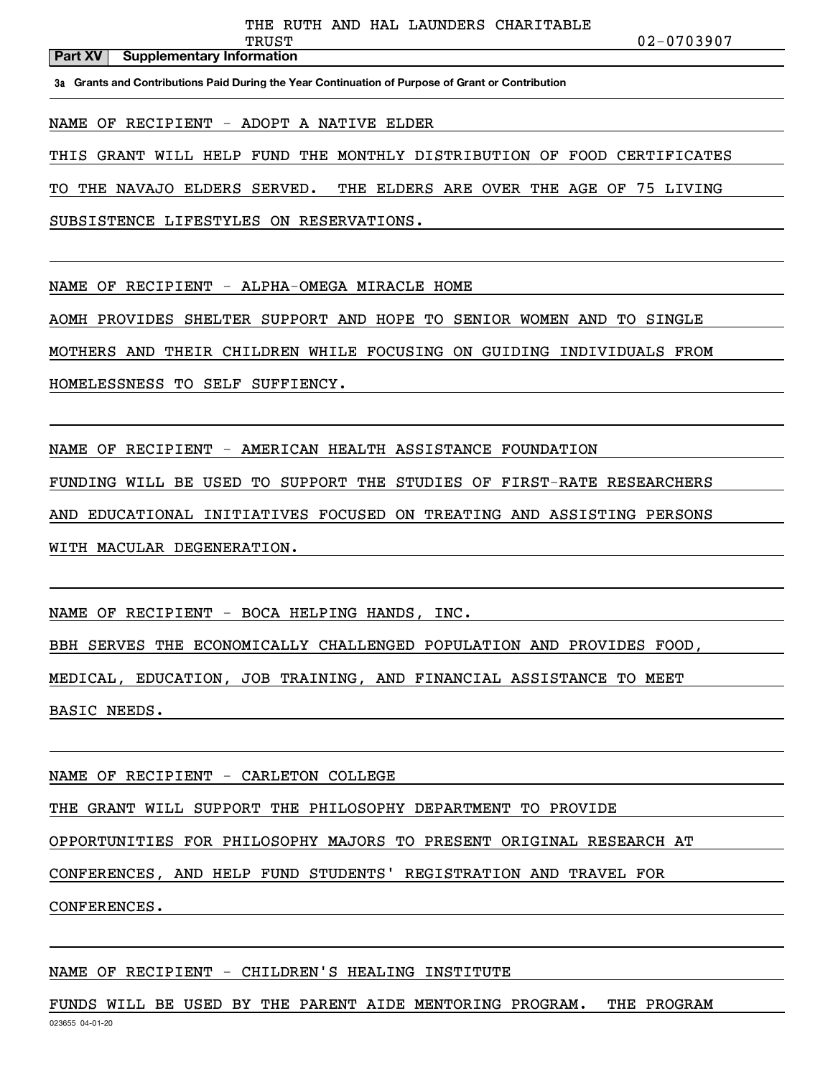#### **Part XV** Supplementary Information

TRUST 02-0703907

**3a Grants and Contributions Paid During the Year Continuation of Purpose of Grant or Contribution**

NAME OF RECIPIENT - ADOPT A NATIVE ELDER

THIS GRANT WILL HELP FUND THE MONTHLY DISTRIBUTION OF FOOD CERTIFICATES

TO THE NAVAJO ELDERS SERVED. THE ELDERS ARE OVER THE AGE OF 75 LIVING

SUBSISTENCE LIFESTYLES ON RESERVATIONS.

NAME OF RECIPIENT - ALPHA-OMEGA MIRACLE HOME

AOMH PROVIDES SHELTER SUPPORT AND HOPE TO SENIOR WOMEN AND TO SINGLE

MOTHERS AND THEIR CHILDREN WHILE FOCUSING ON GUIDING INDIVIDUALS FROM

HOMELESSNESS TO SELF SUFFIENCY.

NAME OF RECIPIENT - AMERICAN HEALTH ASSISTANCE FOUNDATION

FUNDING WILL BE USED TO SUPPORT THE STUDIES OF FIRST-RATE RESEARCHERS

AND EDUCATIONAL INITIATIVES FOCUSED ON TREATING AND ASSISTING PERSONS

WITH MACULAR DEGENERATION.

NAME OF RECIPIENT - BOCA HELPING HANDS, INC.

BBH SERVES THE ECONOMICALLY CHALLENGED POPULATION AND PROVIDES FOOD,

MEDICAL, EDUCATION, JOB TRAINING, AND FINANCIAL ASSISTANCE TO MEET

BASIC NEEDS.

NAME OF RECIPIENT - CARLETON COLLEGE

THE GRANT WILL SUPPORT THE PHILOSOPHY DEPARTMENT TO PROVIDE

OPPORTUNITIES FOR PHILOSOPHY MAJORS TO PRESENT ORIGINAL RESEARCH AT

CONFERENCES, AND HELP FUND STUDENTS' REGISTRATION AND TRAVEL FOR

CONFERENCES.

#### NAME OF RECIPIENT - CHILDREN'S HEALING INSTITUTE

023655 04-01-20 FUNDS WILL BE USED BY THE PARENT AIDE MENTORING PROGRAM. THE PROGRAM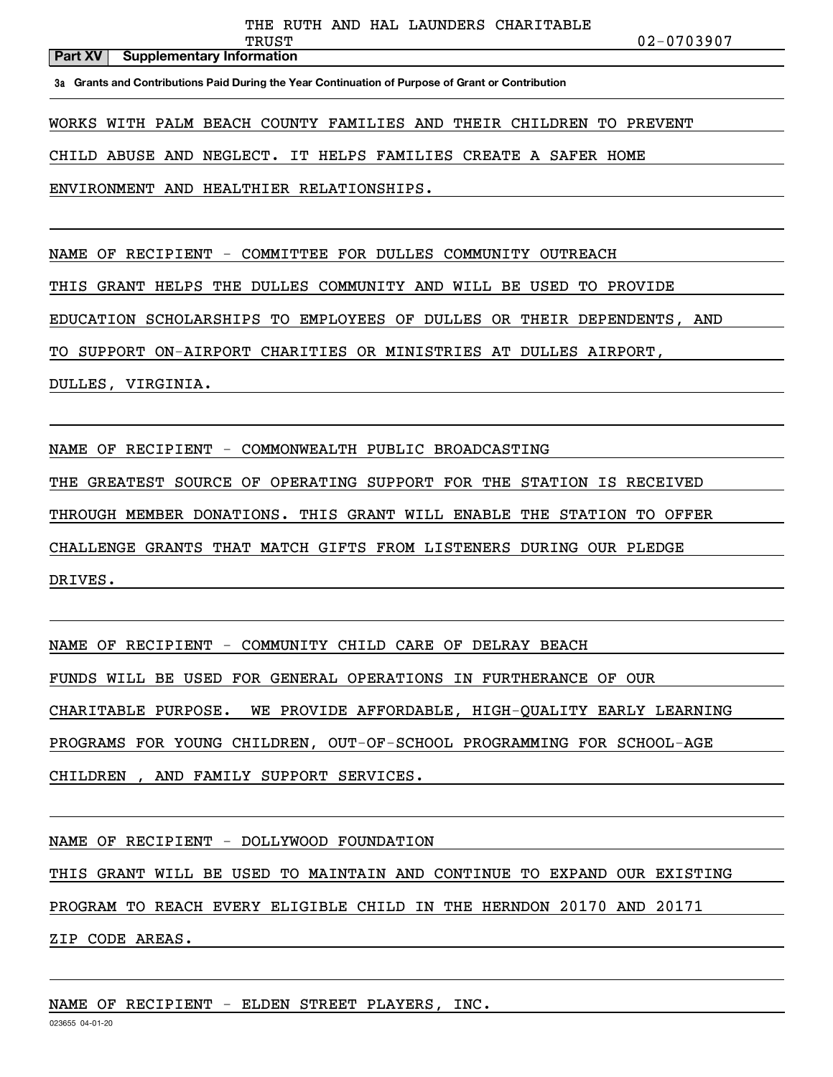#### **Part XV** Supplementary Information

TRUST 02-0703907

**3a Grants and Contributions Paid During the Year Continuation of Purpose of Grant or Contribution**

WORKS WITH PALM BEACH COUNTY FAMILIES AND THEIR CHILDREN TO PREVENT

CHILD ABUSE AND NEGLECT. IT HELPS FAMILIES CREATE A SAFER HOME

ENVIRONMENT AND HEALTHIER RELATIONSHIPS.

NAME OF RECIPIENT - COMMITTEE FOR DULLES COMMUNITY OUTREACH

THIS GRANT HELPS THE DULLES COMMUNITY AND WILL BE USED TO PROVIDE

EDUCATION SCHOLARSHIPS TO EMPLOYEES OF DULLES OR THEIR DEPENDENTS, AND

TO SUPPORT ON-AIRPORT CHARITIES OR MINISTRIES AT DULLES AIRPORT,

DULLES, VIRGINIA.

NAME OF RECIPIENT - COMMONWEALTH PUBLIC BROADCASTING

THE GREATEST SOURCE OF OPERATING SUPPORT FOR THE STATION IS RECEIVED

THROUGH MEMBER DONATIONS. THIS GRANT WILL ENABLE THE STATION TO OFFER

CHALLENGE GRANTS THAT MATCH GIFTS FROM LISTENERS DURING OUR PLEDGE

DRIVES.

NAME OF RECIPIENT - COMMUNITY CHILD CARE OF DELRAY BEACH

FUNDS WILL BE USED FOR GENERAL OPERATIONS IN FURTHERANCE OF OUR

CHARITABLE PURPOSE. WE PROVIDE AFFORDABLE, HIGH-QUALITY EARLY LEARNING

PROGRAMS FOR YOUNG CHILDREN, OUT-OF-SCHOOL PROGRAMMING FOR SCHOOL-AGE

CHILDREN , AND FAMILY SUPPORT SERVICES.

NAME OF RECIPIENT - DOLLYWOOD FOUNDATION

THIS GRANT WILL BE USED TO MAINTAIN AND CONTINUE TO EXPAND OUR EXISTING

PROGRAM TO REACH EVERY ELIGIBLE CHILD IN THE HERNDON 20170 AND 20171

ZIP CODE AREAS.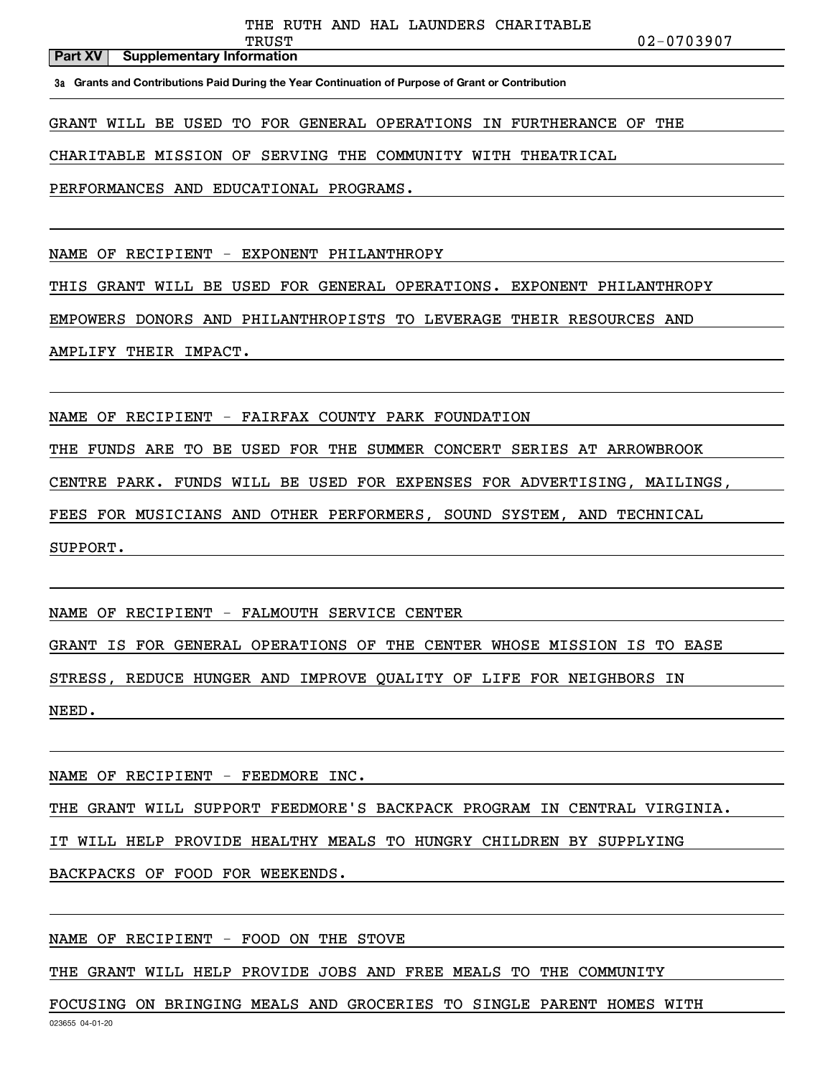TRUST 02-0703907

#### **Part XV** Supplementary Information

**3a Grants and Contributions Paid During the Year Continuation of Purpose of Grant or Contribution**

GRANT WILL BE USED TO FOR GENERAL OPERATIONS IN FURTHERANCE OF THE

CHARITABLE MISSION OF SERVING THE COMMUNITY WITH THEATRICAL

PERFORMANCES AND EDUCATIONAL PROGRAMS.

NAME OF RECIPIENT - EXPONENT PHILANTHROPY

THIS GRANT WILL BE USED FOR GENERAL OPERATIONS. EXPONENT PHILANTHROPY

EMPOWERS DONORS AND PHILANTHROPISTS TO LEVERAGE THEIR RESOURCES AND

AMPLIFY THEIR IMPACT.

NAME OF RECIPIENT - FAIRFAX COUNTY PARK FOUNDATION

THE FUNDS ARE TO BE USED FOR THE SUMMER CONCERT SERIES AT ARROWBROOK

CENTRE PARK. FUNDS WILL BE USED FOR EXPENSES FOR ADVERTISING, MAILINGS,

FEES FOR MUSICIANS AND OTHER PERFORMERS, SOUND SYSTEM, AND TECHNICAL

SUPPORT.

NAME OF RECIPIENT - FALMOUTH SERVICE CENTER

GRANT IS FOR GENERAL OPERATIONS OF THE CENTER WHOSE MISSION IS TO EASE

STRESS, REDUCE HUNGER AND IMPROVE QUALITY OF LIFE FOR NEIGHBORS IN

NEED.

NAME OF RECIPIENT - FEEDMORE INC.

THE GRANT WILL SUPPORT FEEDMORE'S BACKPACK PROGRAM IN CENTRAL VIRGINIA.

IT WILL HELP PROVIDE HEALTHY MEALS TO HUNGRY CHILDREN BY SUPPLYING

BACKPACKS OF FOOD FOR WEEKENDS.

NAME OF RECIPIENT - FOOD ON THE STOVE

THE GRANT WILL HELP PROVIDE JOBS AND FREE MEALS TO THE COMMUNITY

FOCUSING ON BRINGING MEALS AND GROCERIES TO SINGLE PARENT HOMES WITH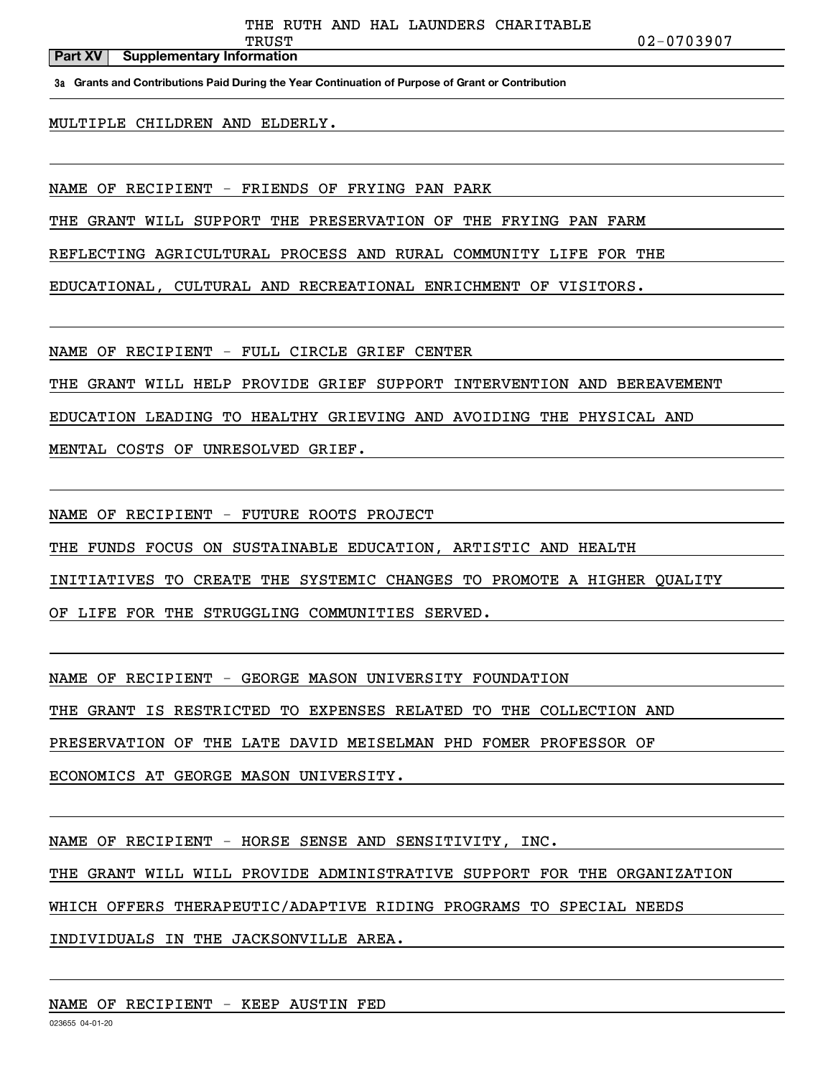#### **Part XV** Supplementary Information

TRUST 02-0703907

**3a Grants and Contributions Paid During the Year Continuation of Purpose of Grant or Contribution**

MULTIPLE CHILDREN AND ELDERLY.

NAME OF RECIPIENT - FRIENDS OF FRYING PAN PARK

THE GRANT WILL SUPPORT THE PRESERVATION OF THE FRYING PAN FARM

REFLECTING AGRICULTURAL PROCESS AND RURAL COMMUNITY LIFE FOR THE

EDUCATIONAL, CULTURAL AND RECREATIONAL ENRICHMENT OF VISITORS.

NAME OF RECIPIENT - FULL CIRCLE GRIEF CENTER

THE GRANT WILL HELP PROVIDE GRIEF SUPPORT INTERVENTION AND BEREAVEMENT

EDUCATION LEADING TO HEALTHY GRIEVING AND AVOIDING THE PHYSICAL AND

MENTAL COSTS OF UNRESOLVED GRIEF.

NAME OF RECIPIENT - FUTURE ROOTS PROJECT

THE FUNDS FOCUS ON SUSTAINABLE EDUCATION, ARTISTIC AND HEALTH

INITIATIVES TO CREATE THE SYSTEMIC CHANGES TO PROMOTE A HIGHER QUALITY

OF LIFE FOR THE STRUGGLING COMMUNITIES SERVED.

NAME OF RECIPIENT - GEORGE MASON UNIVERSITY FOUNDATION

THE GRANT IS RESTRICTED TO EXPENSES RELATED TO THE COLLECTION AND

PRESERVATION OF THE LATE DAVID MEISELMAN PHD FOMER PROFESSOR OF

ECONOMICS AT GEORGE MASON UNIVERSITY.

NAME OF RECIPIENT - HORSE SENSE AND SENSITIVITY, INC.

THE GRANT WILL WILL PROVIDE ADMINISTRATIVE SUPPORT FOR THE ORGANIZATION

WHICH OFFERS THERAPEUTIC/ADAPTIVE RIDING PROGRAMS TO SPECIAL NEEDS

INDIVIDUALS IN THE JACKSONVILLE AREA.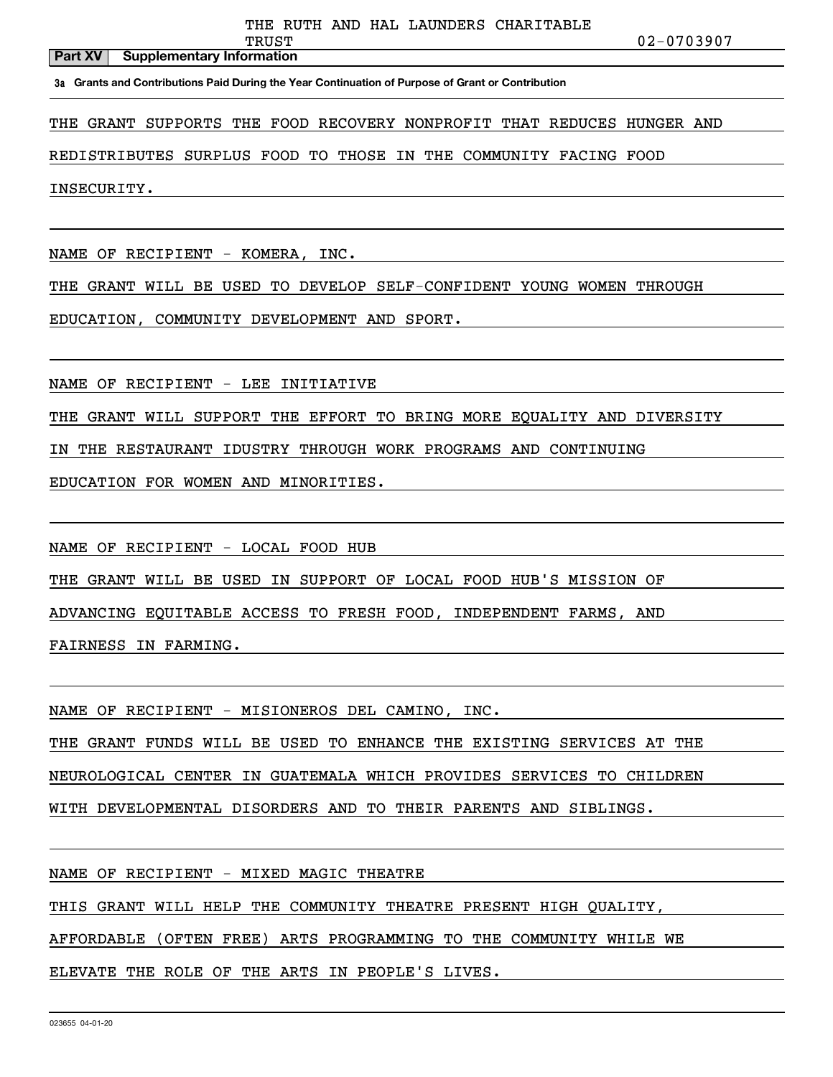TRUST 02-0703907

#### **Part XV** Supplementary Information

**3a Grants and Contributions Paid During the Year Continuation of Purpose of Grant or Contribution**

THE GRANT SUPPORTS THE FOOD RECOVERY NONPROFIT THAT REDUCES HUNGER AND

REDISTRIBUTES SURPLUS FOOD TO THOSE IN THE COMMUNITY FACING FOOD

INSECURITY.

NAME OF RECIPIENT - KOMERA, INC.

THE GRANT WILL BE USED TO DEVELOP SELF-CONFIDENT YOUNG WOMEN THROUGH

EDUCATION, COMMUNITY DEVELOPMENT AND SPORT.

NAME OF RECIPIENT - LEE INITIATIVE

THE GRANT WILL SUPPORT THE EFFORT TO BRING MORE EQUALITY AND DIVERSITY

IN THE RESTAURANT IDUSTRY THROUGH WORK PROGRAMS AND CONTINUING

EDUCATION FOR WOMEN AND MINORITIES.

NAME OF RECIPIENT - LOCAL FOOD HUB

THE GRANT WILL BE USED IN SUPPORT OF LOCAL FOOD HUB'S MISSION OF

ADVANCING EQUITABLE ACCESS TO FRESH FOOD, INDEPENDENT FARMS, AND

FAIRNESS IN FARMING.

NAME OF RECIPIENT - MISIONEROS DEL CAMINO, INC.

THE GRANT FUNDS WILL BE USED TO ENHANCE THE EXISTING SERVICES AT THE

NEUROLOGICAL CENTER IN GUATEMALA WHICH PROVIDES SERVICES TO CHILDREN

WITH DEVELOPMENTAL DISORDERS AND TO THEIR PARENTS AND SIBLINGS.

NAME OF RECIPIENT - MIXED MAGIC THEATRE

THIS GRANT WILL HELP THE COMMUNITY THEATRE PRESENT HIGH QUALITY,

AFFORDABLE (OFTEN FREE) ARTS PROGRAMMING TO THE COMMUNITY WHILE WE

ELEVATE THE ROLE OF THE ARTS IN PEOPLE'S LIVES.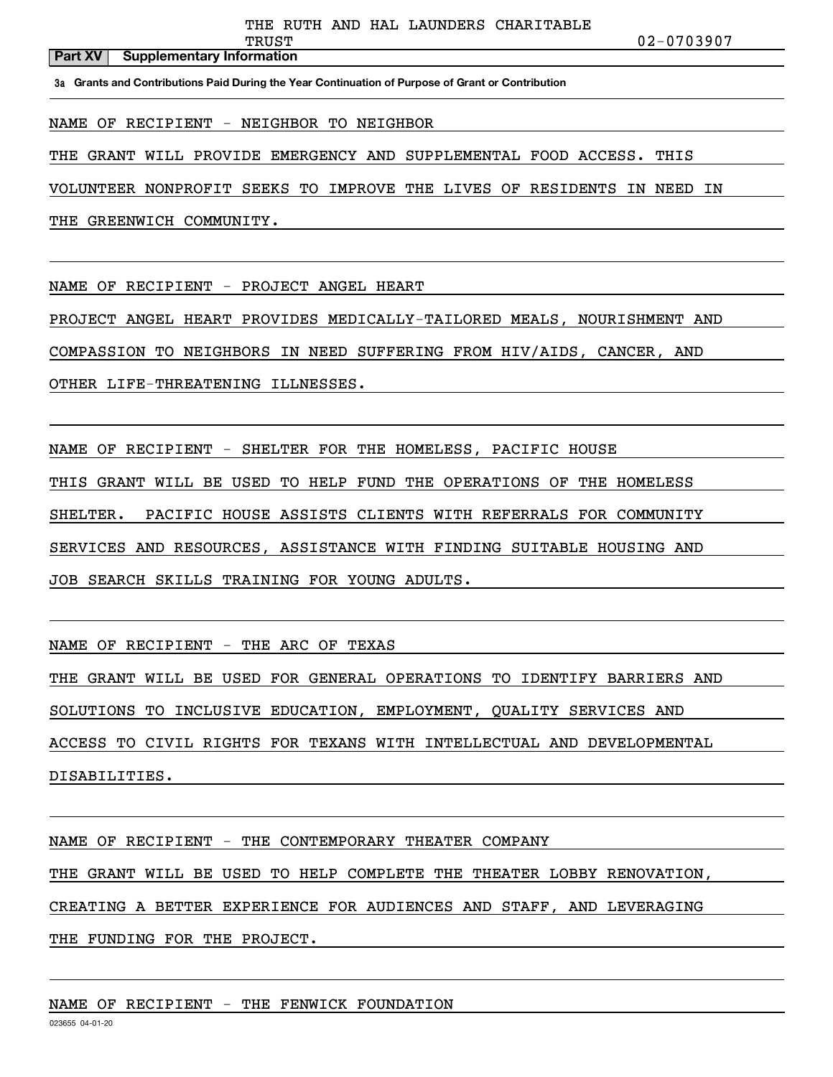#### **Part XV** Supplementary Information

**3a Grants and Contributions Paid During the Year Continuation of Purpose of Grant or Contribution**

NAME OF RECIPIENT - NEIGHBOR TO NEIGHBOR

THE GRANT WILL PROVIDE EMERGENCY AND SUPPLEMENTAL FOOD ACCESS. THIS

VOLUNTEER NONPROFIT SEEKS TO IMPROVE THE LIVES OF RESIDENTS IN NEED IN

THE GREENWICH COMMUNITY.

NAME OF RECIPIENT - PROJECT ANGEL HEART

PROJECT ANGEL HEART PROVIDES MEDICALLY-TAILORED MEALS, NOURISHMENT AND

COMPASSION TO NEIGHBORS IN NEED SUFFERING FROM HIV/AIDS, CANCER, AND

OTHER LIFE-THREATENING ILLNESSES.

NAME OF RECIPIENT - SHELTER FOR THE HOMELESS, PACIFIC HOUSE THIS GRANT WILL BE USED TO HELP FUND THE OPERATIONS OF THE HOMELESS SHELTER. PACIFIC HOUSE ASSISTS CLIENTS WITH REFERRALS FOR COMMUNITY SERVICES AND RESOURCES, ASSISTANCE WITH FINDING SUITABLE HOUSING AND JOB SEARCH SKILLS TRAINING FOR YOUNG ADULTS.

NAME OF RECIPIENT - THE ARC OF TEXAS

THE GRANT WILL BE USED FOR GENERAL OPERATIONS TO IDENTIFY BARRIERS AND SOLUTIONS TO INCLUSIVE EDUCATION, EMPLOYMENT, QUALITY SERVICES AND ACCESS TO CIVIL RIGHTS FOR TEXANS WITH INTELLECTUAL AND DEVELOPMENTAL DISABILITIES.

NAME OF RECIPIENT - THE CONTEMPORARY THEATER COMPANY THE GRANT WILL BE USED TO HELP COMPLETE THE THEATER LOBBY RENOVATION, CREATING A BETTER EXPERIENCE FOR AUDIENCES AND STAFF, AND LEVERAGING THE FUNDING FOR THE PROJECT.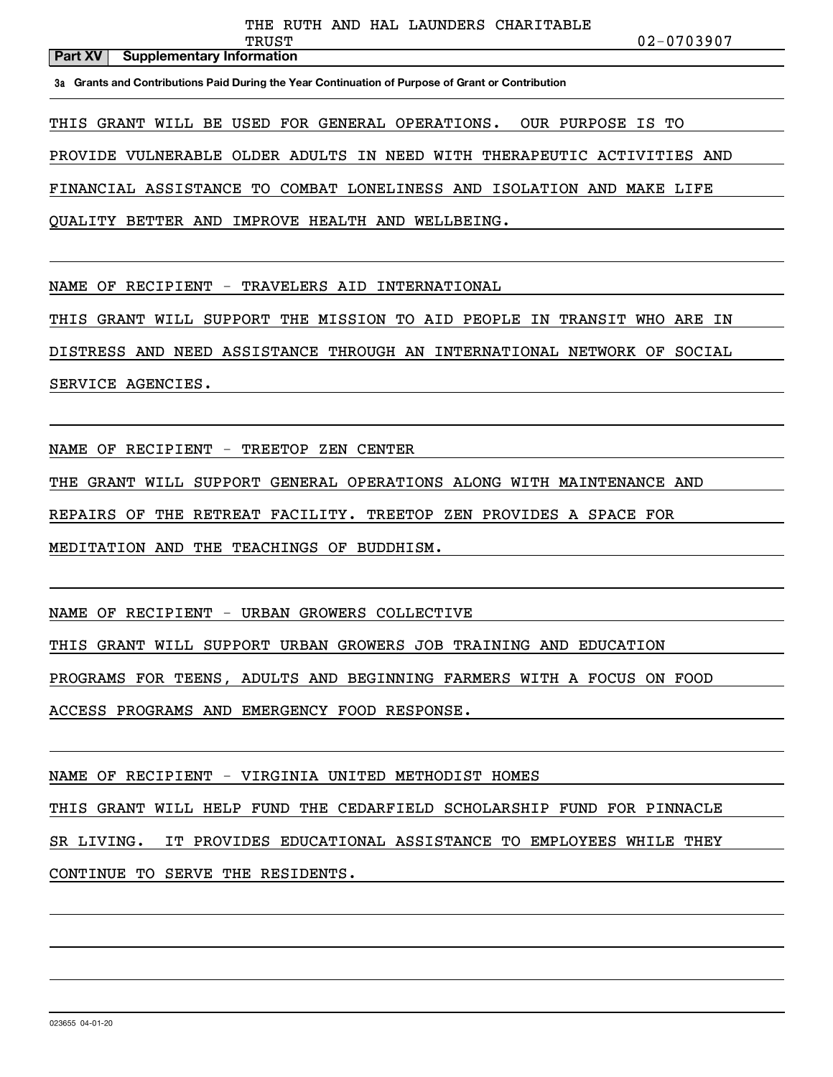#### **Part XV** Supplementary Information

TRUST 02-0703907

**3a Grants and Contributions Paid During the Year Continuation of Purpose of Grant or Contribution**

THIS GRANT WILL BE USED FOR GENERAL OPERATIONS. OUR PURPOSE IS TO

PROVIDE VULNERABLE OLDER ADULTS IN NEED WITH THERAPEUTIC ACTIVITIES AND

FINANCIAL ASSISTANCE TO COMBAT LONELINESS AND ISOLATION AND MAKE LIFE

QUALITY BETTER AND IMPROVE HEALTH AND WELLBEING.

NAME OF RECIPIENT - TRAVELERS AID INTERNATIONAL

THIS GRANT WILL SUPPORT THE MISSION TO AID PEOPLE IN TRANSIT WHO ARE IN

DISTRESS AND NEED ASSISTANCE THROUGH AN INTERNATIONAL NETWORK OF SOCIAL

SERVICE AGENCIES.

NAME OF RECIPIENT - TREETOP ZEN CENTER

THE GRANT WILL SUPPORT GENERAL OPERATIONS ALONG WITH MAINTENANCE AND

REPAIRS OF THE RETREAT FACILITY. TREETOP ZEN PROVIDES A SPACE FOR

MEDITATION AND THE TEACHINGS OF BUDDHISM.

NAME OF RECIPIENT - URBAN GROWERS COLLECTIVE

THIS GRANT WILL SUPPORT URBAN GROWERS JOB TRAINING AND EDUCATION

PROGRAMS FOR TEENS, ADULTS AND BEGINNING FARMERS WITH A FOCUS ON FOOD

ACCESS PROGRAMS AND EMERGENCY FOOD RESPONSE.

NAME OF RECIPIENT - VIRGINIA UNITED METHODIST HOMES

THIS GRANT WILL HELP FUND THE CEDARFIELD SCHOLARSHIP FUND FOR PINNACLE

SR LIVING. IT PROVIDES EDUCATIONAL ASSISTANCE TO EMPLOYEES WHILE THEY

CONTINUE TO SERVE THE RESIDENTS.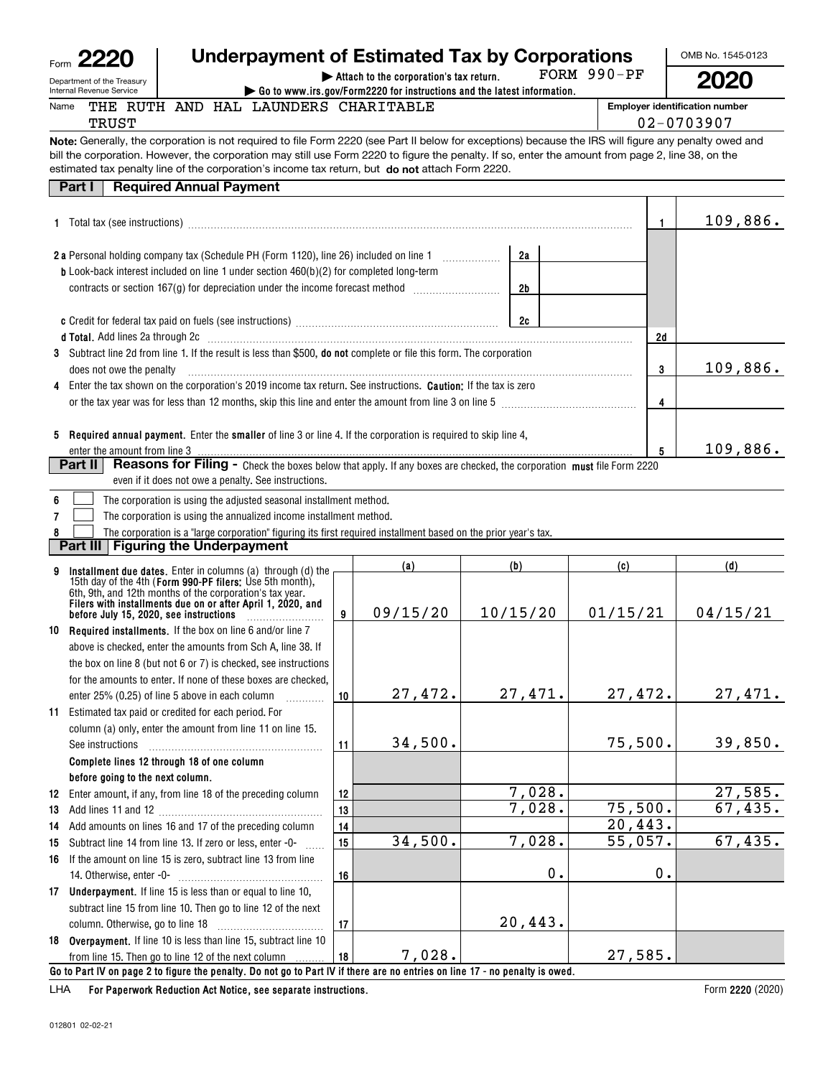# **Underpayment of Estimated Tax by Corporations**

FORM 990-PF

OMB No. 1545-0123 **2020**

Department of the Treasury Internal Revenue Service

Name

**| Attach to the corporation's tax return. | Go to www.irs.gov/Form2220 for instructions and the latest information.**

**Employer identification number** 02-0703907

**Note:** Generally, the corporation is not required to file Form 2220 (see Part II below for exceptions) because the IRS will figure any penalty owed and estimated tax penalty line of the corporation's income tax return, but **do not** attach Form 2220. bill the corporation. However, the corporation may still use Form 2220 to figure the penalty. If so, enter the amount from page 2, line 38, on the

| <b>Required Annual Payment</b><br>Part I                                                                                                                                                                                                                                                                                                                    |    |    |          |
|-------------------------------------------------------------------------------------------------------------------------------------------------------------------------------------------------------------------------------------------------------------------------------------------------------------------------------------------------------------|----|----|----------|
|                                                                                                                                                                                                                                                                                                                                                             |    |    | 109,886. |
| 2 a Personal holding company tax (Schedule PH (Form 1120), line 26) included on line 1                                                                                                                                                                                                                                                                      | 2а |    |          |
| <b>b</b> Look-back interest included on line 1 under section $460(b)(2)$ for completed long-term<br>contracts or section 167(g) for depreciation under the income forecast method <i>manufacture</i>                                                                                                                                                        | 2b |    |          |
|                                                                                                                                                                                                                                                                                                                                                             | 2c |    |          |
| d Total. Add lines 2a through 2c [11] matter contracts and the state of the state of the state of the state of the state of the state of the state of the state of the state of the state of the state of the state of the sta                                                                                                                              |    | 2d |          |
| 3 Subtract line 2d from line 1. If the result is less than \$500, do not complete or file this form. The corporation<br>does not owe the penalty <i>communically accommunically accommunical</i> control of the penalty and the series of the series of the series of the series of the series of the series of the series of the series of the series of t |    | 3  | 109,886. |
| 4 Enter the tax shown on the corporation's 2019 income tax return. See instructions. Caution: If the tax is zero                                                                                                                                                                                                                                            |    |    |          |
| or the tax year was for less than 12 months, skip this line and enter the amount from line 3 on line 5                                                                                                                                                                                                                                                      |    | 4  |          |
| <b>Required annual payment.</b> Enter the <b>smaller</b> of line 3 or line 4. If the corporation is required to skip line 4,<br>5                                                                                                                                                                                                                           |    |    |          |
|                                                                                                                                                                                                                                                                                                                                                             |    | 5  | 109,886. |
| <b>Reasons for Filing -</b> Check the boxes below that apply. If any boxes are checked, the corporation must file Form 2220<br>Part II                                                                                                                                                                                                                      |    |    |          |
| even if it does not owe a penalty. See instructions.                                                                                                                                                                                                                                                                                                        |    |    |          |

| 6 | The corporation is using the adjusted seasonal installment method. |
|---|--------------------------------------------------------------------|

**7**The corporation is using the annualized income installment method.  $\mathcal{L}^{\text{max}}$ 

THE RUTH AND HAL LAUNDERS CHARITABLE

**8**The corporation is a "large corporation" figuring its first required installment based on the prior year's tax.  $\mathcal{L}^{\text{max}}$ 

**Part III Figuring the Underpayment**

| 9  | Installment due dates. Enter in columns (a) through (d) the                                                                  |    | (a)      | (b)      | (c)      | (d)      |  |  |  |
|----|------------------------------------------------------------------------------------------------------------------------------|----|----------|----------|----------|----------|--|--|--|
|    | 15th day of the 4th (Form 990-PF filers: Use 5th month),<br>6th, 9th, and 12th months of the corporation's tax year.         |    |          |          |          |          |  |  |  |
|    | Filers with installments due on or after April 1, 2020, and<br>before July 15, 2020, see instructions                        | 9  | 09/15/20 | 10/15/20 | 01/15/21 | 04/15/21 |  |  |  |
| 10 | <b>Required installments.</b> If the box on line 6 and/or line 7                                                             |    |          |          |          |          |  |  |  |
|    | above is checked, enter the amounts from Sch A, line 38. If                                                                  |    |          |          |          |          |  |  |  |
|    | the box on line 8 (but not 6 or 7) is checked, see instructions                                                              |    |          |          |          |          |  |  |  |
|    | for the amounts to enter. If none of these boxes are checked.                                                                |    |          |          |          |          |  |  |  |
|    | enter 25% (0.25) of line 5 above in each column                                                                              | 10 | 27,472.  | 27,471.  | 27,472.  | 27,471.  |  |  |  |
|    | 11 Estimated tax paid or credited for each period. For                                                                       |    |          |          |          |          |  |  |  |
|    | column (a) only, enter the amount from line 11 on line 15.                                                                   |    |          |          |          |          |  |  |  |
|    | See instructions                                                                                                             | 11 | 34,500.  |          | 75,500.  | 39,850.  |  |  |  |
|    | Complete lines 12 through 18 of one column                                                                                   |    |          |          |          |          |  |  |  |
|    | before going to the next column.                                                                                             |    |          |          |          |          |  |  |  |
| 12 | Enter amount, if any, from line 18 of the preceding column                                                                   | 12 |          | 7,028.   |          | 27,585.  |  |  |  |
| 13 |                                                                                                                              | 13 |          | 7,028.   | 75,500.  | 67,435.  |  |  |  |
| 14 | Add amounts on lines 16 and 17 of the preceding column                                                                       | 14 |          |          | 20,443.  |          |  |  |  |
| 15 | Subtract line 14 from line 13. If zero or less, enter -0-                                                                    | 15 | 34,500.  | 7,028.   | 55,057.  | 67,435.  |  |  |  |
| 16 | If the amount on line 15 is zero, subtract line 13 from line                                                                 |    |          |          |          |          |  |  |  |
|    | 14. Otherwise, enter -0-                                                                                                     | 16 |          | 0.       | 0.       |          |  |  |  |
| 17 | Underpayment. If line 15 is less than or equal to line 10,                                                                   |    |          |          |          |          |  |  |  |
|    | subtract line 15 from line 10. Then go to line 12 of the next                                                                |    |          |          |          |          |  |  |  |
|    |                                                                                                                              | 17 |          | 20,443.  |          |          |  |  |  |
|    | 18 Overpayment. If line 10 is less than line 15, subtract line 10                                                            |    |          |          |          |          |  |  |  |
|    | from line 15. Then go to line 12 of the next column                                                                          | 18 | 7,028.   |          | 27,585.  |          |  |  |  |
|    | Go to Part IV on page 2 to figure the penalty. Do not go to Part IV if there are no entries on line 17 - no penalty is owed. |    |          |          |          |          |  |  |  |

**For Paperwork Reduction Act Notice, see separate instructions.** LHA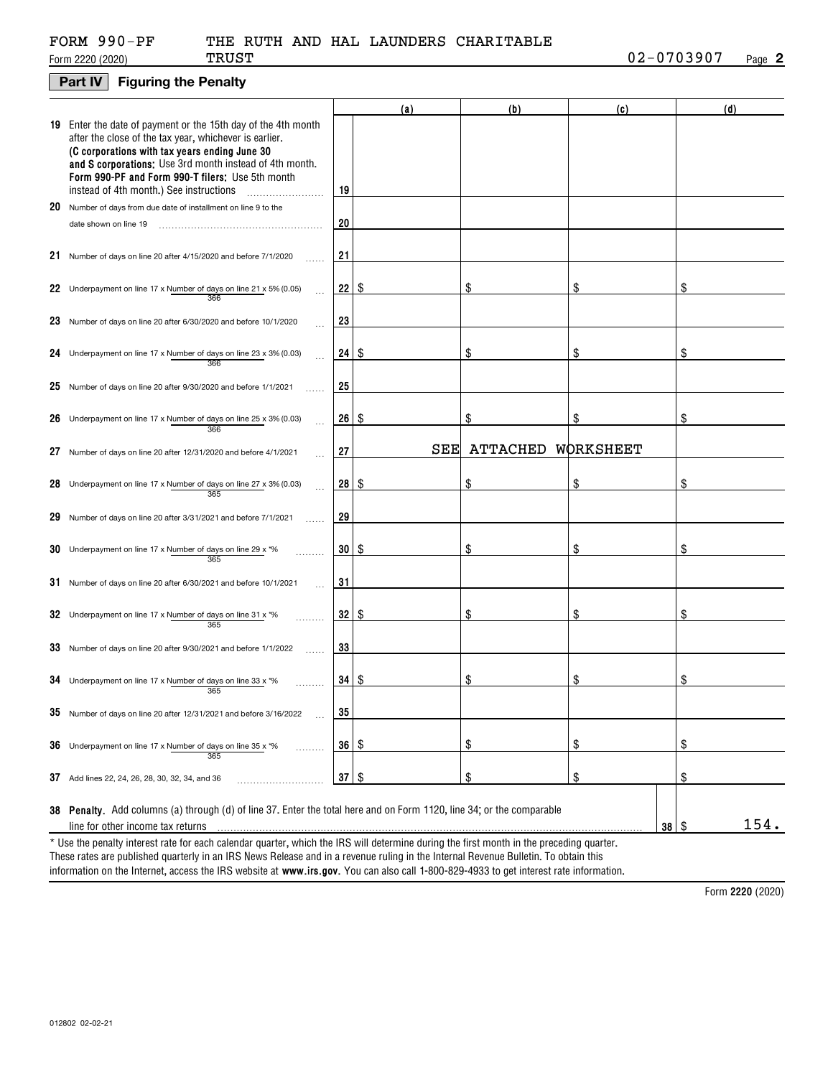| FORM 990-PF |  |  |
|-------------|--|--|
|             |  |  |

### **Part IV Figuring the Penalty**

|    |                                                                                                                                                                                                                                                                                                                                    |           | (a) | (b)             | (c)       | (d) |      |
|----|------------------------------------------------------------------------------------------------------------------------------------------------------------------------------------------------------------------------------------------------------------------------------------------------------------------------------------|-----------|-----|-----------------|-----------|-----|------|
|    | 19 Enter the date of payment or the 15th day of the 4th month<br>after the close of the tax year, whichever is earlier.<br>(C corporations with tax years ending June 30<br>and S corporations: Use 3rd month instead of 4th month.<br>Form 990-PF and Form 990-T filers: Use 5th month<br>instead of 4th month.) See instructions | 19        |     |                 |           |     |      |
|    | 20 Number of days from due date of installment on line 9 to the                                                                                                                                                                                                                                                                    |           |     |                 |           |     |      |
|    | date shown on line 19                                                                                                                                                                                                                                                                                                              | 20        |     |                 |           |     |      |
|    | 21 Number of days on line 20 after 4/15/2020 and before 7/1/2020                                                                                                                                                                                                                                                                   | 21        |     |                 |           |     |      |
|    | 22 Underpayment on line 17 x Number of days on line 21 x 5% (0.05)<br>366                                                                                                                                                                                                                                                          | 22        | \$  | \$              | \$        | \$  |      |
|    | 23 Number of days on line 20 after 6/30/2020 and before 10/1/2020                                                                                                                                                                                                                                                                  | 23        |     |                 |           |     |      |
|    | 24 Underpayment on line 17 x Number of days on line 23 x 3% (0.03)<br>$\sim$<br>366                                                                                                                                                                                                                                                | 24 I      | \$  | \$              | \$        | \$  |      |
|    | 25 Number of days on line 20 after 9/30/2020 and before $1/1/2021$                                                                                                                                                                                                                                                                 | 25        |     |                 |           |     |      |
|    | 26 Underpayment on line 17 x Number of days on line 25 x 3% (0.03)<br>$\ddotsc$<br>366                                                                                                                                                                                                                                             | 26 I      | \$  | \$              |           | \$  |      |
| 27 | Number of days on line 20 after 12/31/2020 and before 4/1/2021                                                                                                                                                                                                                                                                     | 27        | SEE | <b>ATTACHED</b> | WORKSHEET |     |      |
|    | 28 Underpayment on line 17 x Number of days on line 27 x 3% (0.03)<br>$\ddotsc$<br>365                                                                                                                                                                                                                                             | 28 S      |     | \$              | \$        | \$  |      |
|    | 29 Number of days on line 20 after 3/31/2021 and before 7/1/2021                                                                                                                                                                                                                                                                   | 29        |     |                 |           |     |      |
|    | 30 Underpayment on line 17 x Number of days on line 29 x $*$ %<br>365                                                                                                                                                                                                                                                              | 30 I      | \$  | \$              | \$        | \$  |      |
|    | $31$ Number of days on line 20 after 6/30/2021 and before 10/1/2021                                                                                                                                                                                                                                                                | 31        |     |                 |           |     |      |
|    | 32 Underpayment on line 17 x Number of days on line 31 x $*$ %<br>365                                                                                                                                                                                                                                                              | 32        | \$  | \$              | \$        | \$  |      |
|    | 33 Number of days on line 20 after 9/30/2021 and before 1/1/2022                                                                                                                                                                                                                                                                   | 33        |     |                 |           |     |      |
|    | 34 Underpayment on line 17 x Number of days on line 33 x $*$ %<br>365                                                                                                                                                                                                                                                              | $34$   \$ |     | \$              | \$        | \$  |      |
|    | <b>30</b> Number of days on line 20 after 12/31/2021 and before 3/16/2022                                                                                                                                                                                                                                                          | 35        |     |                 |           |     |      |
|    | <b>36</b> Underpayment on line 17 x Number of days on line 35 x $*$ %<br>365                                                                                                                                                                                                                                                       | 36   \$   |     | \$              | \$        | \$  |      |
|    | 37 Add lines 22, 24, 26, 28, 30, 32, 34, and 36                                                                                                                                                                                                                                                                                    | 37        | \$  | \$              | \$        | \$  |      |
|    | 38 Penalty. Add columns (a) through (d) of line 37. Enter the total here and on Form 1120, line 34; or the comparable<br>line for other income tax returns                                                                                                                                                                         |           |     |                 | 38        | \$  | 154. |
|    | * Use the penalty interest rate for each calendar quarter, which the IRS will determine during the first month in the preceding quarter.<br>These rates are published quarterly in an IRS News Release and in a revenue ruling in the Internal Revenue Bulletin. To obtain this                                                    |           |     |                 |           |     |      |

information on the Internet, access the IRS website at **www.irs.gov**. You can also call 1-800-829-4933 to get interest rate information.

**2220**  Form (2020)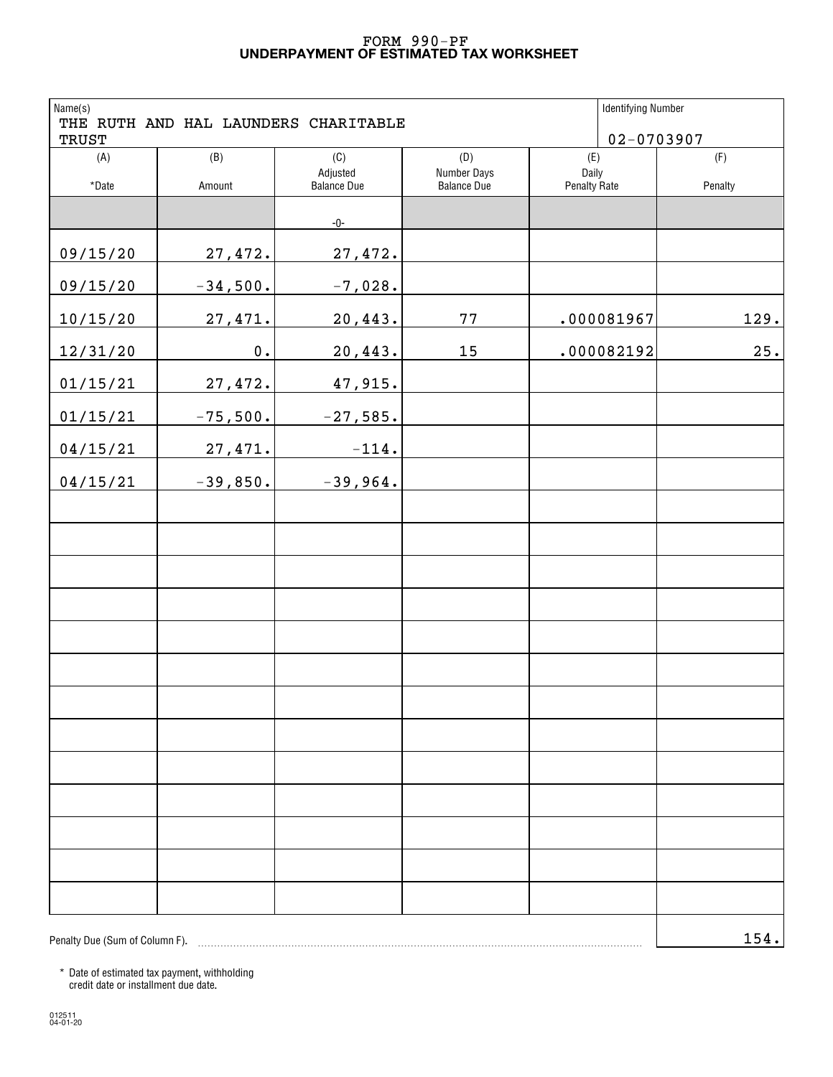### **UNDERPAYMENT OF ESTIMATED TAX WORKSHEET** FORM 990-PF

| Name(s)<br><b>TRUST</b>        |               | THE RUTH AND HAL LAUNDERS CHARITABLE |                                   | <b>Identifying Number</b> | $02 - 0703907$ |
|--------------------------------|---------------|--------------------------------------|-----------------------------------|---------------------------|----------------|
| (A)                            | (B)           | (C)                                  | (D)                               | (E)                       | (F)            |
| *Date                          | Amount        | Adjusted<br><b>Balance Due</b>       | Number Days<br><b>Balance Due</b> | Daily<br>Penalty Rate     | Penalty        |
|                                |               | $-0-$                                |                                   |                           |                |
| 09/15/20                       | 27,472.       | 27,472.                              |                                   |                           |                |
| 09/15/20                       | $-34,500.$    | $-7,028.$                            |                                   |                           |                |
| 10/15/20                       | 27,471.       | 20,443.                              | 77                                | .000081967                | 129.           |
| 12/31/20                       | $\mathbf 0$ . | 20,443.                              | 15                                | .000082192                | 25.            |
| 01/15/21                       | 27,472.       | 47,915.                              |                                   |                           |                |
| 01/15/21                       | $-75,500.$    | $-27,585.$                           |                                   |                           |                |
| 04/15/21                       | 27,471.       | $-114.$                              |                                   |                           |                |
| 04/15/21                       | $-39,850.$    | $-39,964.$                           |                                   |                           |                |
|                                |               |                                      |                                   |                           |                |
|                                |               |                                      |                                   |                           |                |
|                                |               |                                      |                                   |                           |                |
|                                |               |                                      |                                   |                           |                |
|                                |               |                                      |                                   |                           |                |
|                                |               |                                      |                                   |                           |                |
|                                |               |                                      |                                   |                           |                |
|                                |               |                                      |                                   |                           |                |
|                                |               |                                      |                                   |                           |                |
|                                |               |                                      |                                   |                           |                |
|                                |               |                                      |                                   |                           |                |
|                                |               |                                      |                                   |                           |                |
|                                |               |                                      |                                   |                           |                |
| Penalty Due (Sum of Column F). |               |                                      |                                   |                           | 154.           |

\* Date of estimated tax payment, withholding credit date or installment due date.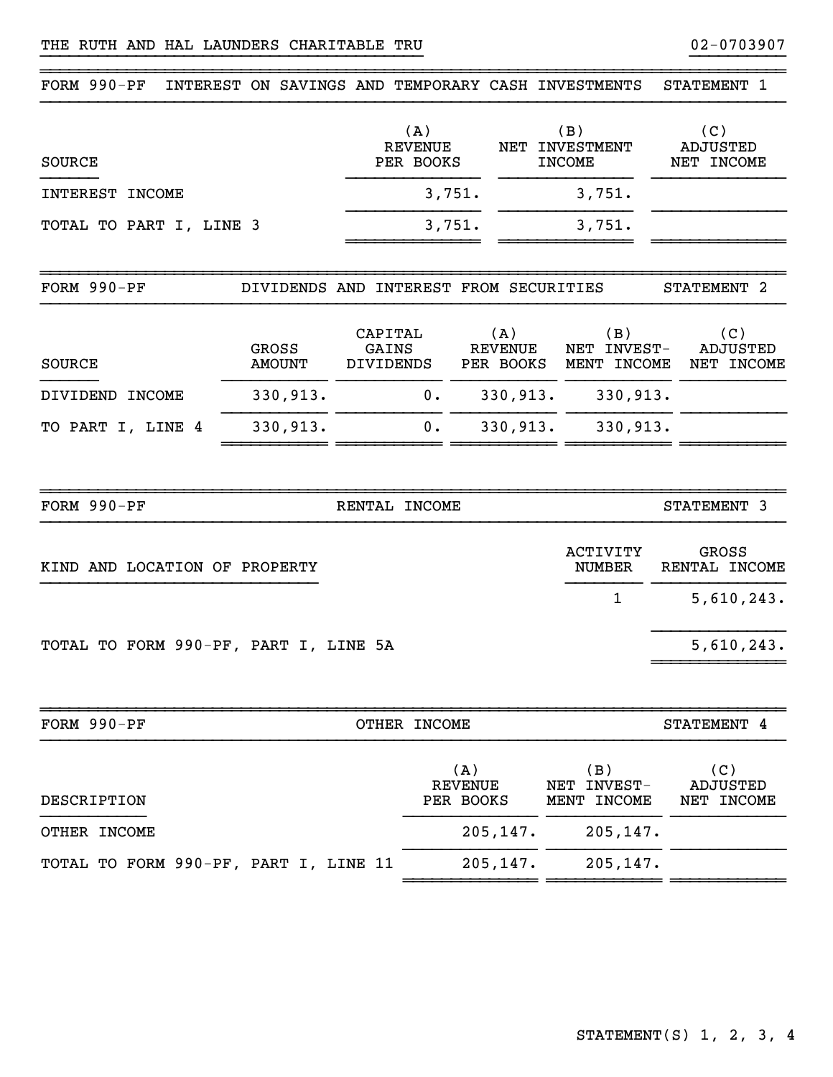| FORM 990-PF                           |                                        |                               |                                    |                                    |                                    | INTEREST ON SAVINGS AND TEMPORARY CASH INVESTMENTS | STATEMENT 1                          |
|---------------------------------------|----------------------------------------|-------------------------------|------------------------------------|------------------------------------|------------------------------------|----------------------------------------------------|--------------------------------------|
| <b>SOURCE</b>                         |                                        |                               | (A)<br><b>REVENUE</b><br>PER BOOKS |                                    |                                    | (B)<br>NET INVESTMENT<br><b>INCOME</b>             | (C)<br><b>ADJUSTED</b><br>NET INCOME |
| INTEREST INCOME                       |                                        |                               | 3,751.                             |                                    |                                    | 3,751.                                             |                                      |
| TOTAL TO PART I, LINE 3               |                                        |                               | 3,751.                             |                                    |                                    | 3,751.                                             |                                      |
| FORM 990-PF                           | DIVIDENDS AND INTEREST FROM SECURITIES |                               |                                    |                                    |                                    |                                                    | STATEMENT 2                          |
| SOURCE                                | GROSS<br><b>AMOUNT</b>                 | CAPITAL<br>GAINS<br>DIVIDENDS |                                    |                                    | (A)<br><b>REVENUE</b><br>PER BOOKS | (B)<br>NET INVEST-<br>MENT INCOME                  | (C)<br><b>ADJUSTED</b><br>NET INCOME |
| DIVIDEND INCOME                       | 330,913.                               |                               | 0.                                 |                                    | 330,913.                           | 330,913.                                           |                                      |
| TO PART I, LINE 4                     | 330,913.                               |                               | 0.                                 |                                    | 330,913.                           | 330,913.                                           |                                      |
| FORM 990-PF                           |                                        | RENTAL INCOME                 |                                    |                                    |                                    |                                                    | STATEMENT 3                          |
|                                       |                                        |                               |                                    |                                    |                                    |                                                    |                                      |
| KIND AND LOCATION OF PROPERTY         |                                        |                               |                                    |                                    |                                    | <b>ACTIVITY</b><br>NUMBER                          | GROSS<br>RENTAL INCOME               |
|                                       |                                        |                               |                                    |                                    |                                    | $\mathbf 1$                                        | 5,610,243.                           |
| TOTAL TO FORM 990-PF, PART I, LINE 5A |                                        |                               |                                    |                                    |                                    |                                                    | 5,610,243.                           |
| FORM 990-PF                           |                                        |                               | OTHER INCOME                       |                                    |                                    |                                                    |                                      |
|                                       |                                        |                               |                                    |                                    |                                    |                                                    | STATEMENT 4                          |
| DESCRIPTION                           |                                        |                               |                                    | (A)<br><b>REVENUE</b><br>PER BOOKS |                                    | (B)<br>NET INVEST-<br>MENT INCOME                  | (C)<br>ADJUSTED<br>NET INCOME        |
| OTHER INCOME                          |                                        |                               |                                    |                                    | 205, 147.                          | 205,147.                                           |                                      |
| TOTAL TO FORM 990-PF, PART I, LINE 11 |                                        |                               |                                    |                                    | 205, 147.                          | 205,147.                                           |                                      |

}}}}}}}}}}}}}}}}}}}}}}}}}}}}}}}}}}}}}}}} }}}}}}}}}}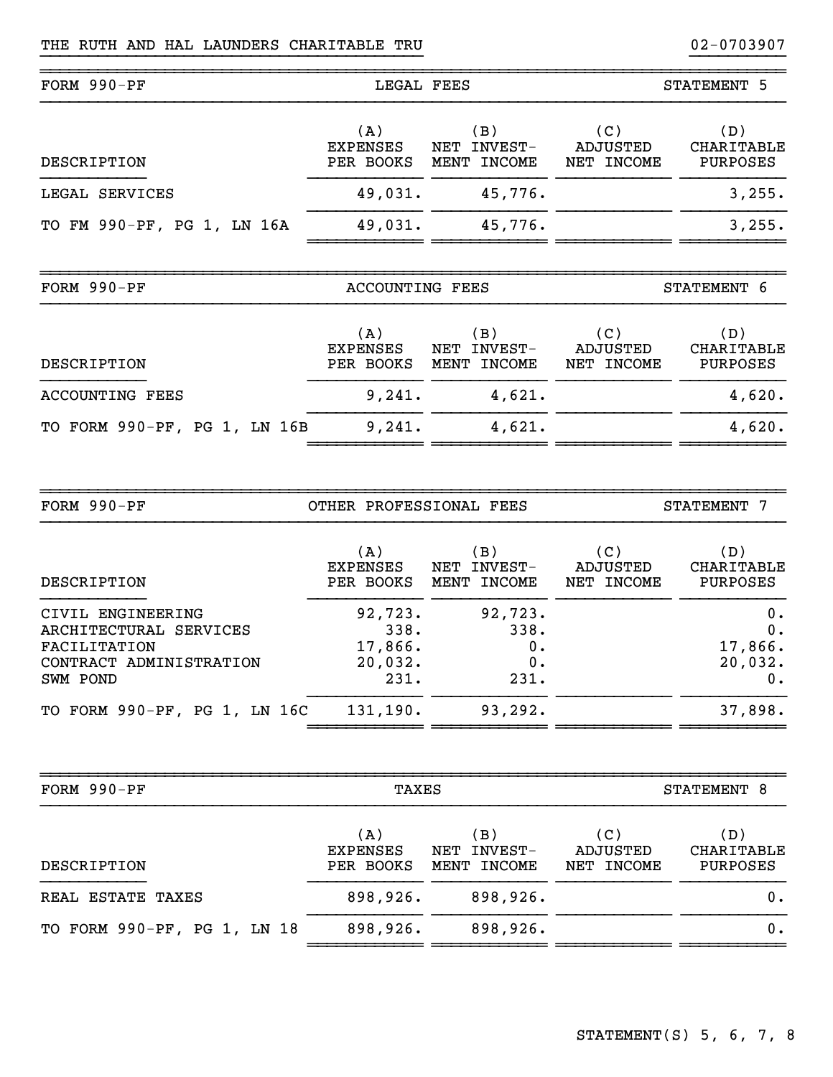| FORM 990-PF                | LEGAL FEES                          |                                      |                               | STATEMENT 5                   |
|----------------------------|-------------------------------------|--------------------------------------|-------------------------------|-------------------------------|
| DESCRIPTION                | (A)<br><b>EXPENSES</b><br>PER BOOKS | (B)<br>INVEST-<br>NET<br>MENT INCOME | (C)<br>ADJUSTED<br>NET INCOME | (D)<br>CHARITABLE<br>PURPOSES |
| LEGAL SERVICES             | 49,031.                             | 45,776.                              |                               | 3,255.                        |
| TO FM 990-PF, PG 1, LN 16A | 49,031.                             | 45,776.                              |                               | 3,255.                        |
| FORM 990-PF                | ACCOUNTING FEES                     |                                      |                               | STATEMENT 6                   |

}}}}}}}}}}}}}}}}}}}}}}}}}}}}}}}}}}}}}}}} }}}}}}}}}}

~~~~~~~~~~~~~~~~~~~~~~~~~~~~~~~~~~~~~~~~~~~~~~~~~~~~~~~~~~~~~~~~~~~~~~~~~~~~~~

| DESCRIPTION                  | (A)<br><b>EXPENSES</b><br>PER BOOKS | (B )<br>NET INVEST-<br>MENT INCOME | (C)<br>ADJUSTED<br>NET INCOME | (D)<br>CHARITABLE<br><b>PURPOSES</b> |
|------------------------------|-------------------------------------|------------------------------------|-------------------------------|--------------------------------------|
| <b>ACCOUNTING FEES</b>       | 9,241.                              | 4.621.                             |                               | 4,620.                               |
| TO FORM 990-PF, PG 1, LN 16B | 9,241.                              | 4,621.                             |                               | 4,620.                               |

| FORM $990-PF$                                                                                      | OTHER PROFESSIONAL FEES                       |                                                | STATEMENT 7                   |                                         |  |
|----------------------------------------------------------------------------------------------------|-----------------------------------------------|------------------------------------------------|-------------------------------|-----------------------------------------|--|
| DESCRIPTION                                                                                        | (A)<br><b>EXPENSES</b><br>PER BOOKS           | (B)<br>INVEST-<br>NET<br>MENT INCOME           | (C)<br>ADJUSTED<br>NET INCOME | (D)<br><b>CHARITABLE</b><br>PURPOSES    |  |
| CIVIL ENGINEERING<br>ARCHITECTURAL SERVICES<br>FACILITATION<br>CONTRACT ADMINISTRATION<br>SWM POND | 92,723.<br>338.<br>17,866.<br>20,032.<br>231. | 92,723.<br>338.<br>0.<br>$\mathbf 0$ .<br>231. |                               | 0.<br>0.<br>17,866.<br>20,032.<br>$0$ . |  |
| TO FORM 990-PF, PG 1, LN 16C                                                                       | 131, 190.                                     | 93,292.                                        |                               | 37,898.                                 |  |

| FORM $990-PF$               | TAXES                               |                                             |                               | STATEMENT 8                                 |  |
|-----------------------------|-------------------------------------|---------------------------------------------|-------------------------------|---------------------------------------------|--|
| DESCRIPTION                 | (A)<br><b>EXPENSES</b><br>PER BOOKS | $\mathbf B$ )<br>NET INVEST-<br>MENT INCOME | (C)<br>ADJUSTED<br>NET INCOME | (D)<br><b>CHARITABLE</b><br><b>PURPOSES</b> |  |
| REAL ESTATE TAXES           | 898,926.                            | 898,926.                                    |                               | 0.                                          |  |
| TO FORM 990-PF, PG 1, LN 18 | 898,926.                            | 898,926.                                    |                               | 0.                                          |  |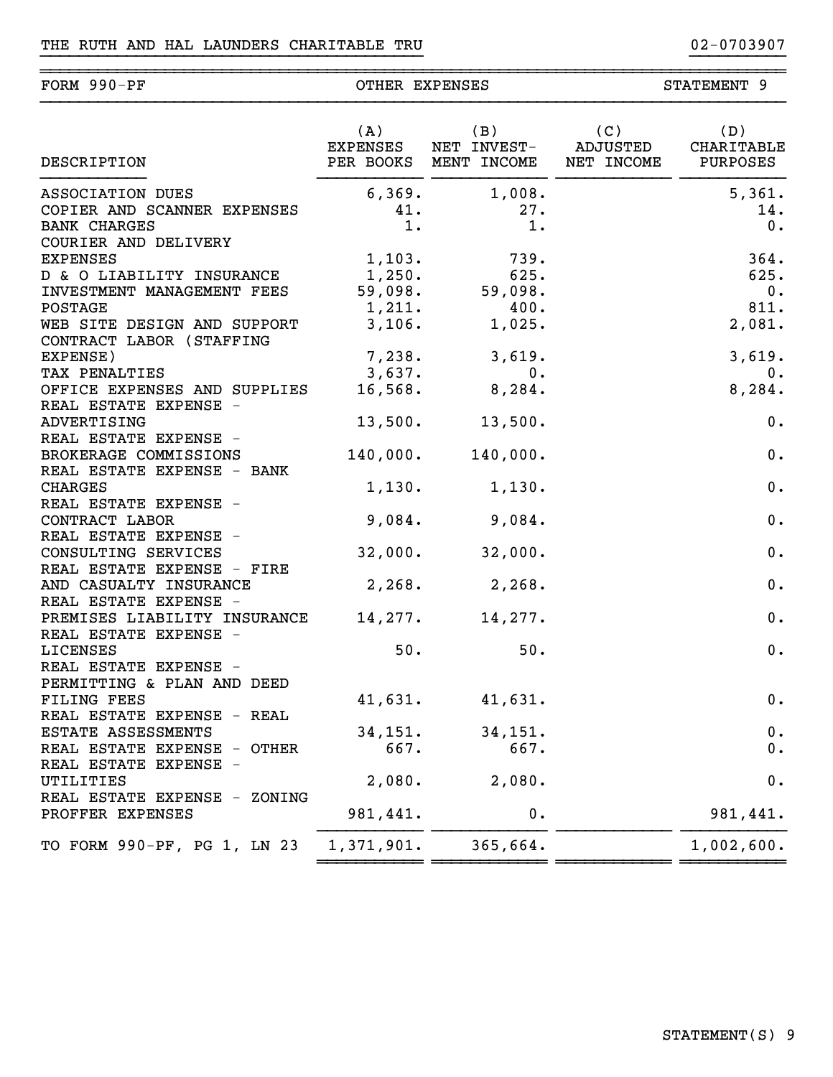FORM 990-PF OTHER EXPENSES

~~~~~~~~~~~~~~~~~~~~~~~~~~~~~~~~~~~~~~~~~~~~~~~~~~~~~~~~~~~~~~~~~~~~~~~~~~~~~~

STATEMENT 9

| DESCRIPTION                                       |            |                                            |            |
|---------------------------------------------------|------------|--------------------------------------------|------------|
| ASSOCIATION DUES                                  |            | $6,369.$ 1,008.                            | 5,361.     |
| COPIER AND SCANNER EXPENSES                       | 41.        | 27.                                        | 14.        |
| <b>BANK CHARGES</b>                               | $1$ .      | 1.                                         | 0.         |
| COURIER AND DELIVERY                              |            |                                            |            |
| <b>EXPENSES</b>                                   |            | $1, 103.$ 739.                             | 364.       |
| D & O LIABILITY INSURANCE                         |            | 1,250. 625.<br>59,098. 59,098.             | 625.       |
| INVESTMENT MANAGEMENT FEES                        |            |                                            | $0$ .      |
| <b>POSTAGE</b>                                    |            | $1,211.$ 400.                              | 811.       |
| WEB SITE DESIGN AND SUPPORT                       |            | $3,106.$ 1,025.                            | 2,081.     |
| CONTRACT LABOR (STAFFING                          |            |                                            |            |
| EXPENSE)                                          |            | $7,238.$ 3,619.                            | 3,619.     |
| TAX PENALTIES                                     | 3,637.     | $\begin{array}{ccc} \cdot & 0 \end{array}$ | $0$ .      |
| OFFICE EXPENSES AND SUPPLIES                      | 16,568.    | 8,284.                                     | 8,284.     |
| REAL ESTATE EXPENSE -                             |            |                                            |            |
| ADVERTISING                                       |            | $13,500.$ 13,500.                          | 0.         |
| REAL ESTATE EXPENSE -                             |            |                                            |            |
| BROKERAGE COMMISSIONS                             |            | 140,000. 140,000.                          | 0.         |
| REAL ESTATE EXPENSE - BANK                        |            |                                            |            |
| <b>CHARGES</b>                                    | 1,130.     | 1,130.                                     | 0.         |
| REAL ESTATE EXPENSE -                             |            |                                            |            |
| CONTRACT LABOR                                    | 9,084.     | 9,084.                                     | 0.         |
| REAL ESTATE EXPENSE -                             |            |                                            |            |
| CONSULTING SERVICES<br>REAL ESTATE EXPENSE - FIRE | 32,000.    | 32,000.                                    | 0.         |
| AND CASUALTY INSURANCE                            |            | $2,268.$ $2,268.$                          | 0.         |
| REAL ESTATE EXPENSE -                             |            |                                            |            |
| PREMISES LIABILITY INSURANCE                      | 14,277.    | 14,277.                                    | 0.         |
| REAL ESTATE EXPENSE -                             |            |                                            |            |
| LICENSES                                          | 50.        | 50.                                        | 0.         |
| REAL ESTATE EXPENSE -                             |            |                                            |            |
| PERMITTING & PLAN AND DEED                        |            |                                            |            |
| <b>FILING FEES</b>                                |            | $41,631.$ $41,631.$                        | 0.         |
| REAL ESTATE EXPENSE - REAL                        |            |                                            |            |
| ESTATE ASSESSMENTS                                | 34, 151.   | 34,151.                                    | 0.         |
| REAL ESTATE EXPENSE - OTHER                       | 667.       | 667.                                       | 0.         |
| REAL ESTATE EXPENSE -                             |            |                                            |            |
| UTILITIES                                         | 2,080.     | 2,080.                                     | $0$ .      |
| REAL ESTATE EXPENSE - ZONING                      |            |                                            |            |
| PROFFER EXPENSES                                  | 981,441.   | 0.                                         | 981,441.   |
|                                                   |            |                                            |            |
| TO FORM 990-PF, PG 1, LN 23                       | 1,371,901. | 365,664.                                   | 1,002,600. |
|                                                   |            |                                            |            |

}}}}}}}}}}}}}}}}}}}}}}}}}}}}}}}}}}}}}}}} }}}}}}}}}}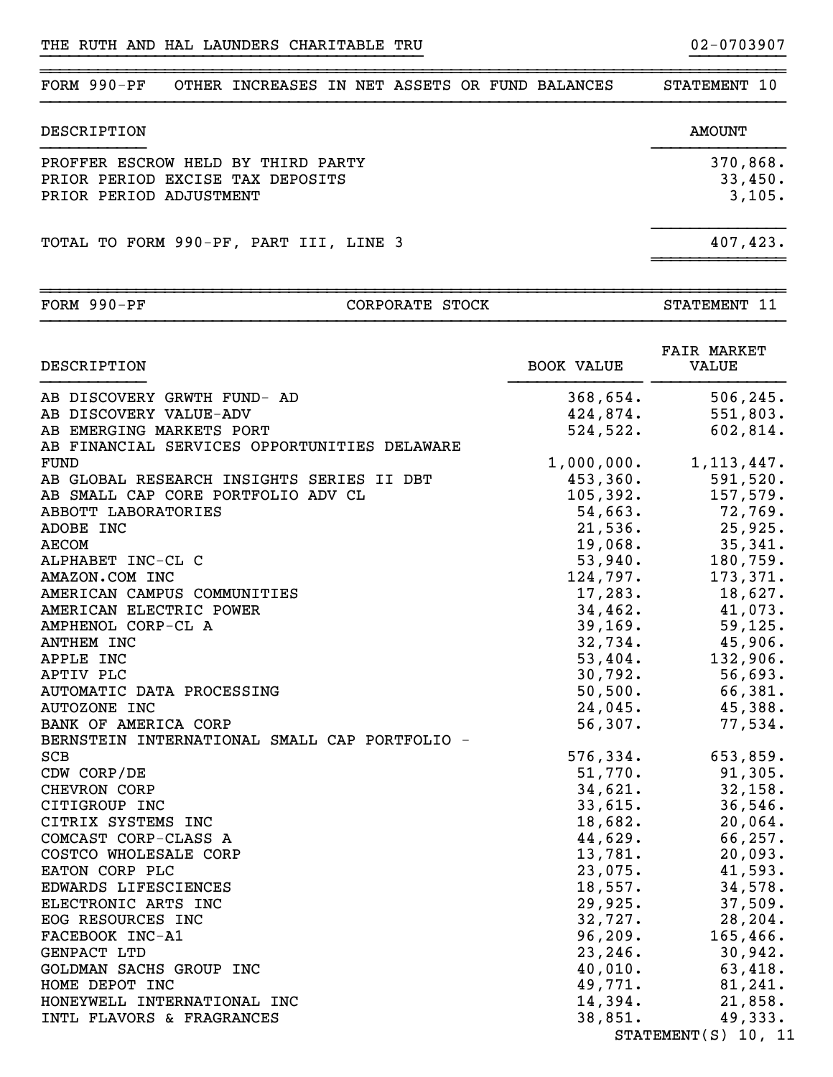| $FORM 990-PF$<br>OTHER INCREASES IN NET ASSETS OR FUND BALANCES                                   | STATEMENT 10                  |
|---------------------------------------------------------------------------------------------------|-------------------------------|
| DESCRIPTION                                                                                       | <b>AMOUNT</b>                 |
| PROFFER ESCROW HELD BY THIRD PARTY<br>PRIOR PERIOD EXCISE TAX DEPOSITS<br>PRIOR PERIOD ADJUSTMENT | 370,868.<br>33,450.<br>3,105. |
| TOTAL TO FORM 990-PF, PART III, LINE 3                                                            | 407,423.                      |

}}}}}}}}}}}}}}}}}}}}}}}}}}}}}}}}}}}}}}}} }}}}}}}}}}

| FORM | 990-PF |
|------|--------|

# CORPORATE STOCK

| DESCRIPTION                                   | <b>BOOK VALUE</b> | <b>FAIR MARKET</b><br>VALUE |
|-----------------------------------------------|-------------------|-----------------------------|
| AB DISCOVERY GRWTH FUND- AD                   | 368,654.          | 506, 245.                   |
| AB DISCOVERY VALUE-ADV                        | 424,874.          | 551,803.                    |
| AB EMERGING MARKETS PORT                      | 524,522.          | 602,814.                    |
| AB FINANCIAL SERVICES OPPORTUNITIES DELAWARE  |                   |                             |
| FUND                                          | 1,000,000.        | 1, 113, 447.                |
| AB GLOBAL RESEARCH INSIGHTS SERIES II DBT     | 453,360.          | 591,520.                    |
| AB SMALL CAP CORE PORTFOLIO ADV CL            | 105, 392.         | 157,579.                    |
| ABBOTT LABORATORIES                           | 54,663.           | 72,769.                     |
| ADOBE INC                                     | 21,536.           | 25,925.                     |
| <b>AECOM</b>                                  | 19,068.           | 35,341.                     |
| ALPHABET INC-CL C                             | 53,940.           | 180,759.                    |
| AMAZON.COM INC                                | 124,797.          | 173,371.                    |
| AMERICAN CAMPUS COMMUNITIES                   | 17,283.           | 18,627.                     |
| AMERICAN ELECTRIC POWER                       | 34,462.           | 41,073.                     |
| AMPHENOL CORP-CL A                            | 39, 169.          | 59, 125.                    |
| ANTHEM INC                                    | 32,734.           | 45,906.                     |
| APPLE INC                                     | 53,404.           | 132,906.                    |
| APTIV PLC                                     | 30,792.           | 56,693.                     |
| AUTOMATIC DATA PROCESSING                     | 50, 500.          | 66,381.                     |
| AUTOZONE INC                                  | 24,045.           | 45,388.                     |
| BANK OF AMERICA CORP                          | 56,307.           | 77,534.                     |
| BERNSTEIN INTERNATIONAL SMALL CAP PORTFOLIO - |                   |                             |
| <b>SCB</b>                                    | 576,334.          | 653,859.                    |
| CDW CORP/DE                                   | 51,770.           | 91,305.                     |
| CHEVRON CORP                                  | 34,621.           | 32,158.                     |
| CITIGROUP INC                                 | 33,615.           | 36,546.                     |
| CITRIX SYSTEMS INC                            | 18,682.           | 20,064.                     |
| COMCAST CORP-CLASS A                          | 44,629.           | 66,257.                     |
| COSTCO WHOLESALE CORP                         | 13,781.           | 20,093.                     |
| EATON CORP PLC                                | 23,075.           | 41,593.                     |
| EDWARDS LIFESCIENCES                          | 18,557.           | 34,578.                     |
| ELECTRONIC ARTS INC                           | 29,925.           | 37,509.                     |
| EOG RESOURCES INC                             | 32,727.           | 28, 204.                    |
| FACEBOOK INC-A1                               | 96, 209.          | 165, 466.                   |
| GENPACT LTD                                   | 23, 246.          | 30,942.                     |
| GOLDMAN SACHS GROUP INC                       | 40,010.           | 63,418.                     |
| HOME DEPOT INC                                | 49,771.           | 81,241.                     |
| HONEYWELL INTERNATIONAL INC                   | 14,394.           | 21,858.                     |
| INTL FLAVORS & FRAGRANCES                     | 38,851.           | 49,333.                     |
|                                               |                   | STATEMENT(S) 10, 11         |

STATEMENT 11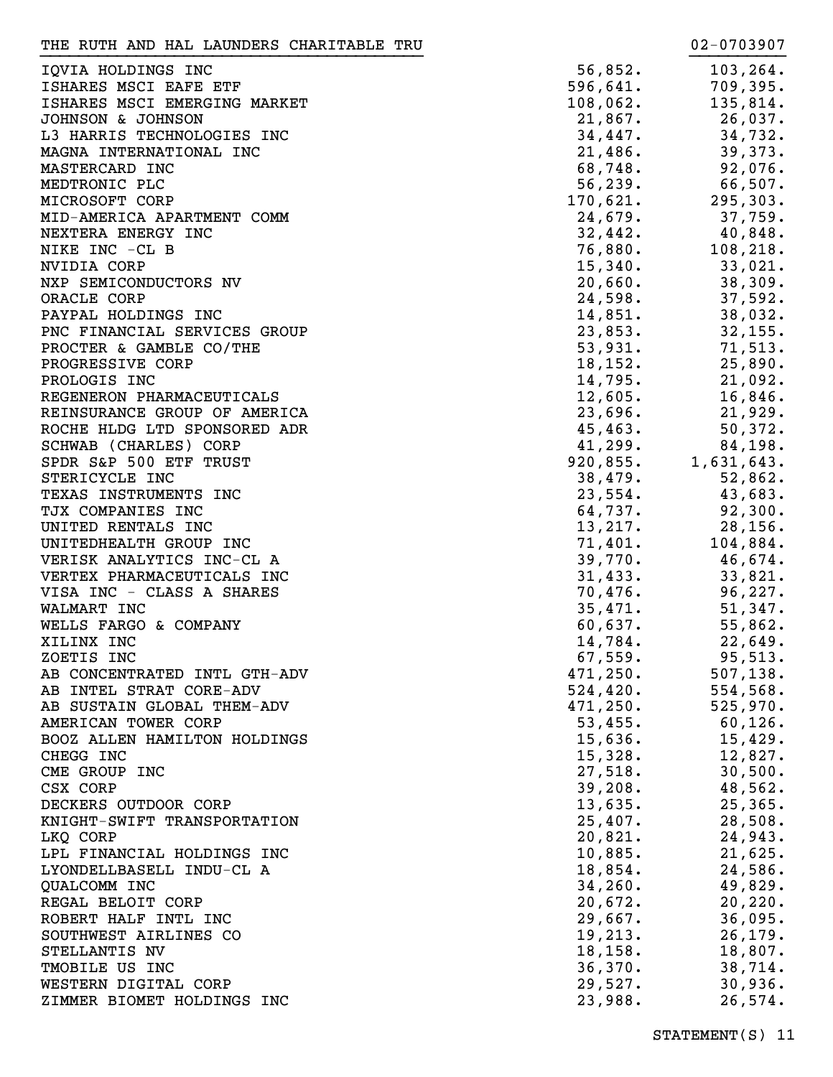| THE RUTH AND HAL LAUNDERS CHARITABLE TRU |          | 02-0703907 |
|------------------------------------------|----------|------------|
| IQVIA HOLDINGS INC                       | 56,852.  | 103, 264.  |
| ISHARES MSCI EAFE ETF                    | 596,641. | 709,395.   |
| ISHARES MSCI EMERGING MARKET             | 108,062. | 135,814.   |
| JOHNSON & JOHNSON                        | 21,867.  | 26,037.    |
| L3 HARRIS TECHNOLOGIES INC               | 34,447.  | 34,732.    |
| MAGNA INTERNATIONAL INC                  | 21,486.  | 39,373.    |
| MASTERCARD INC                           | 68,748.  | 92,076.    |
| MEDTRONIC PLC                            | 56, 239. | 66,507.    |
| MICROSOFT CORP                           | 170,621. | 295,303.   |
| MID-AMERICA APARTMENT COMM               | 24,679.  | 37,759.    |
| NEXTERA ENERGY INC                       | 32,442.  | $40,848$ . |
| NIKE INC -CL B                           | 76,880.  | 108, 218.  |
| NVIDIA CORP                              | 15,340.  | 33,021.    |
| NXP SEMICONDUCTORS NV                    | 20,660.  | 38,309.    |
| ORACLE CORP                              | 24,598.  | 37,592.    |
| PAYPAL HOLDINGS INC                      | 14,851.  | 38,032.    |
| PNC FINANCIAL SERVICES GROUP             | 23,853.  | 32, 155.   |
| PROCTER & GAMBLE CO/THE                  | 53,931.  | 71,513.    |
| PROGRESSIVE CORP                         | 18,152.  | 25,890.    |
| PROLOGIS INC                             | 14,795.  | 21,092.    |
| REGENERON PHARMACEUTICALS                | 12,605.  | 16,846.    |
| REINSURANCE GROUP OF AMERICA             | 23,696.  | 21,929.    |
| ROCHE HLDG LTD SPONSORED ADR             | 45, 463. | 50,372.    |
| SCHWAB (CHARLES) CORP                    | 41,299.  | 84,198.    |
| SPDR S&P 500 ETF TRUST                   | 920,855. | 1,631,643. |
| STERICYCLE INC                           | 38,479.  | 52,862.    |
| TEXAS INSTRUMENTS INC                    | 23,554.  | 43,683.    |
| TJX COMPANIES INC                        | 64,737.  | 92,300.    |
| UNITED RENTALS INC                       | 13,217.  | 28, 156.   |
| UNITEDHEALTH GROUP INC                   | 71,401.  | 104,884.   |
| VERISK ANALYTICS INC-CL A                | 39,770.  | 46,674.    |
| VERTEX PHARMACEUTICALS INC               | 31,433.  | 33,821.    |
| VISA INC - CLASS A SHARES                | 70,476.  | 96,227.    |
| WALMART INC                              | 35,471.  | 51,347.    |
| WELLS FARGO & COMPANY                    | 60,637.  | 55,862.    |
| XILINX INC                               | 14,784.  | 22,649.    |
| ZOETIS INC                               | 67,559.  | 95,513.    |
| AB CONCENTRATED INTL GTH-ADV             | 471,250. | 507, 138.  |
| AB INTEL STRAT CORE-ADV                  | 524,420. | 554,568.   |
| AB SUSTAIN GLOBAL THEM-ADV               | 471,250. | 525,970.   |
| AMERICAN TOWER CORP                      | 53,455.  | 60, 126.   |
| BOOZ ALLEN HAMILTON HOLDINGS             | 15,636.  | 15,429.    |
| CHEGG INC                                | 15,328.  | 12,827.    |
| CME GROUP INC                            | 27,518.  | 30,500.    |
| CSX CORP                                 | 39,208.  | 48,562.    |
| DECKERS OUTDOOR CORP                     | 13,635.  | 25, 365.   |
| KNIGHT-SWIFT TRANSPORTATION              | 25,407.  | 28,508.    |
| LKQ CORP                                 | 20,821.  | 24,943.    |
| LPL FINANCIAL HOLDINGS INC               | 10,885.  | 21,625.    |
| LYONDELLBASELL INDU-CL A                 | 18,854.  | 24,586.    |
| QUALCOMM INC                             | 34, 260. | 49,829.    |
| REGAL BELOIT CORP                        | 20,672.  | 20, 220.   |
| ROBERT HALF INTL INC                     | 29,667.  | 36,095.    |
| SOUTHWEST AIRLINES CO                    | 19,213.  | 26, 179.   |
| STELLANTIS NV                            | 18, 158. | 18,807.    |
| TMOBILE US INC                           | 36,370.  | 38,714.    |
| WESTERN DIGITAL CORP                     | 29,527.  | 30,936.    |
| ZIMMER BIOMET HOLDINGS INC               | 23,988.  | 26,574.    |
|                                          |          |            |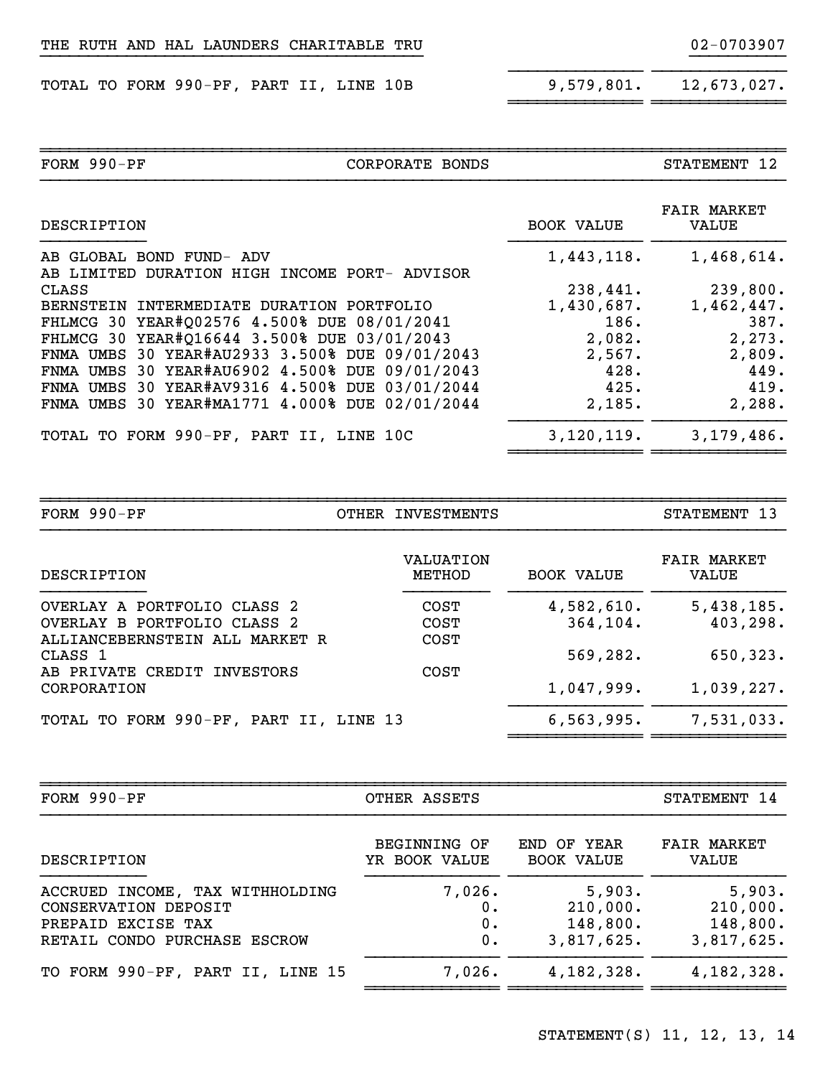|  |  |  |  |  | THE RUTH AND HAL LAUNDERS CHARITABLE TRU |  |
|--|--|--|--|--|------------------------------------------|--|
|--|--|--|--|--|------------------------------------------|--|

TOTAL TO FORM 990-PF, PART II, LINE 10B 9,579,801. 12,673,027.

}}}}}}}}}}}}}}

| FORM 990-PF                                    | CORPORATE BONDS |                   | STATEMENT 12                |
|------------------------------------------------|-----------------|-------------------|-----------------------------|
| DESCRIPTION                                    |                 | <b>BOOK VALUE</b> | <b>FAIR MARKET</b><br>VALUE |
| AB GLOBAL BOND FUND- ADV                       |                 | 1,443,118.        | 1,468,614.                  |
| AB LIMITED DURATION HIGH INCOME PORT- ADVISOR  |                 |                   |                             |
| CLASS                                          |                 | 238,441.          | 239,800.                    |
| BERNSTEIN INTERMEDIATE DURATION PORTFOLIO      |                 | 1,430,687.        | 1,462,447.                  |
| FHLMCG 30 YEAR#Q02576 4.500% DUE 08/01/2041    |                 | 186.              | 387.                        |
| FHLMCG 30 YEAR#Q16644 3.500% DUE 03/01/2043    |                 | 2,082.            | 2, 273.                     |
| FNMA UMBS 30 YEAR#AU2933 3.500% DUE 09/01/2043 |                 | 2,567.            | 2,809.                      |
| FNMA UMBS 30 YEAR#AU6902 4.500% DUE 09/01/2043 |                 | 428.              | 449.                        |
| FNMA UMBS 30 YEAR#AV9316 4.500% DUE 03/01/2044 |                 | 425.              | 419.                        |
| FNMA UMBS 30 YEAR#MA1771 4.000% DUE 02/01/2044 |                 | 2,185.            | 2,288.                      |
| TOTAL TO FORM 990-PF, PART II, LINE 10C        |                 | 3,120,119.        | 3,179,486.                  |
|                                                |                 |                   |                             |

}}}}}}}}}}}}}}}}}}}}}}}}}}}}}}}}}}}}}}}} }}}}}}}}}}

~~~~~~~~~~~~~~ ~~~~~~~~~~~~~~

~~~~~~~~~~~~~~~~~~~~~~~~~~~~~~~~~~~~~~~~~~~~~~~~~~~~~~~~~~~~~~~~~~~~~~~~~~~~~~

| $FORM 990-PF$                          | OTHER INVESTMENTS   |                   | STATEMENT 13                |
|----------------------------------------|---------------------|-------------------|-----------------------------|
| DESCRIPTION                            | VALUATION<br>METHOD | <b>BOOK VALUE</b> | <b>FAIR MARKET</b><br>VALUE |
| OVERLAY A PORTFOLIO CLASS 2            | <b>COST</b>         | 4,582,610.        | 5,438,185.                  |
| OVERLAY B PORTFOLIO CLASS 2            | <b>COST</b>         | 364,104.          | 403,298.                    |
| ALLIANCEBERNSTEIN ALL MARKET R         | <b>COST</b>         |                   |                             |
| CLASS 1                                |                     | 569,282.          | 650,323.                    |
| AB PRIVATE CREDIT INVESTORS            | <b>COST</b>         |                   |                             |
| CORPORATION                            |                     | 1,047,999.        | 1,039,227.                  |
| TOTAL TO FORM 990-PF, PART II, LINE 13 |                     | 6,563,995.        | 7,531,033.                  |

| FORM $990-PF$                    | OTHER ASSETS        |                   | STATEMENT 14       |
|----------------------------------|---------------------|-------------------|--------------------|
| DESCRIPTION                      | <b>BEGINNING OF</b> | END OF YEAR       | <b>FAIR MARKET</b> |
|                                  | YR BOOK VALUE       | <b>BOOK VALUE</b> | VALUE              |
| ACCRUED INCOME, TAX WITHHOLDING  | 7,026.              | 5,903.            | 5,903.             |
| CONSERVATION DEPOSIT             | 0.                  | 210,000.          | 210,000.           |
| PREPAID EXCISE TAX               | 0.                  | 148,800.          | 148,800.           |
| RETAIL CONDO PURCHASE ESCROW     | 0.                  | 3,817,625.        | 3,817,625.         |
| TO FORM 990-PF, PART II, LINE 15 | 7,026.              | 4,182,328.        | 4,182,328.         |

~~~~~~~~~~~~~~~~~~~~~~~~~~~~~~~~~~~~~~~~~~~~~~~~~~~~~~~~~~~~~~~~~~~~~~~~~~~~~~

STATEMENT(S) 11, 12, 13, 14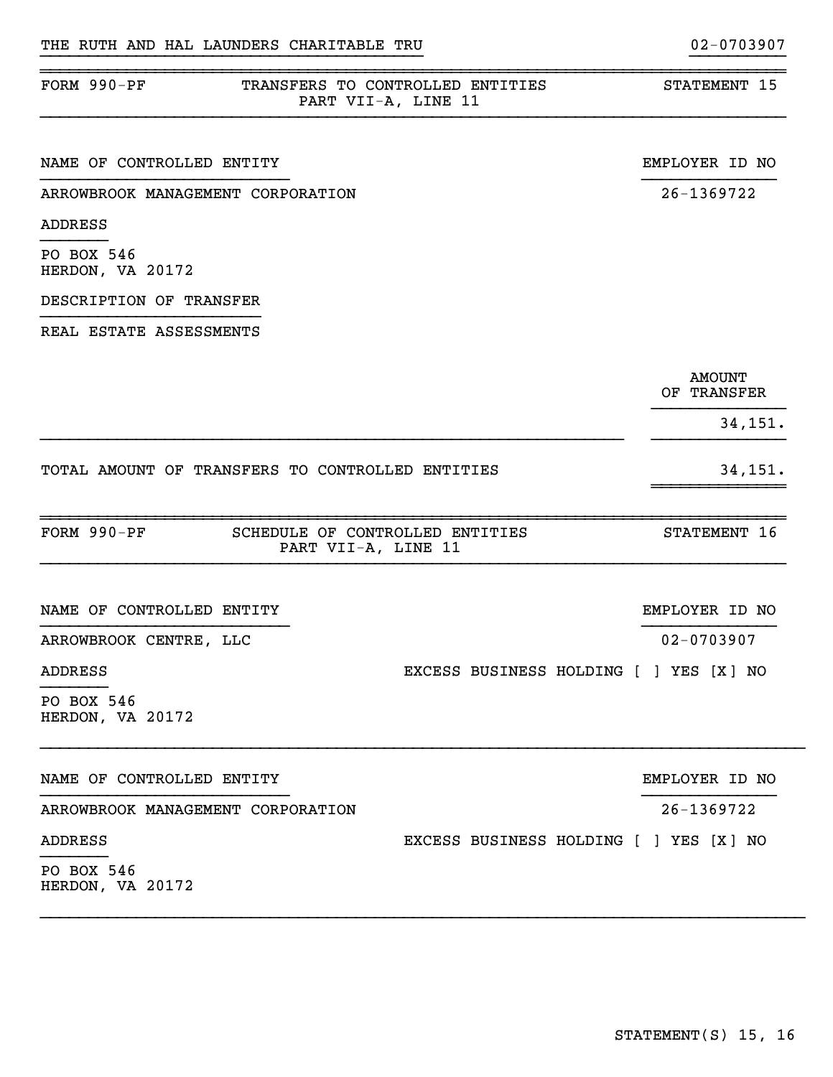| FORM $990-PF$                                    | TRANSFERS TO CONTROLLED ENTITIES<br>PART VII-A, LINE 11 | STATEMENT 15                 |
|--------------------------------------------------|---------------------------------------------------------|------------------------------|
| NAME OF CONTROLLED ENTITY                        |                                                         | EMPLOYER ID NO               |
| ARROWBROOK MANAGEMENT CORPORATION                |                                                         | 26-1369722                   |
| <b>ADDRESS</b>                                   |                                                         |                              |
| PO BOX 546<br>HERDON, VA 20172                   |                                                         |                              |
| DESCRIPTION OF TRANSFER                          |                                                         |                              |
| REAL ESTATE ASSESSMENTS                          |                                                         |                              |
|                                                  |                                                         | <b>AMOUNT</b><br>OF TRANSFER |
|                                                  |                                                         | 34,151.                      |
| TOTAL AMOUNT OF TRANSFERS TO CONTROLLED ENTITIES |                                                         | 34, 151.                     |
| FORM 990-PF<br>PART VII-A, LINE 11               | SCHEDULE OF CONTROLLED ENTITIES                         | STATEMENT 16                 |
| NAME OF CONTROLLED ENTITY                        |                                                         | EMPLOYER ID NO               |
| ARROWBROOK CENTRE, LLC                           |                                                         | 02-0703907                   |
| <b>ADDRESS</b>                                   | EXCESS BUSINESS HOLDING [ ] YES [X] NO                  |                              |
| PO BOX 546<br>HERDON, VA 20172                   |                                                         |                              |
| NAME OF CONTROLLED ENTITY                        |                                                         | EMPLOYER ID NO               |
| ARROWBROOK MANAGEMENT CORPORATION                |                                                         | 26-1369722                   |
| <b>ADDRESS</b>                                   | EXCESS BUSINESS HOLDING [ ] YES [X] NO                  |                              |
| PO BOX 546<br>HERDON, VA 20172                   |                                                         |                              |

}}}}}}}}}}}}}}}}}}}}}}}}}}}}}}}}}}}}}}}} }}}}}}}}}}

~~~~~~~~~~~~~~~~~~~~~~~~~~~~~~~~~~~~~~~~~~~~~~~~~~~~~~~~~~~~~~~~~~~~~~~~~~~~~~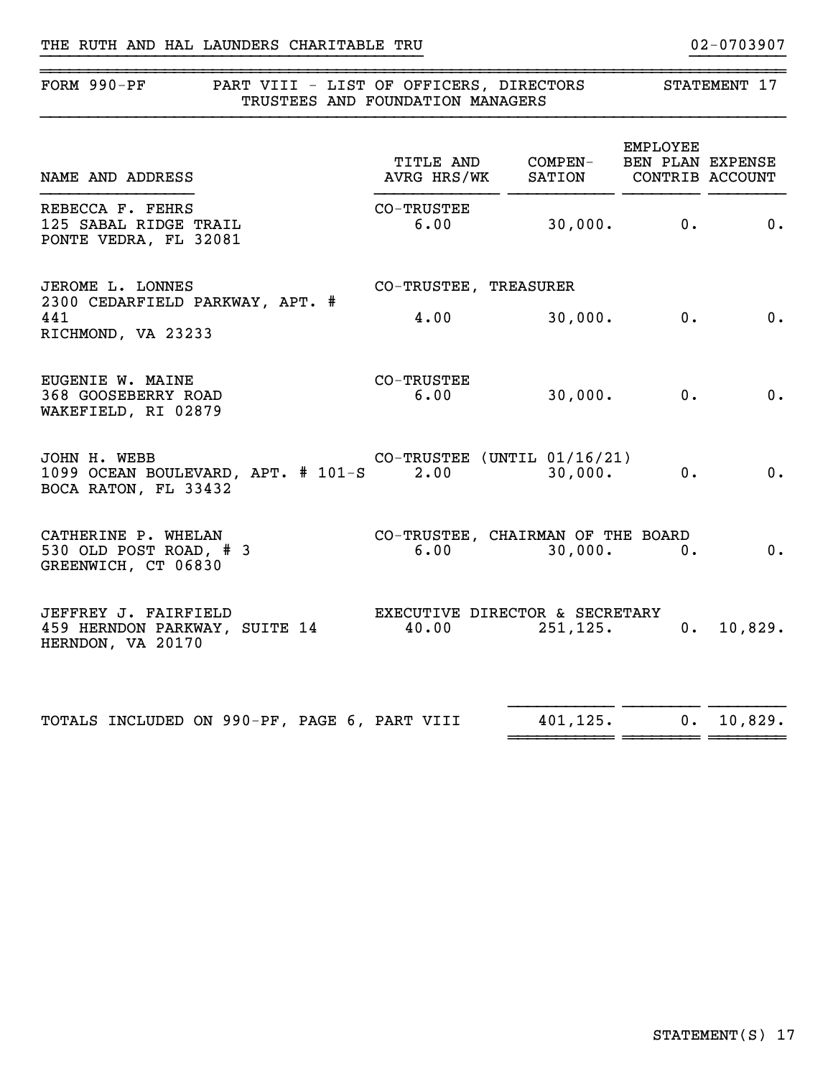### THE RUTH AND HAL LAUNDERS CHARITABLE TRU 02-0703907

| FORM 990-PF                                                                           | PART VIII - LIST OF OFFICERS, DIRECTORS<br>TRUSTEES AND FOUNDATION MANAGERS |         |                | STATEMENT 17                |  |
|---------------------------------------------------------------------------------------|-----------------------------------------------------------------------------|---------|----------------|-----------------------------|--|
| NAME AND ADDRESS                                                                      | TITLE AND COMPEN- BEN PLAN EXPENSE<br>AVRG HRS/WK SATION                    |         | EMPLOYEE       | CONTRIB ACCOUNT             |  |
| REBECCA F. FEHRS<br>125 SABAL RIDGE TRAIL<br>PONTE VEDRA, FL 32081                    | CO-TRUSTEE<br>6.00                                                          |         | $30,000.$ 0.   | $\overline{\phantom{a}}$ 0. |  |
| JEROME L. LONNES<br>2300 CEDARFIELD PARKWAY, APT. #                                   | CO-TRUSTEE, TREASURER                                                       |         |                |                             |  |
| 441<br>RICHMOND, VA 23233                                                             | 4.00                                                                        |         | $30,000.$ 0.   | 0.                          |  |
| EUGENIE W. MAINE<br>368 GOOSEBERRY ROAD<br>WAKEFIELD, RI 02879                        | CO-TRUSTEE<br>6.00                                                          | 30,000. | 0.             | 0.                          |  |
| JOHN H. WEBB<br>$1099$ OCEAN BOULEVARD, APT. $#$ $101-S$ 2.00<br>BOCA RATON, FL 33432 | $CO-TRUSTEE$ (UNTIL $01/16/21$ )                                            | 30,000. | 0.             | 0.                          |  |
| CATHERINE P. WHELAN<br>530 OLD POST ROAD, # 3<br>GREENWICH, CT 06830                  | CO-TRUSTEE, CHAIRMAN OF THE BOARD<br>$6.00$ 30,000.                         |         | $\mathbf{0}$ . | 0.                          |  |
| JEFFREY J. FAIRFIELD<br>459 HERNDON PARKWAY, SUITE 14<br>HERNDON, VA 20170            | EXECUTIVE DIRECTOR & SECRETARY<br>$40.00$ 251,125.                          |         | 0.             | 10,829.                     |  |

}}}}}}}}}}}}}}}}}}}}}}}}}}}}}}}}}}}}}}}} }}}}}}}}}}

~~~~~~~~~~~~~~~~~~~~~~~~~~~~~~~~~~~~~~~~~~~~~~~~~~~~~~~~~~~~~~~~~~~~~~~~~~~~~~

 }}}}}}}}}}} }}}}}}}} }}}}}}}} TOTALS INCLUDED ON 990-PF, PAGE 6, PART VIII 401,125. 0. 10,829. ~~~~~~~~~~~ ~~~~~~~~ ~~~~~~~~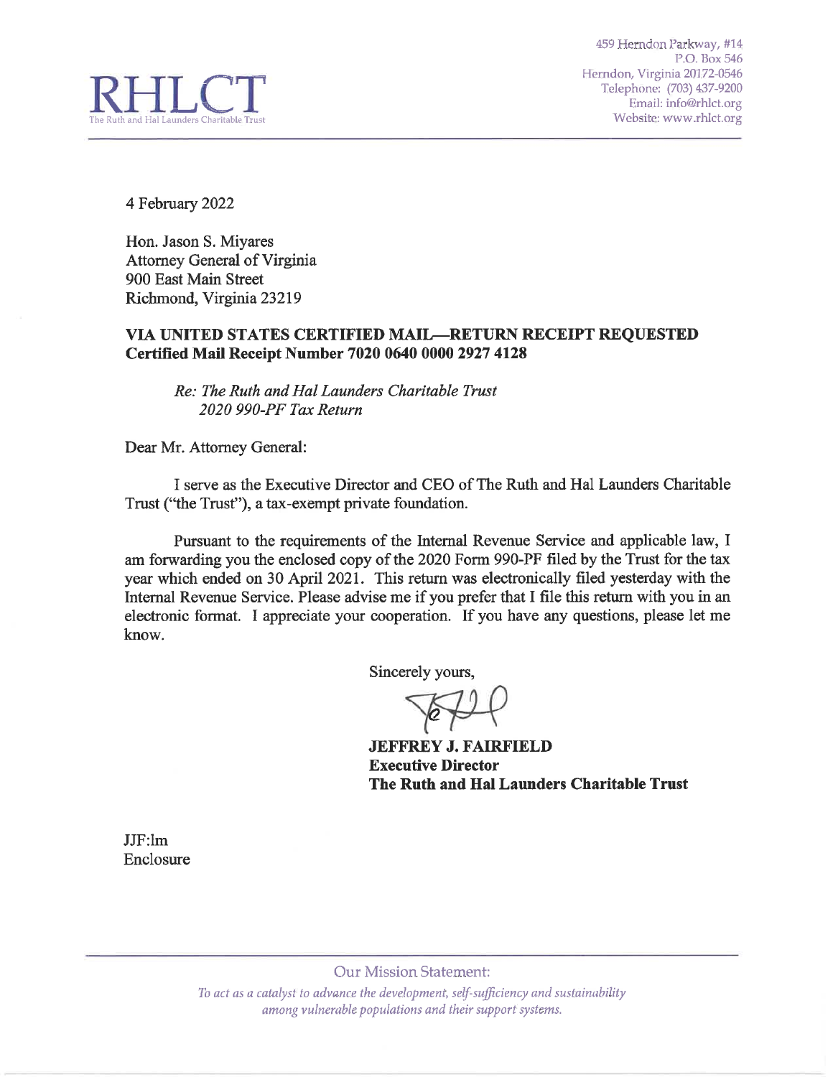

4 February 2022

Hon. Jason S. Miyares Attorney General of Virginia 900 East Main Street Richmond, Virginia 23219

# VIA UNITED STATES CERTIFIED MAIL—RETURN RECEIPT REQUESTED Certified Mail Receipt Number 7020 0640 0000 2927 4128

Re: The Ruth and Hal Launders Charitable Trust 2020 990-PF Tax Return

Dear Mr. Attorney General:

I serve as the Executive Director and CEO of The Ruth and Hal Launders Charitable Trust ("the Trust"), a tax-exempt private foundation.

Pursuant to the requirements of the Internal Revenue Service and applicable law, I am forwarding you the enclosed copy of the 2020 Form 990-PF filed by the Trust for the tax year which ended on 30 April 2021. This return was electronically filed yesterday with the Internal Revenue Service. Please advise me if you prefer that I file this return with you in an electronic format. I appreciate your cooperation. If you have any questions, please let me know.

Sincerely yours,

**JEFFREY J. FAIRFIELD Executive Director** The Ruth and Hal Launders Charitable Trust

 $JJF:lm$ Enclosure

**Our Mission Statement:** 

To act as a catalyst to advance the development, self-sufficiency and sustainability among vulnerable populations and their support systems.